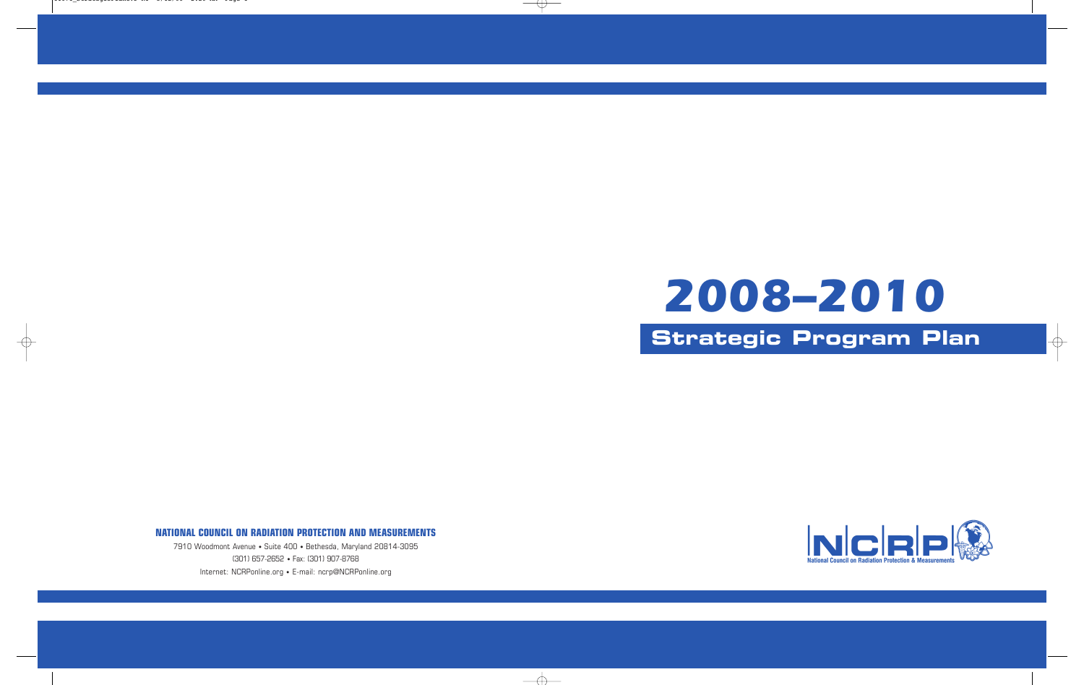# **Strategic Program Plan** *2008–2010*

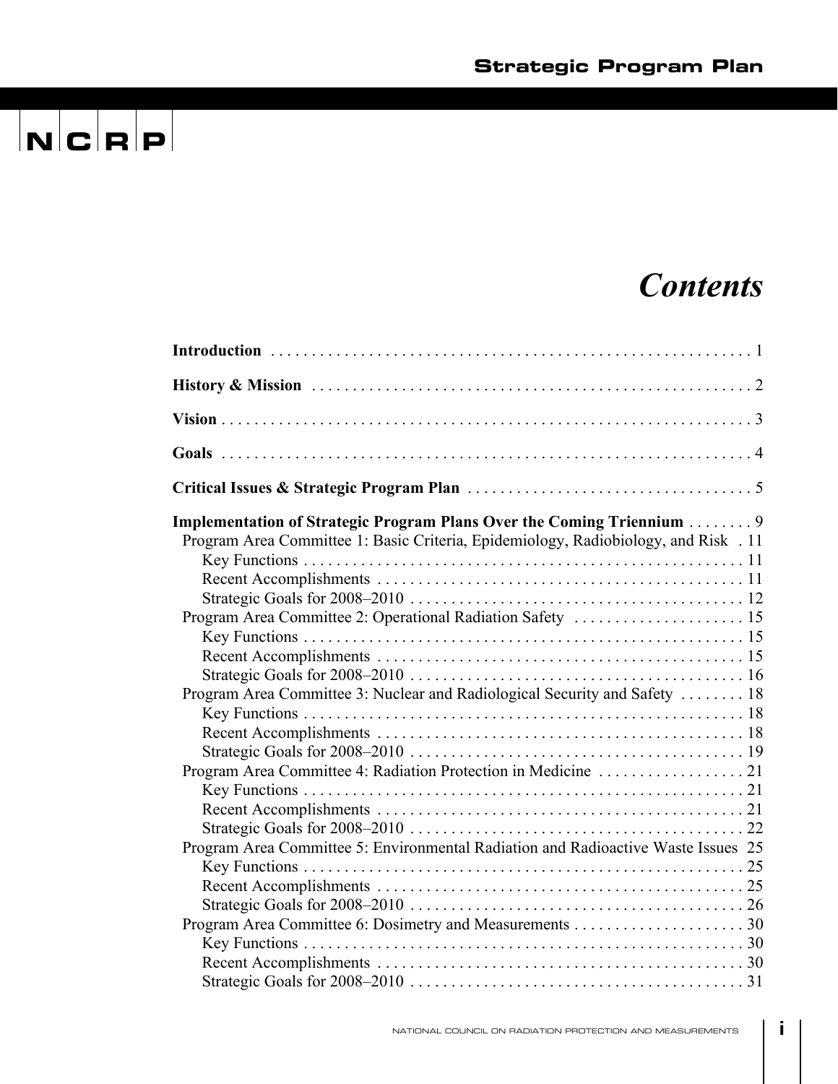### *Contents*

| Implementation of Strategic Program Plans Over the Coming Triennium  9<br>Program Area Committee 1: Basic Criteria, Epidemiology, Radiobiology, and Risk . 11 |  |
|---------------------------------------------------------------------------------------------------------------------------------------------------------------|--|
| Program Area Committee 2: Operational Radiation Safety  15                                                                                                    |  |
|                                                                                                                                                               |  |
| Program Area Committee 3: Nuclear and Radiological Security and Safety  18                                                                                    |  |
|                                                                                                                                                               |  |
|                                                                                                                                                               |  |
| Program Area Committee 5: Environmental Radiation and Radioactive Waste Issues 25                                                                             |  |
|                                                                                                                                                               |  |
|                                                                                                                                                               |  |
|                                                                                                                                                               |  |

**i**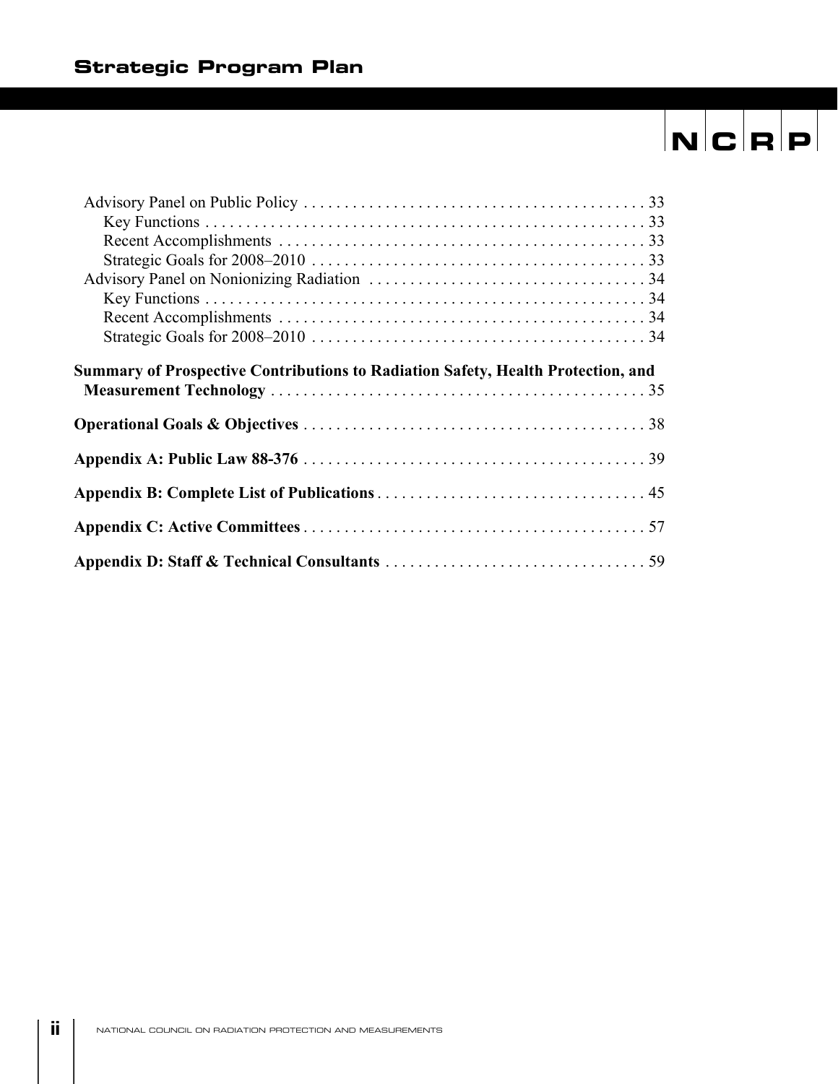| <b>Summary of Prospective Contributions to Radiation Safety, Health Protection, and</b> |  |
|-----------------------------------------------------------------------------------------|--|
|                                                                                         |  |
|                                                                                         |  |
|                                                                                         |  |
|                                                                                         |  |
|                                                                                         |  |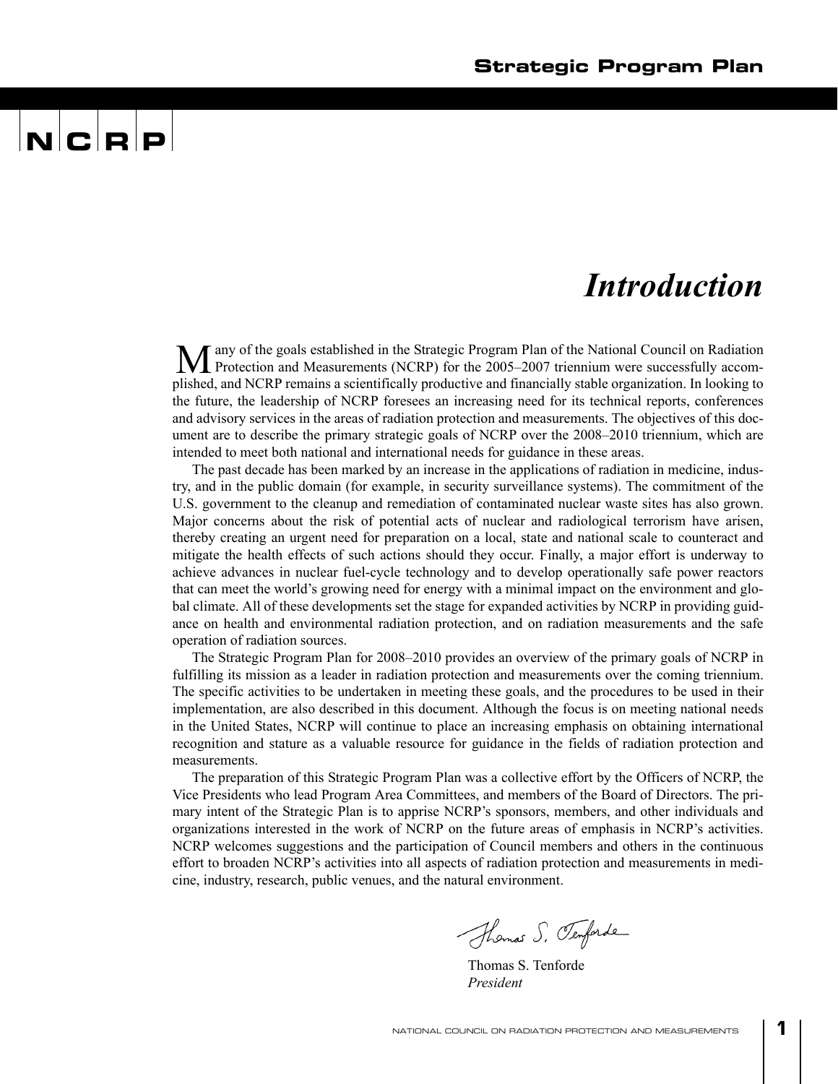## $\mathbf{N}$   $\mathbf{C}$   $\mathbf{R}$   $\mathbf{P}$

### *Introduction*

any of the goals established in the Strategic Program Plan of the National Council on Radiation M any of the goals established in the Strategic Program Plan of the National Council on Radiation<br>Protection and Measurements (NCRP) for the 2005–2007 triennium were successfully accomplished, and NCRP remains a scientifically productive and financially stable organization. In looking to the future, the leadership of NCRP foresees an increasing need for its technical reports, conferences and advisory services in the areas of radiation protection and measurements. The objectives of this document are to describe the primary strategic goals of NCRP over the 2008–2010 triennium, which are intended to meet both national and international needs for guidance in these areas.

The past decade has been marked by an increase in the applications of radiation in medicine, industry, and in the public domain (for example, in security surveillance systems). The commitment of the U.S. government to the cleanup and remediation of contaminated nuclear waste sites has also grown. Major concerns about the risk of potential acts of nuclear and radiological terrorism have arisen, thereby creating an urgent need for preparation on a local, state and national scale to counteract and mitigate the health effects of such actions should they occur. Finally, a major effort is underway to achieve advances in nuclear fuel-cycle technology and to develop operationally safe power reactors that can meet the world's growing need for energy with a minimal impact on the environment and global climate. All of these developments set the stage for expanded activities by NCRP in providing guidance on health and environmental radiation protection, and on radiation measurements and the safe operation of radiation sources.

The Strategic Program Plan for 2008–2010 provides an overview of the primary goals of NCRP in fulfilling its mission as a leader in radiation protection and measurements over the coming triennium. The specific activities to be undertaken in meeting these goals, and the procedures to be used in their implementation, are also described in this document. Although the focus is on meeting national needs in the United States, NCRP will continue to place an increasing emphasis on obtaining international recognition and stature as a valuable resource for guidance in the fields of radiation protection and measurements.

The preparation of this Strategic Program Plan was a collective effort by the Officers of NCRP, the Vice Presidents who lead Program Area Committees, and members of the Board of Directors. The primary intent of the Strategic Plan is to apprise NCRP's sponsors, members, and other individuals and organizations interested in the work of NCRP on the future areas of emphasis in NCRP's activities. NCRP welcomes suggestions and the participation of Council members and others in the continuous effort to broaden NCRP's activities into all aspects of radiation protection and measurements in medicine, industry, research, public venues, and the natural environment.

Thomas S. Temforde

Thomas S. Tenforde *President*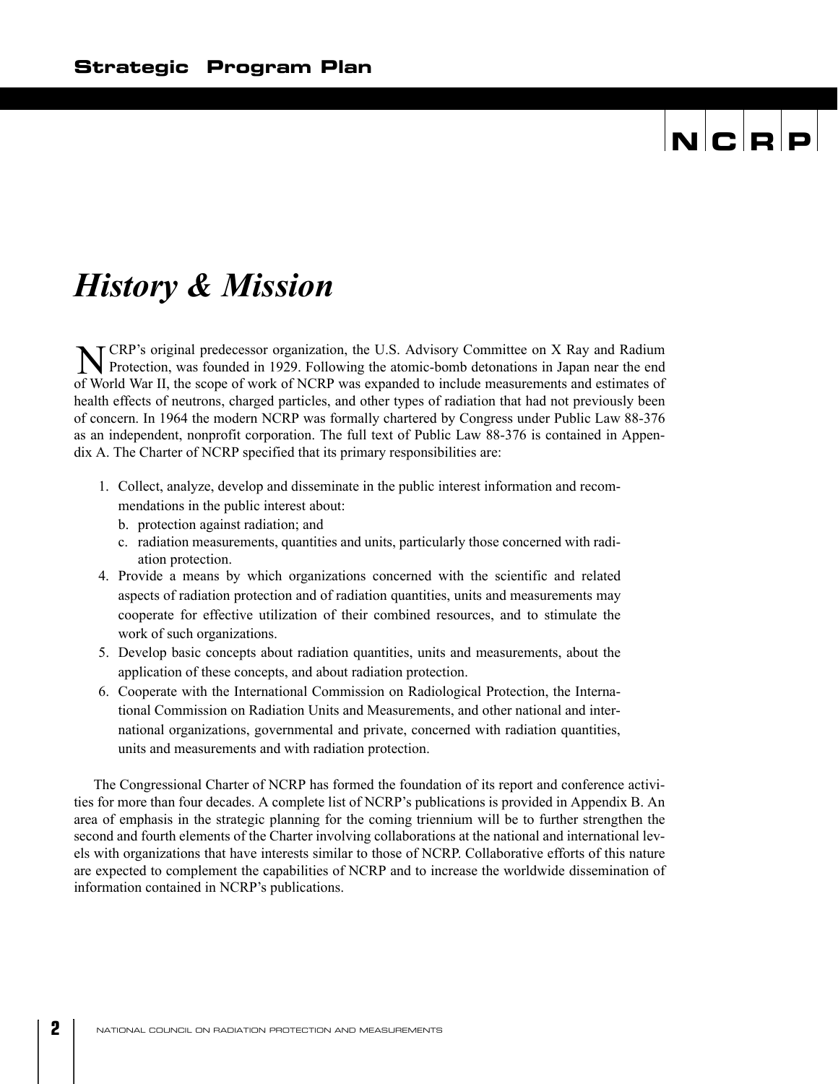### *History & Mission*

CRP's original predecessor organization, the U.S. Advisory Committee on X Ray and Radium **NORP's original predecessor organization, the U.S. Advisory Committee on X Ray and Radium**<br>Protection, was founded in 1929. Following the atomic-bomb detonations in Japan near the end of World War II, the scope of work of NCRP was expanded to include measurements and estimates of health effects of neutrons, charged particles, and other types of radiation that had not previously been of concern. In 1964 the modern NCRP was formally chartered by Congress under Public Law 88-376 as an independent, nonprofit corporation. The full text of Public Law 88-376 is contained in Appendix A. The Charter of NCRP specified that its primary responsibilities are:

- 1. Collect, analyze, develop and disseminate in the public interest information and recommendations in the public interest about:
	- b. protection against radiation; and
	- c. radiation measurements, quantities and units, particularly those concerned with radiation protection.
- 4. Provide a means by which organizations concerned with the scientific and related aspects of radiation protection and of radiation quantities, units and measurements may cooperate for effective utilization of their combined resources, and to stimulate the work of such organizations.
- 5. Develop basic concepts about radiation quantities, units and measurements, about the application of these concepts, and about radiation protection.
- 6. Cooperate with the International Commission on Radiological Protection, the International Commission on Radiation Units and Measurements, and other national and international organizations, governmental and private, concerned with radiation quantities, units and measurements and with radiation protection.

The Congressional Charter of NCRP has formed the foundation of its report and conference activities for more than four decades. A complete list of NCRP's publications is provided in Appendix B. An area of emphasis in the strategic planning for the coming triennium will be to further strengthen the second and fourth elements of the Charter involving collaborations at the national and international levels with organizations that have interests similar to those of NCRP. Collaborative efforts of this nature are expected to complement the capabilities of NCRP and to increase the worldwide dissemination of information contained in NCRP's publications.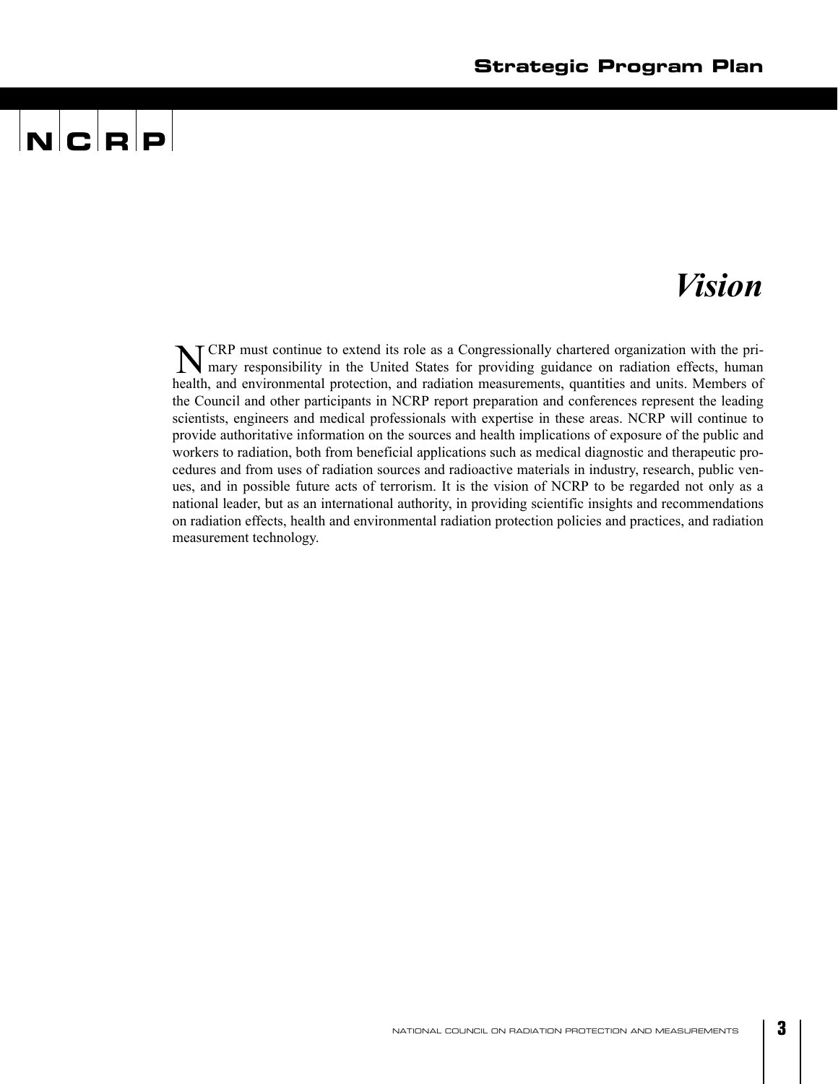### *Vision*

CRP must continue to extend its role as a Congressionally chartered organization with the pri-N CRP must continue to extend its role as a Congressionally chartered organization with the pri-<br>
Imary responsibility in the United States for providing guidance on radiation effects, human health, and environmental protection, and radiation measurements, quantities and units. Members of the Council and other participants in NCRP report preparation and conferences represent the leading scientists, engineers and medical professionals with expertise in these areas. NCRP will continue to provide authoritative information on the sources and health implications of exposure of the public and workers to radiation, both from beneficial applications such as medical diagnostic and therapeutic procedures and from uses of radiation sources and radioactive materials in industry, research, public venues, and in possible future acts of terrorism. It is the vision of NCRP to be regarded not only as a national leader, but as an international authority, in providing scientific insights and recommendations on radiation effects, health and environmental radiation protection policies and practices, and radiation measurement technology.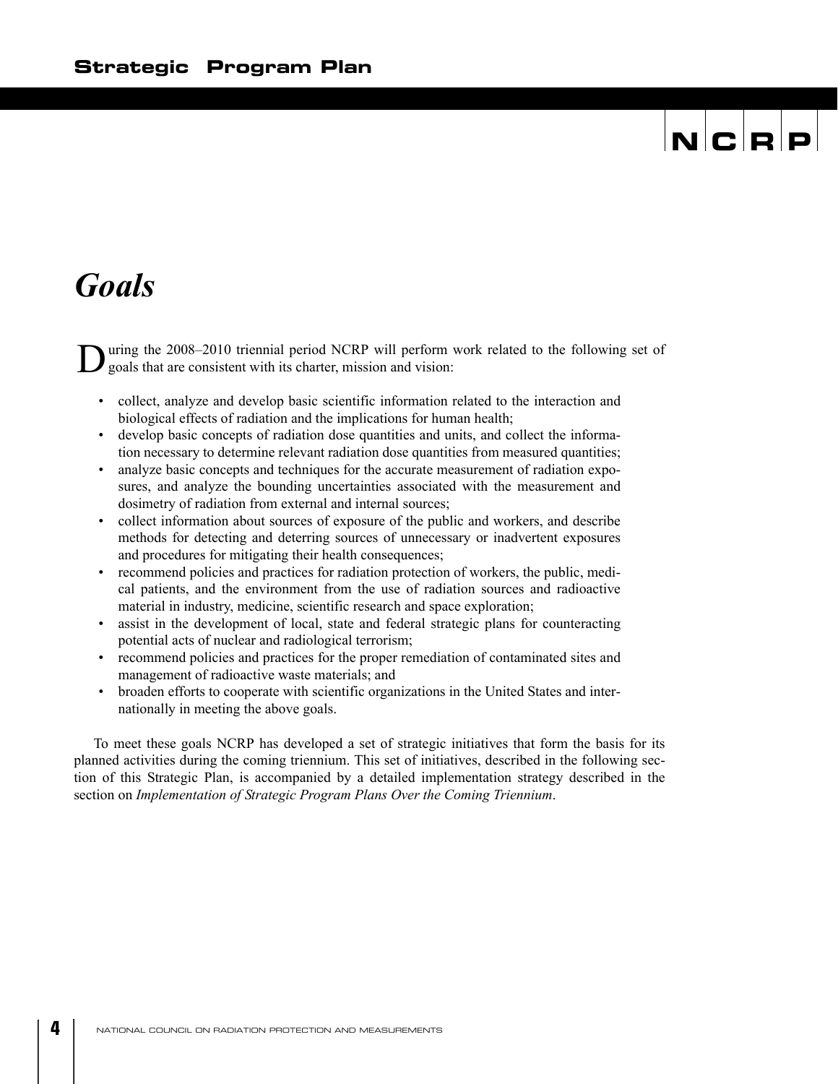### *Goals*

uring the 2008–2010 triennial period NCRP will perform work related to the following set of goals that are consistent with its charter, mission and vision: D

- collect, analyze and develop basic scientific information related to the interaction and biological effects of radiation and the implications for human health;
- develop basic concepts of radiation dose quantities and units, and collect the information necessary to determine relevant radiation dose quantities from measured quantities;
- analyze basic concepts and techniques for the accurate measurement of radiation exposures, and analyze the bounding uncertainties associated with the measurement and dosimetry of radiation from external and internal sources;
- collect information about sources of exposure of the public and workers, and describe methods for detecting and deterring sources of unnecessary or inadvertent exposures and procedures for mitigating their health consequences;
- recommend policies and practices for radiation protection of workers, the public, medical patients, and the environment from the use of radiation sources and radioactive material in industry, medicine, scientific research and space exploration;
- assist in the development of local, state and federal strategic plans for counteracting potential acts of nuclear and radiological terrorism;
- recommend policies and practices for the proper remediation of contaminated sites and management of radioactive waste materials; and
- broaden efforts to cooperate with scientific organizations in the United States and internationally in meeting the above goals.

To meet these goals NCRP has developed a set of strategic initiatives that form the basis for its planned activities during the coming triennium. This set of initiatives, described in the following section of this Strategic Plan, is accompanied by a detailed implementation strategy described in the section on *Implementation of Strategic Program Plans Over the Coming Triennium*.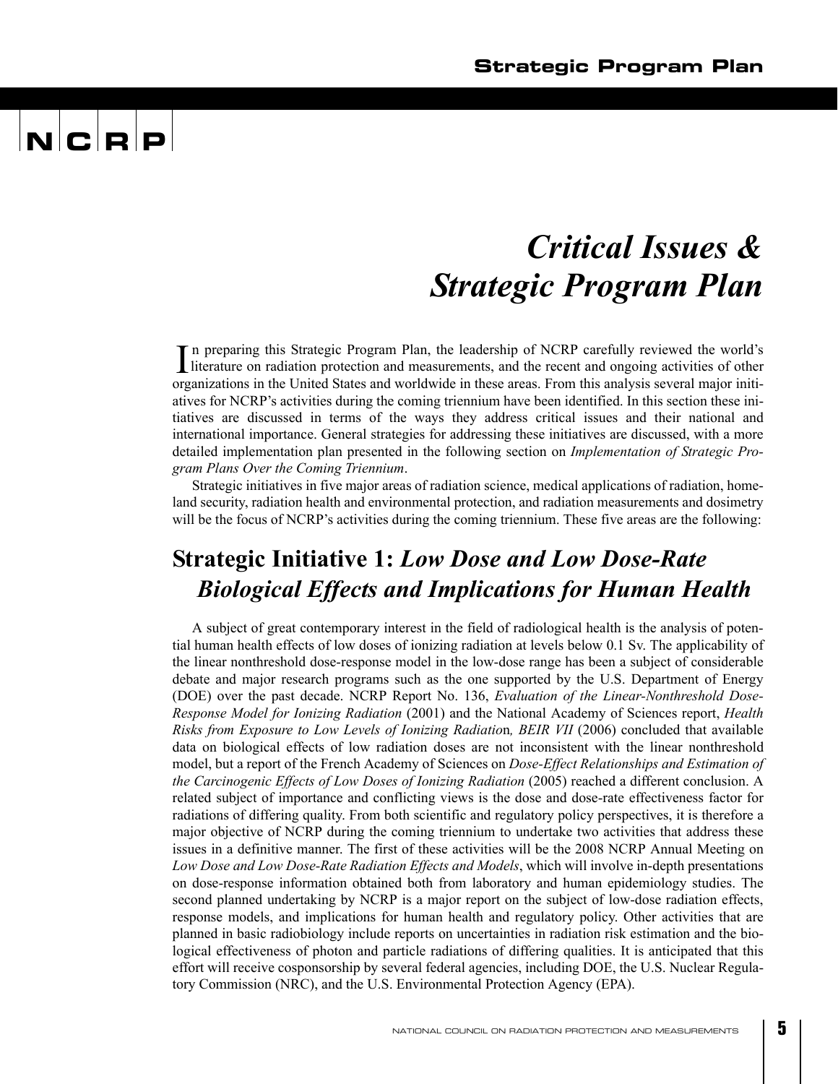### *Critical Issues & Strategic Program Plan*

n preparing this Strategic Program Plan, the leadership of NCRP carefully reviewed the world's In preparing this Strategic Program Plan, the leadership of NCRP carefully reviewed the world's literature on radiation protection and measurements, and the recent and ongoing activities of other organizations in the United States and worldwide in these areas. From this analysis several major initiatives for NCRP's activities during the coming triennium have been identified. In this section these initiatives are discussed in terms of the ways they address critical issues and their national and international importance. General strategies for addressing these initiatives are discussed, with a more detailed implementation plan presented in the following section on *Implementation of Strategic Program Plans Over the Coming Triennium*.

Strategic initiatives in five major areas of radiation science, medical applications of radiation, homeland security, radiation health and environmental protection, and radiation measurements and dosimetry will be the focus of NCRP's activities during the coming triennium. These five areas are the following:

### **Strategic Initiative 1:** *Low Dose and Low Dose-Rate Biological Effects and Implications for Human Health*

A subject of great contemporary interest in the field of radiological health is the analysis of potential human health effects of low doses of ionizing radiation at levels below 0.1 Sv. The applicability of the linear nonthreshold dose-response model in the low-dose range has been a subject of considerable debate and major research programs such as the one supported by the U.S. Department of Energy (DOE) over the past decade. NCRP Report No. 136, *Evaluation of the Linear-Nonthreshold Dose-Response Model for Ionizing Radiation* (2001) and the National Academy of Sciences report, *Health Risks from Exposure to Low Levels of Ionizing Radiatio*n*, BEIR VII* (2006) concluded that available data on biological effects of low radiation doses are not inconsistent with the linear nonthreshold model, but a report of the French Academy of Sciences on *Dose-Effect Relationships and Estimation of the Carcinogenic Effects of Low Doses of Ionizing Radiation* (2005) reached a different conclusion. A related subject of importance and conflicting views is the dose and dose-rate effectiveness factor for radiations of differing quality. From both scientific and regulatory policy perspectives, it is therefore a major objective of NCRP during the coming triennium to undertake two activities that address these issues in a definitive manner. The first of these activities will be the 2008 NCRP Annual Meeting on *Low Dose and Low Dose-Rate Radiation Effects and Models*, which will involve in-depth presentations on dose-response information obtained both from laboratory and human epidemiology studies. The second planned undertaking by NCRP is a major report on the subject of low-dose radiation effects, response models, and implications for human health and regulatory policy. Other activities that are planned in basic radiobiology include reports on uncertainties in radiation risk estimation and the biological effectiveness of photon and particle radiations of differing qualities. It is anticipated that this effort will receive cosponsorship by several federal agencies, including DOE, the U.S. Nuclear Regulatory Commission (NRC), and the U.S. Environmental Protection Agency (EPA).

**5**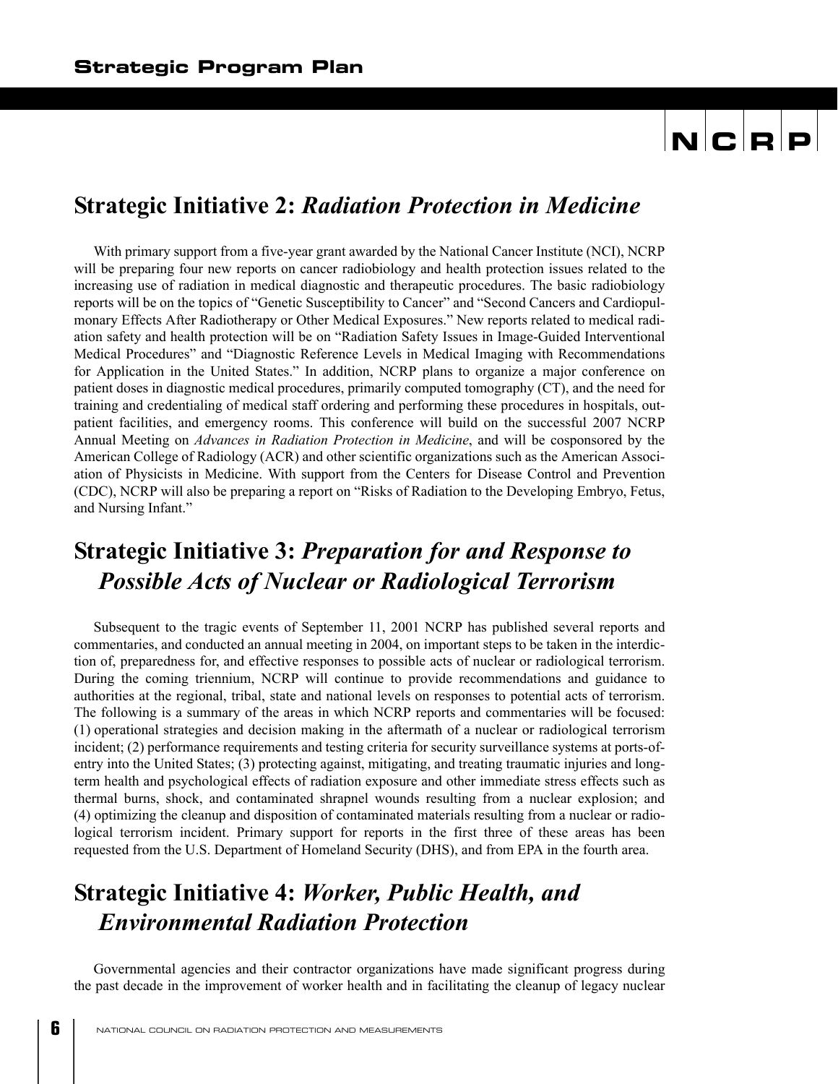### **Strategic Initiative 2:** *Radiation Protection in Medicine*

With primary support from a five-year grant awarded by the National Cancer Institute (NCI), NCRP will be preparing four new reports on cancer radiobiology and health protection issues related to the increasing use of radiation in medical diagnostic and therapeutic procedures. The basic radiobiology reports will be on the topics of "Genetic Susceptibility to Cancer" and "Second Cancers and Cardiopulmonary Effects After Radiotherapy or Other Medical Exposures." New reports related to medical radiation safety and health protection will be on "Radiation Safety Issues in Image-Guided Interventional Medical Procedures" and "Diagnostic Reference Levels in Medical Imaging with Recommendations for Application in the United States." In addition, NCRP plans to organize a major conference on patient doses in diagnostic medical procedures, primarily computed tomography (CT), and the need for training and credentialing of medical staff ordering and performing these procedures in hospitals, outpatient facilities, and emergency rooms. This conference will build on the successful 2007 NCRP Annual Meeting on *Advances in Radiation Protection in Medicine*, and will be cosponsored by the American College of Radiology (ACR) and other scientific organizations such as the American Association of Physicists in Medicine. With support from the Centers for Disease Control and Prevention (CDC), NCRP will also be preparing a report on "Risks of Radiation to the Developing Embryo, Fetus, and Nursing Infant."

### **Strategic Initiative 3:** *Preparation for and Response to Possible Acts of Nuclear or Radiological Terrorism*

Subsequent to the tragic events of September 11, 2001 NCRP has published several reports and commentaries, and conducted an annual meeting in 2004, on important steps to be taken in the interdiction of, preparedness for, and effective responses to possible acts of nuclear or radiological terrorism. During the coming triennium, NCRP will continue to provide recommendations and guidance to authorities at the regional, tribal, state and national levels on responses to potential acts of terrorism. The following is a summary of the areas in which NCRP reports and commentaries will be focused: (1) operational strategies and decision making in the aftermath of a nuclear or radiological terrorism incident; (2) performance requirements and testing criteria for security surveillance systems at ports-ofentry into the United States; (3) protecting against, mitigating, and treating traumatic injuries and longterm health and psychological effects of radiation exposure and other immediate stress effects such as thermal burns, shock, and contaminated shrapnel wounds resulting from a nuclear explosion; and (4) optimizing the cleanup and disposition of contaminated materials resulting from a nuclear or radiological terrorism incident. Primary support for reports in the first three of these areas has been requested from the U.S. Department of Homeland Security (DHS), and from EPA in the fourth area.

### **Strategic Initiative 4:** *Worker, Public Health, and Environmental Radiation Protection*

Governmental agencies and their contractor organizations have made significant progress during the past decade in the improvement of worker health and in facilitating the cleanup of legacy nuclear

**6**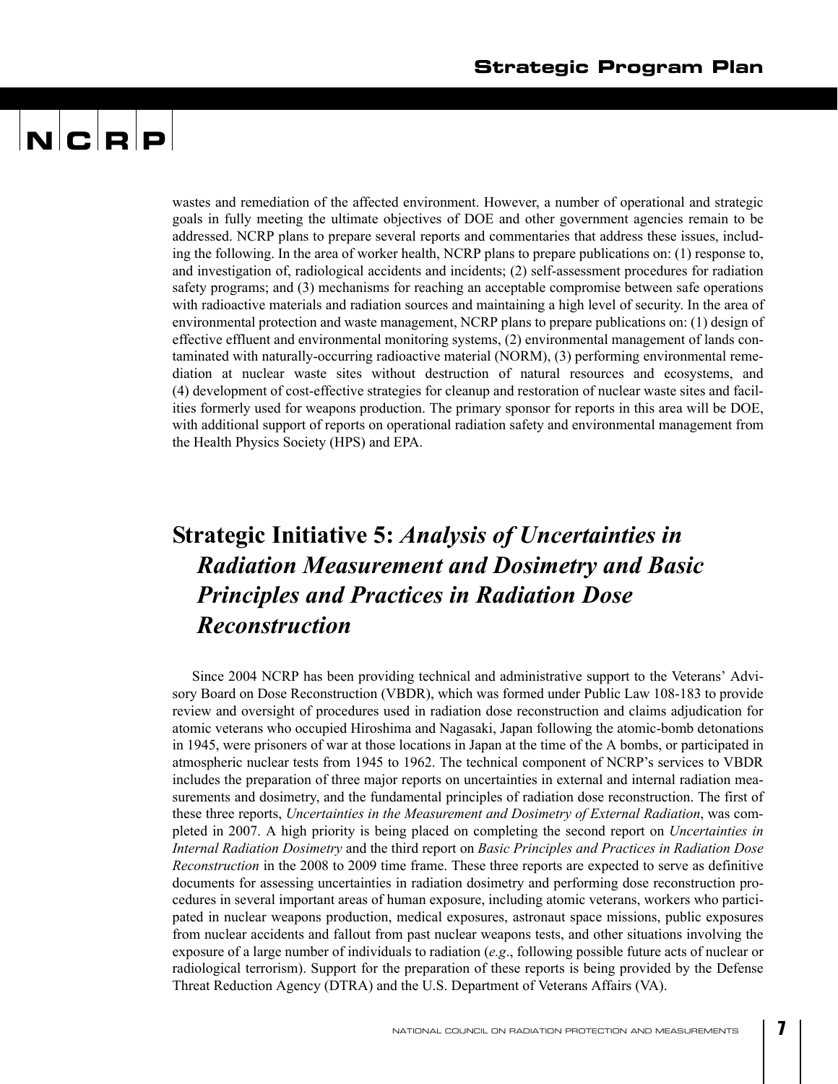## $\mathbf{N}$   $\mathbf{C}$   $\mathbf{R}$   $\mathbf{P}$

wastes and remediation of the affected environment. However, a number of operational and strategic goals in fully meeting the ultimate objectives of DOE and other government agencies remain to be addressed. NCRP plans to prepare several reports and commentaries that address these issues, including the following. In the area of worker health, NCRP plans to prepare publications on: (1) response to, and investigation of, radiological accidents and incidents; (2) self-assessment procedures for radiation safety programs; and (3) mechanisms for reaching an acceptable compromise between safe operations with radioactive materials and radiation sources and maintaining a high level of security. In the area of environmental protection and waste management, NCRP plans to prepare publications on: (1) design of effective effluent and environmental monitoring systems, (2) environmental management of lands contaminated with naturally-occurring radioactive material (NORM), (3) performing environmental remediation at nuclear waste sites without destruction of natural resources and ecosystems, and (4) development of cost-effective strategies for cleanup and restoration of nuclear waste sites and facilities formerly used for weapons production. The primary sponsor for reports in this area will be DOE, with additional support of reports on operational radiation safety and environmental management from the Health Physics Society (HPS) and EPA.

### **Strategic Initiative 5:** *Analysis of Uncertainties in Radiation Measurement and Dosimetry and Basic Principles and Practices in Radiation Dose Reconstruction*

Since 2004 NCRP has been providing technical and administrative support to the Veterans' Advisory Board on Dose Reconstruction (VBDR), which was formed under Public Law 108-183 to provide review and oversight of procedures used in radiation dose reconstruction and claims adjudication for atomic veterans who occupied Hiroshima and Nagasaki, Japan following the atomic-bomb detonations in 1945, were prisoners of war at those locations in Japan at the time of the A bombs, or participated in atmospheric nuclear tests from 1945 to 1962. The technical component of NCRP's services to VBDR includes the preparation of three major reports on uncertainties in external and internal radiation measurements and dosimetry, and the fundamental principles of radiation dose reconstruction. The first of these three reports, *Uncertainties in the Measurement and Dosimetry of External Radiation*, was completed in 2007. A high priority is being placed on completing the second report on *Uncertainties in Internal Radiation Dosimetry* and the third report on *Basic Principles and Practices in Radiation Dose Reconstruction* in the 2008 to 2009 time frame. These three reports are expected to serve as definitive documents for assessing uncertainties in radiation dosimetry and performing dose reconstruction procedures in several important areas of human exposure, including atomic veterans, workers who participated in nuclear weapons production, medical exposures, astronaut space missions, public exposures from nuclear accidents and fallout from past nuclear weapons tests, and other situations involving the exposure of a large number of individuals to radiation (*e.g*., following possible future acts of nuclear or radiological terrorism). Support for the preparation of these reports is being provided by the Defense Threat Reduction Agency (DTRA) and the U.S. Department of Veterans Affairs (VA).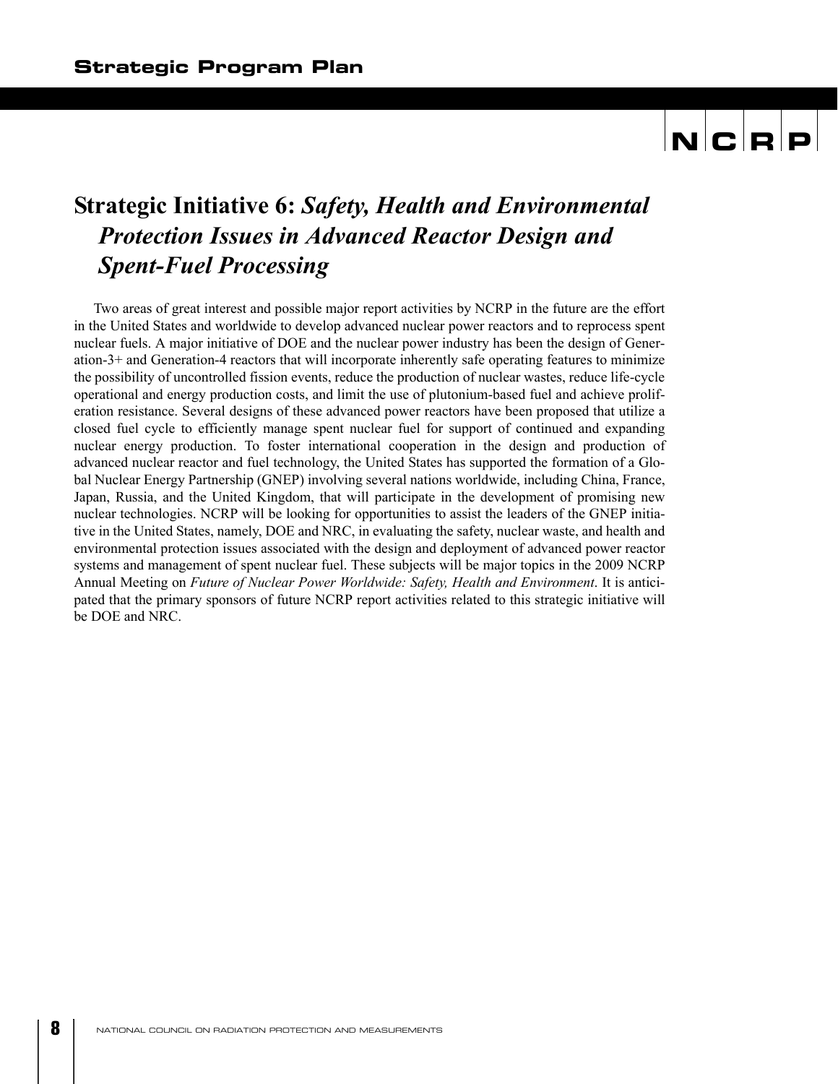### **Strategic Initiative 6:** *Safety, Health and Environmental Protection Issues in Advanced Reactor Design and Spent-Fuel Processing*

Two areas of great interest and possible major report activities by NCRP in the future are the effort in the United States and worldwide to develop advanced nuclear power reactors and to reprocess spent nuclear fuels. A major initiative of DOE and the nuclear power industry has been the design of Generation-3+ and Generation-4 reactors that will incorporate inherently safe operating features to minimize the possibility of uncontrolled fission events, reduce the production of nuclear wastes, reduce life-cycle operational and energy production costs, and limit the use of plutonium-based fuel and achieve proliferation resistance. Several designs of these advanced power reactors have been proposed that utilize a closed fuel cycle to efficiently manage spent nuclear fuel for support of continued and expanding nuclear energy production. To foster international cooperation in the design and production of advanced nuclear reactor and fuel technology, the United States has supported the formation of a Global Nuclear Energy Partnership (GNEP) involving several nations worldwide, including China, France, Japan, Russia, and the United Kingdom, that will participate in the development of promising new nuclear technologies. NCRP will be looking for opportunities to assist the leaders of the GNEP initiative in the United States, namely, DOE and NRC, in evaluating the safety, nuclear waste, and health and environmental protection issues associated with the design and deployment of advanced power reactor systems and management of spent nuclear fuel. These subjects will be major topics in the 2009 NCRP Annual Meeting on *Future of Nuclear Power Worldwide: Safety, Health and Environment*. It is anticipated that the primary sponsors of future NCRP report activities related to this strategic initiative will be DOE and NRC.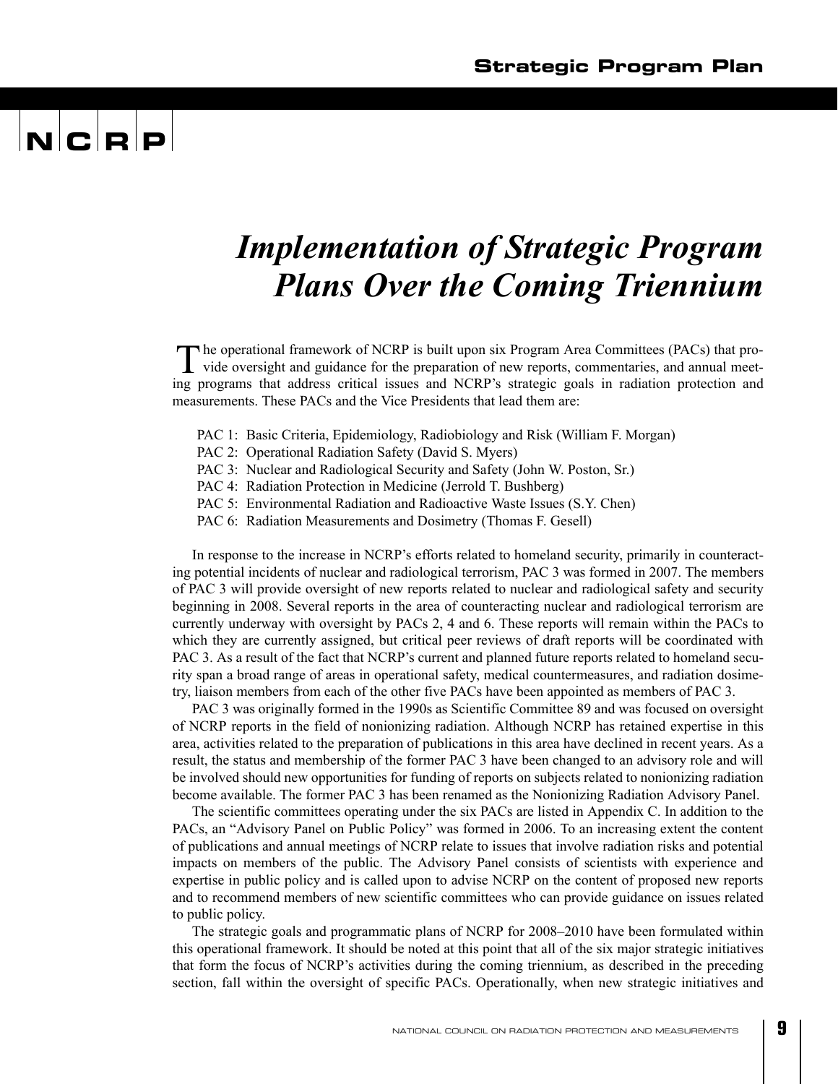### *Implementation of Strategic Program Plans Over the Coming Triennium*

he operational framework of NCRP is built upon six Program Area Committees (PACs) that pro-The operational framework of NCRP is built upon six Program Area Committees (PACs) that provide oversight and guidance for the preparation of new reports, commentaries, and annual meeting programs that address critical issues and NCRP's strategic goals in radiation protection and measurements. These PACs and the Vice Presidents that lead them are:

- PAC 1: Basic Criteria, Epidemiology, Radiobiology and Risk (William F. Morgan)
- PAC 2: Operational Radiation Safety (David S. Myers)
- PAC 3: Nuclear and Radiological Security and Safety (John W. Poston, Sr.)
- PAC 4: Radiation Protection in Medicine (Jerrold T. Bushberg)
- PAC 5: Environmental Radiation and Radioactive Waste Issues (S.Y. Chen)
- PAC 6: Radiation Measurements and Dosimetry (Thomas F. Gesell)

In response to the increase in NCRP's efforts related to homeland security, primarily in counteracting potential incidents of nuclear and radiological terrorism, PAC 3 was formed in 2007. The members of PAC 3 will provide oversight of new reports related to nuclear and radiological safety and security beginning in 2008. Several reports in the area of counteracting nuclear and radiological terrorism are currently underway with oversight by PACs 2, 4 and 6. These reports will remain within the PACs to which they are currently assigned, but critical peer reviews of draft reports will be coordinated with PAC 3. As a result of the fact that NCRP's current and planned future reports related to homeland security span a broad range of areas in operational safety, medical countermeasures, and radiation dosimetry, liaison members from each of the other five PACs have been appointed as members of PAC 3.

PAC 3 was originally formed in the 1990s as Scientific Committee 89 and was focused on oversight of NCRP reports in the field of nonionizing radiation. Although NCRP has retained expertise in this area, activities related to the preparation of publications in this area have declined in recent years. As a result, the status and membership of the former PAC 3 have been changed to an advisory role and will be involved should new opportunities for funding of reports on subjects related to nonionizing radiation become available. The former PAC 3 has been renamed as the Nonionizing Radiation Advisory Panel.

The scientific committees operating under the six PACs are listed in Appendix C. In addition to the PACs, an "Advisory Panel on Public Policy" was formed in 2006. To an increasing extent the content of publications and annual meetings of NCRP relate to issues that involve radiation risks and potential impacts on members of the public. The Advisory Panel consists of scientists with experience and expertise in public policy and is called upon to advise NCRP on the content of proposed new reports and to recommend members of new scientific committees who can provide guidance on issues related to public policy.

The strategic goals and programmatic plans of NCRP for 2008–2010 have been formulated within this operational framework. It should be noted at this point that all of the six major strategic initiatives that form the focus of NCRP's activities during the coming triennium, as described in the preceding section, fall within the oversight of specific PACs. Operationally, when new strategic initiatives and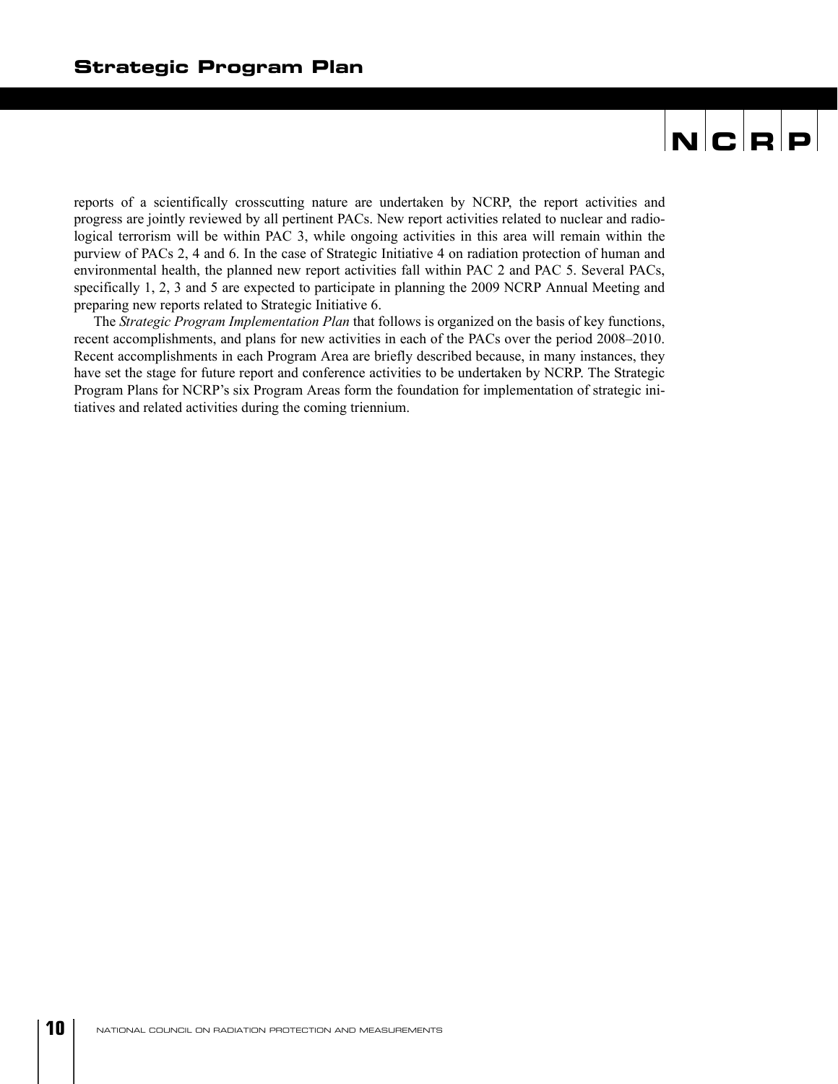reports of a scientifically crosscutting nature are undertaken by NCRP, the report activities and progress are jointly reviewed by all pertinent PACs. New report activities related to nuclear and radiological terrorism will be within PAC 3, while ongoing activities in this area will remain within the purview of PACs 2, 4 and 6. In the case of Strategic Initiative 4 on radiation protection of human and environmental health, the planned new report activities fall within PAC 2 and PAC 5. Several PACs, specifically 1, 2, 3 and 5 are expected to participate in planning the 2009 NCRP Annual Meeting and preparing new reports related to Strategic Initiative 6.

The *Strategic Program Implementation Plan* that follows is organized on the basis of key functions, recent accomplishments, and plans for new activities in each of the PACs over the period 2008–2010. Recent accomplishments in each Program Area are briefly described because, in many instances, they have set the stage for future report and conference activities to be undertaken by NCRP. The Strategic Program Plans for NCRP's six Program Areas form the foundation for implementation of strategic initiatives and related activities during the coming triennium.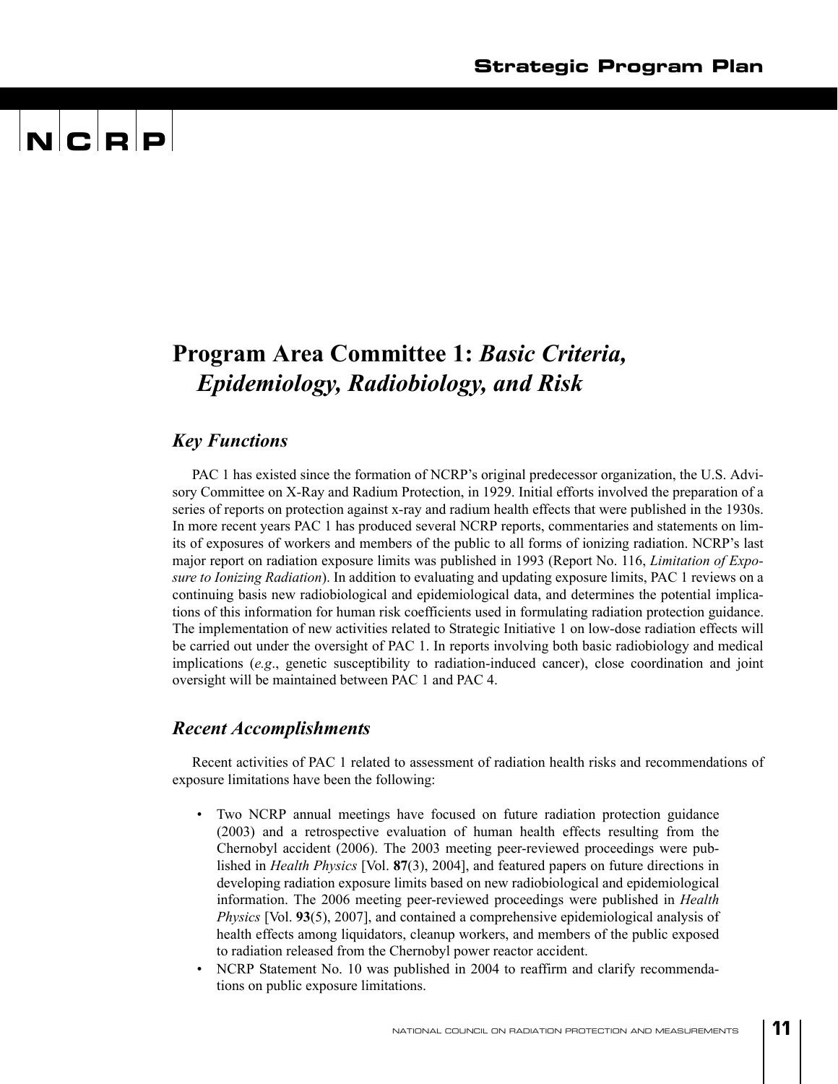## $\mathbf{N}$   $\mathbf{C}$   $\mathbf{R}$   $\mathbf{P}$

### **Program Area Committee 1:** *Basic Criteria, Epidemiology, Radiobiology, and Risk*

#### *Key Functions*

PAC 1 has existed since the formation of NCRP's original predecessor organization, the U.S. Advisory Committee on X-Ray and Radium Protection, in 1929. Initial efforts involved the preparation of a series of reports on protection against x-ray and radium health effects that were published in the 1930s. In more recent years PAC 1 has produced several NCRP reports, commentaries and statements on limits of exposures of workers and members of the public to all forms of ionizing radiation. NCRP's last major report on radiation exposure limits was published in 1993 (Report No. 116, *Limitation of Exposure to Ionizing Radiation*). In addition to evaluating and updating exposure limits, PAC 1 reviews on a continuing basis new radiobiological and epidemiological data, and determines the potential implications of this information for human risk coefficients used in formulating radiation protection guidance. The implementation of new activities related to Strategic Initiative 1 on low-dose radiation effects will be carried out under the oversight of PAC 1. In reports involving both basic radiobiology and medical implications (*e.g*., genetic susceptibility to radiation-induced cancer), close coordination and joint oversight will be maintained between PAC 1 and PAC 4.

#### *Recent Accomplishments*

Recent activities of PAC 1 related to assessment of radiation health risks and recommendations of exposure limitations have been the following:

- Two NCRP annual meetings have focused on future radiation protection guidance (2003) and a retrospective evaluation of human health effects resulting from the Chernobyl accident (2006). The 2003 meeting peer-reviewed proceedings were published in *Health Physics* [Vol. **87**(3), 2004], and featured papers on future directions in developing radiation exposure limits based on new radiobiological and epidemiological information. The 2006 meeting peer-reviewed proceedings were published in *Health Physics* [Vol. **93**(5), 2007], and contained a comprehensive epidemiological analysis of health effects among liquidators, cleanup workers, and members of the public exposed to radiation released from the Chernobyl power reactor accident.
- NCRP Statement No. 10 was published in 2004 to reaffirm and clarify recommendations on public exposure limitations.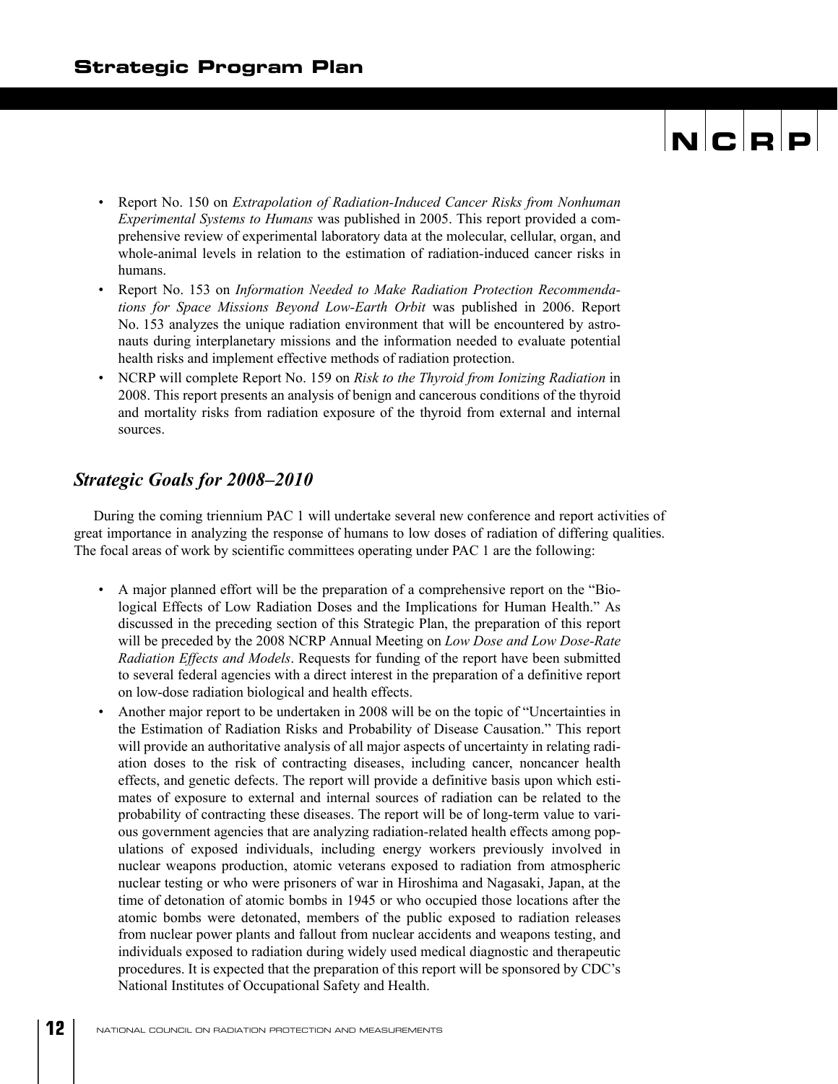- Report No. 150 on *Extrapolation of Radiation-Induced Cancer Risks from Nonhuman Experimental Systems to Humans* was published in 2005. This report provided a comprehensive review of experimental laboratory data at the molecular, cellular, organ, and whole-animal levels in relation to the estimation of radiation-induced cancer risks in humans.
- Report No. 153 on *Information Needed to Make Radiation Protection Recommendations for Space Missions Beyond Low-Earth Orbit* was published in 2006. Report No. 153 analyzes the unique radiation environment that will be encountered by astronauts during interplanetary missions and the information needed to evaluate potential health risks and implement effective methods of radiation protection.
- NCRP will complete Report No. 159 on *Risk to the Thyroid from Ionizing Radiation* in 2008. This report presents an analysis of benign and cancerous conditions of the thyroid and mortality risks from radiation exposure of the thyroid from external and internal sources.

#### *Strategic Goals for 2008–2010*

During the coming triennium PAC 1 will undertake several new conference and report activities of great importance in analyzing the response of humans to low doses of radiation of differing qualities. The focal areas of work by scientific committees operating under PAC 1 are the following:

- A major planned effort will be the preparation of a comprehensive report on the "Biological Effects of Low Radiation Doses and the Implications for Human Health." As discussed in the preceding section of this Strategic Plan, the preparation of this report will be preceded by the 2008 NCRP Annual Meeting on *Low Dose and Low Dose-Rate Radiation Effects and Models*. Requests for funding of the report have been submitted to several federal agencies with a direct interest in the preparation of a definitive report on low-dose radiation biological and health effects.
- Another major report to be undertaken in 2008 will be on the topic of "Uncertainties in the Estimation of Radiation Risks and Probability of Disease Causation." This report will provide an authoritative analysis of all major aspects of uncertainty in relating radiation doses to the risk of contracting diseases, including cancer, noncancer health effects, and genetic defects. The report will provide a definitive basis upon which estimates of exposure to external and internal sources of radiation can be related to the probability of contracting these diseases. The report will be of long-term value to various government agencies that are analyzing radiation-related health effects among populations of exposed individuals, including energy workers previously involved in nuclear weapons production, atomic veterans exposed to radiation from atmospheric nuclear testing or who were prisoners of war in Hiroshima and Nagasaki, Japan, at the time of detonation of atomic bombs in 1945 or who occupied those locations after the atomic bombs were detonated, members of the public exposed to radiation releases from nuclear power plants and fallout from nuclear accidents and weapons testing, and individuals exposed to radiation during widely used medical diagnostic and therapeutic procedures. It is expected that the preparation of this report will be sponsored by CDC's National Institutes of Occupational Safety and Health.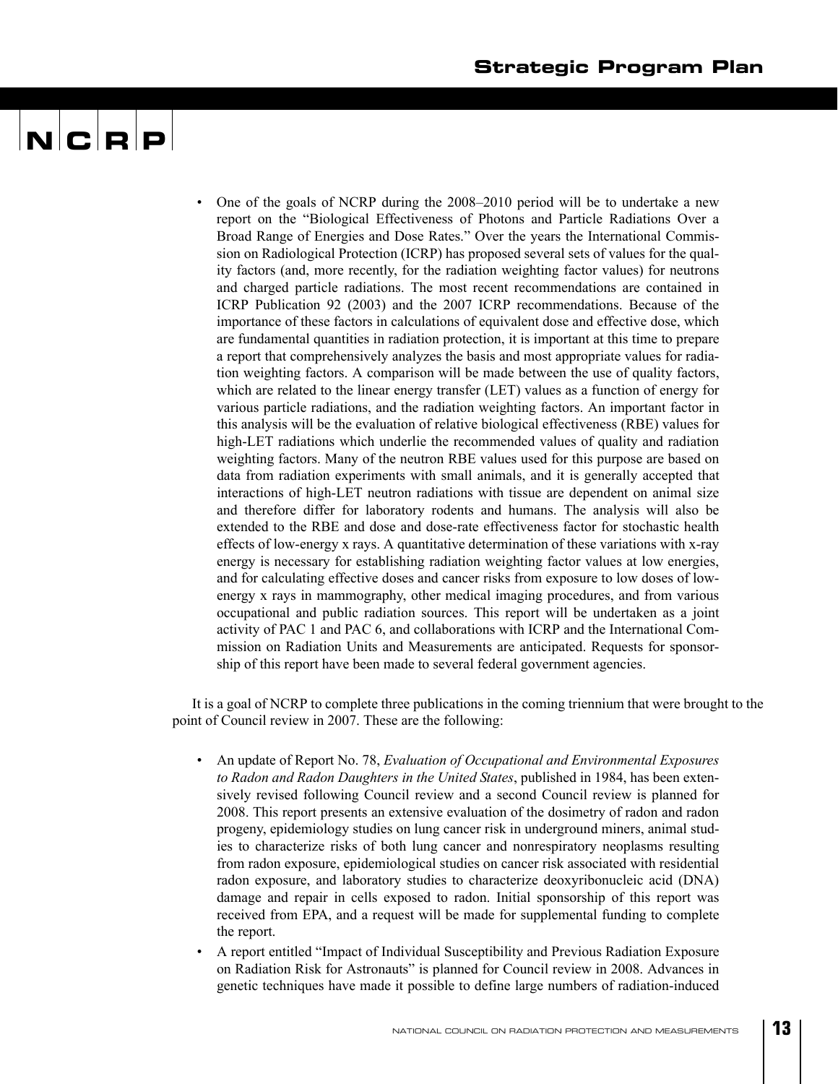• One of the goals of NCRP during the 2008–2010 period will be to undertake a new report on the "Biological Effectiveness of Photons and Particle Radiations Over a Broad Range of Energies and Dose Rates." Over the years the International Commission on Radiological Protection (ICRP) has proposed several sets of values for the quality factors (and, more recently, for the radiation weighting factor values) for neutrons and charged particle radiations. The most recent recommendations are contained in ICRP Publication 92 (2003) and the 2007 ICRP recommendations. Because of the importance of these factors in calculations of equivalent dose and effective dose, which are fundamental quantities in radiation protection, it is important at this time to prepare a report that comprehensively analyzes the basis and most appropriate values for radiation weighting factors. A comparison will be made between the use of quality factors, which are related to the linear energy transfer (LET) values as a function of energy for various particle radiations, and the radiation weighting factors. An important factor in this analysis will be the evaluation of relative biological effectiveness (RBE) values for high-LET radiations which underlie the recommended values of quality and radiation weighting factors. Many of the neutron RBE values used for this purpose are based on data from radiation experiments with small animals, and it is generally accepted that interactions of high-LET neutron radiations with tissue are dependent on animal size and therefore differ for laboratory rodents and humans. The analysis will also be extended to the RBE and dose and dose-rate effectiveness factor for stochastic health effects of low-energy x rays. A quantitative determination of these variations with x-ray energy is necessary for establishing radiation weighting factor values at low energies, and for calculating effective doses and cancer risks from exposure to low doses of lowenergy x rays in mammography, other medical imaging procedures, and from various occupational and public radiation sources. This report will be undertaken as a joint activity of PAC 1 and PAC 6, and collaborations with ICRP and the International Commission on Radiation Units and Measurements are anticipated. Requests for sponsorship of this report have been made to several federal government agencies.

It is a goal of NCRP to complete three publications in the coming triennium that were brought to the point of Council review in 2007. These are the following:

- An update of Report No. 78, *Evaluation of Occupational and Environmental Exposures to Radon and Radon Daughters in the United States*, published in 1984, has been extensively revised following Council review and a second Council review is planned for 2008. This report presents an extensive evaluation of the dosimetry of radon and radon progeny, epidemiology studies on lung cancer risk in underground miners, animal studies to characterize risks of both lung cancer and nonrespiratory neoplasms resulting from radon exposure, epidemiological studies on cancer risk associated with residential radon exposure, and laboratory studies to characterize deoxyribonucleic acid (DNA) damage and repair in cells exposed to radon. Initial sponsorship of this report was received from EPA, and a request will be made for supplemental funding to complete the report.
- A report entitled "Impact of Individual Susceptibility and Previous Radiation Exposure on Radiation Risk for Astronauts" is planned for Council review in 2008. Advances in genetic techniques have made it possible to define large numbers of radiation-induced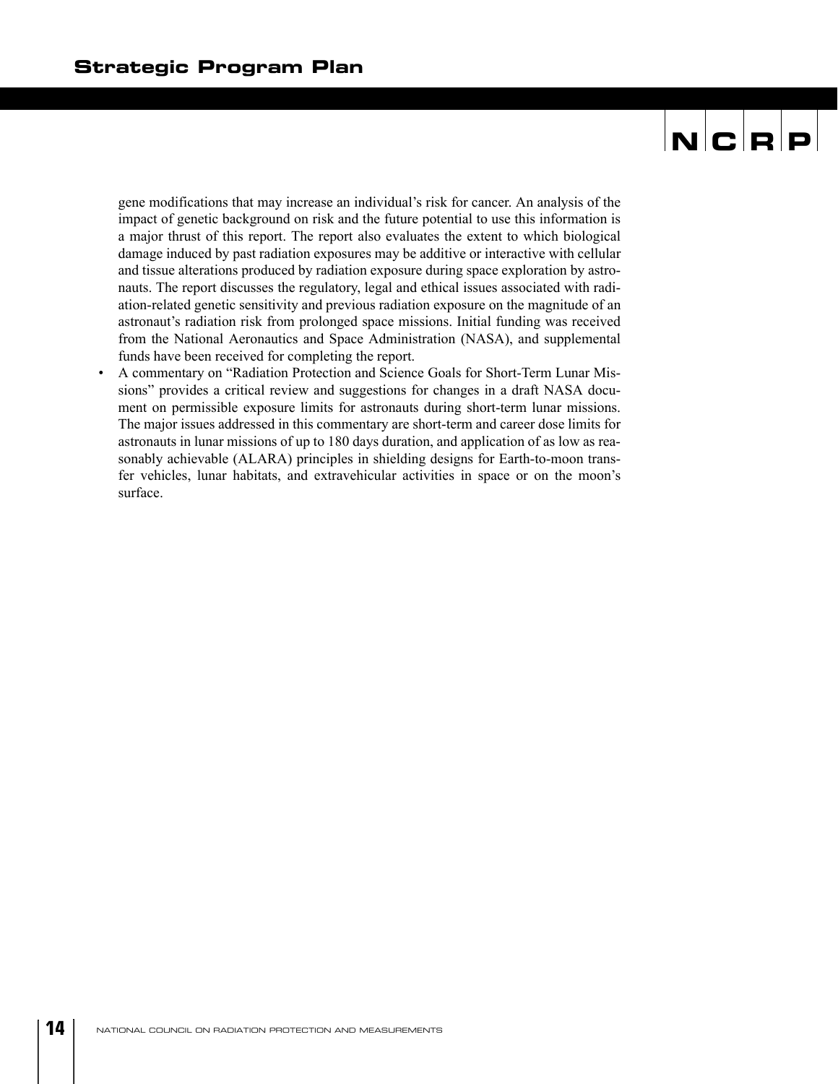gene modifications that may increase an individual's risk for cancer. An analysis of the impact of genetic background on risk and the future potential to use this information is a major thrust of this report. The report also evaluates the extent to which biological damage induced by past radiation exposures may be additive or interactive with cellular and tissue alterations produced by radiation exposure during space exploration by astronauts. The report discusses the regulatory, legal and ethical issues associated with radiation-related genetic sensitivity and previous radiation exposure on the magnitude of an astronaut's radiation risk from prolonged space missions. Initial funding was received from the National Aeronautics and Space Administration (NASA), and supplemental funds have been received for completing the report.

• A commentary on "Radiation Protection and Science Goals for Short-Term Lunar Missions" provides a critical review and suggestions for changes in a draft NASA document on permissible exposure limits for astronauts during short-term lunar missions. The major issues addressed in this commentary are short-term and career dose limits for astronauts in lunar missions of up to 180 days duration, and application of as low as reasonably achievable (ALARA) principles in shielding designs for Earth-to-moon transfer vehicles, lunar habitats, and extravehicular activities in space or on the moon's surface.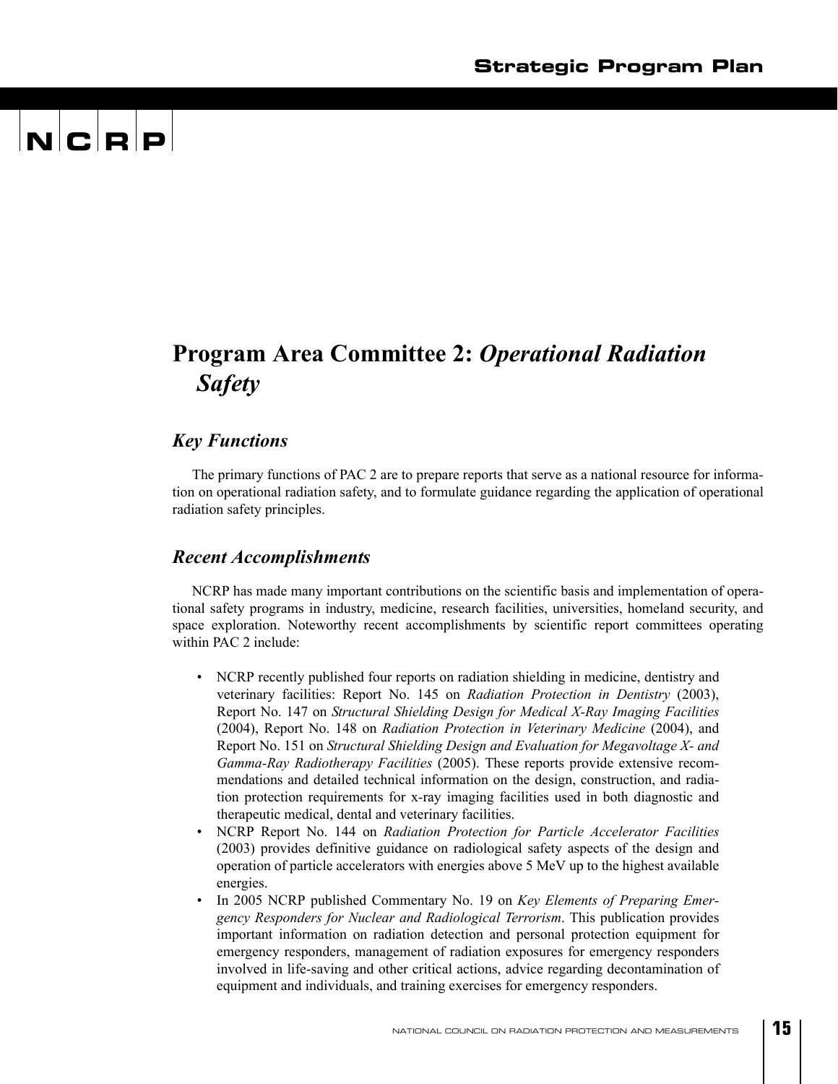## $\mathbf{N}$   $\mathbf{C}$   $\mathbf{R}$   $\mathbf{P}$

### **Program Area Committee 2:** *Operational Radiation Safety*

#### *Key Functions*

The primary functions of PAC 2 are to prepare reports that serve as a national resource for information on operational radiation safety, and to formulate guidance regarding the application of operational radiation safety principles.

#### *Recent Accomplishments*

NCRP has made many important contributions on the scientific basis and implementation of operational safety programs in industry, medicine, research facilities, universities, homeland security, and space exploration. Noteworthy recent accomplishments by scientific report committees operating within PAC 2 include:

- NCRP recently published four reports on radiation shielding in medicine, dentistry and veterinary facilities: Report No. 145 on *Radiation Protection in Dentistry* (2003), Report No. 147 on *Structural Shielding Design for Medical X-Ray Imaging Facilities* (2004), Report No. 148 on *Radiation Protection in Veterinary Medicine* (2004), and Report No. 151 on *Structural Shielding Design and Evaluation for Megavoltage X- and Gamma-Ray Radiotherapy Facilities* (2005). These reports provide extensive recommendations and detailed technical information on the design, construction, and radiation protection requirements for x-ray imaging facilities used in both diagnostic and therapeutic medical, dental and veterinary facilities.
- NCRP Report No. 144 on *Radiation Protection for Particle Accelerator Facilities* (2003) provides definitive guidance on radiological safety aspects of the design and operation of particle accelerators with energies above 5 MeV up to the highest available energies.
- In 2005 NCRP published Commentary No. 19 on *Key Elements of Preparing Emergency Responders for Nuclear and Radiological Terrorism*. This publication provides important information on radiation detection and personal protection equipment for emergency responders, management of radiation exposures for emergency responders involved in life-saving and other critical actions, advice regarding decontamination of equipment and individuals, and training exercises for emergency responders.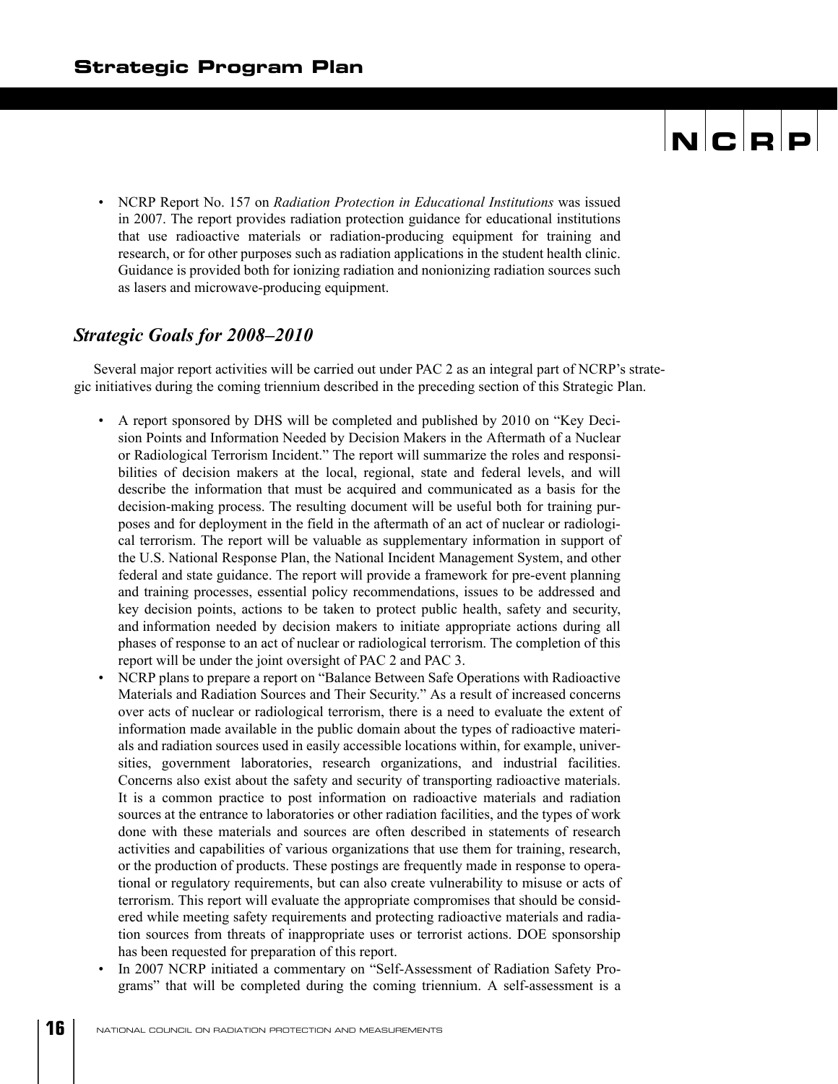• NCRP Report No. 157 on *Radiation Protection in Educational Institutions* was issued in 2007. The report provides radiation protection guidance for educational institutions that use radioactive materials or radiation-producing equipment for training and research, or for other purposes such as radiation applications in the student health clinic. Guidance is provided both for ionizing radiation and nonionizing radiation sources such as lasers and microwave-producing equipment.

#### *Strategic Goals for 2008–2010*

Several major report activities will be carried out under PAC 2 as an integral part of NCRP's strategic initiatives during the coming triennium described in the preceding section of this Strategic Plan.

- A report sponsored by DHS will be completed and published by 2010 on "Key Decision Points and Information Needed by Decision Makers in the Aftermath of a Nuclear or Radiological Terrorism Incident." The report will summarize the roles and responsibilities of decision makers at the local, regional, state and federal levels, and will describe the information that must be acquired and communicated as a basis for the decision-making process. The resulting document will be useful both for training purposes and for deployment in the field in the aftermath of an act of nuclear or radiological terrorism. The report will be valuable as supplementary information in support of the U.S. National Response Plan, the National Incident Management System, and other federal and state guidance. The report will provide a framework for pre-event planning and training processes, essential policy recommendations, issues to be addressed and key decision points, actions to be taken to protect public health, safety and security, and information needed by decision makers to initiate appropriate actions during all phases of response to an act of nuclear or radiological terrorism. The completion of this report will be under the joint oversight of PAC 2 and PAC 3.
- NCRP plans to prepare a report on "Balance Between Safe Operations with Radioactive Materials and Radiation Sources and Their Security." As a result of increased concerns over acts of nuclear or radiological terrorism, there is a need to evaluate the extent of information made available in the public domain about the types of radioactive materials and radiation sources used in easily accessible locations within, for example, universities, government laboratories, research organizations, and industrial facilities. Concerns also exist about the safety and security of transporting radioactive materials. It is a common practice to post information on radioactive materials and radiation sources at the entrance to laboratories or other radiation facilities, and the types of work done with these materials and sources are often described in statements of research activities and capabilities of various organizations that use them for training, research, or the production of products. These postings are frequently made in response to operational or regulatory requirements, but can also create vulnerability to misuse or acts of terrorism. This report will evaluate the appropriate compromises that should be considered while meeting safety requirements and protecting radioactive materials and radiation sources from threats of inappropriate uses or terrorist actions. DOE sponsorship has been requested for preparation of this report.
- In 2007 NCRP initiated a commentary on "Self-Assessment of Radiation Safety Programs" that will be completed during the coming triennium. A self-assessment is a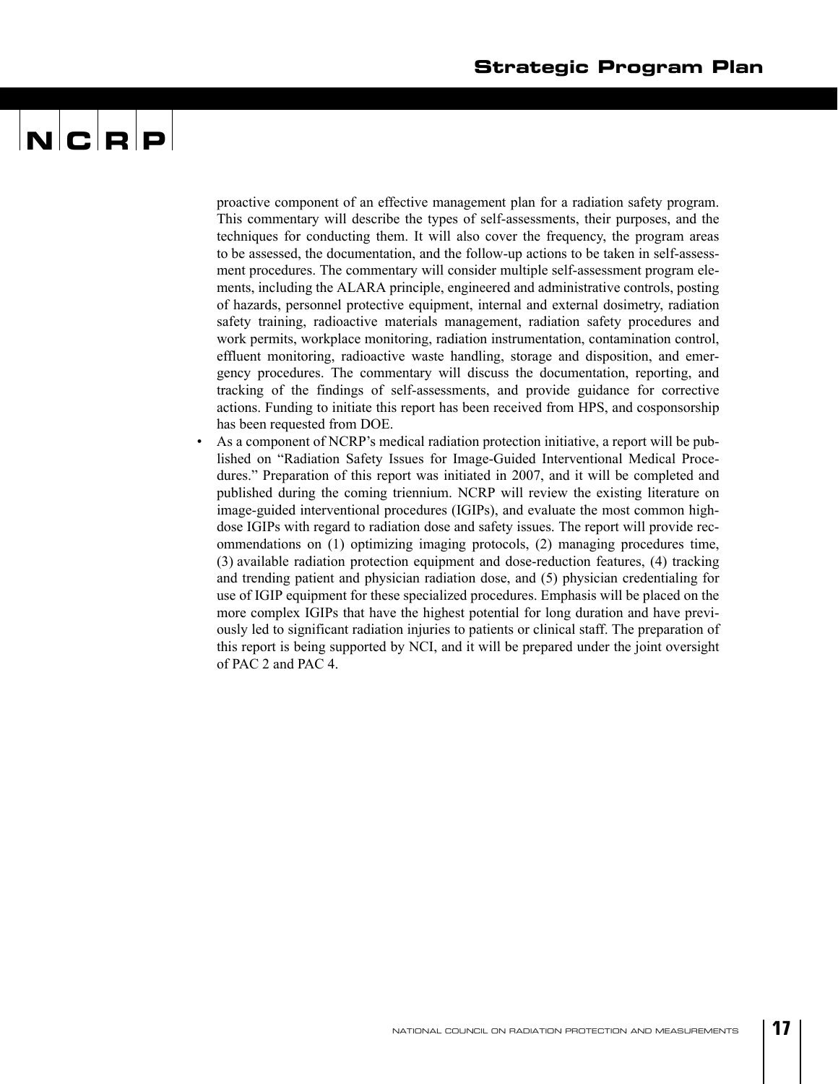proactive component of an effective management plan for a radiation safety program. This commentary will describe the types of self-assessments, their purposes, and the techniques for conducting them. It will also cover the frequency, the program areas to be assessed, the documentation, and the follow-up actions to be taken in self-assessment procedures. The commentary will consider multiple self-assessment program elements, including the ALARA principle, engineered and administrative controls, posting of hazards, personnel protective equipment, internal and external dosimetry, radiation safety training, radioactive materials management, radiation safety procedures and work permits, workplace monitoring, radiation instrumentation, contamination control, effluent monitoring, radioactive waste handling, storage and disposition, and emergency procedures. The commentary will discuss the documentation, reporting, and tracking of the findings of self-assessments, and provide guidance for corrective actions. Funding to initiate this report has been received from HPS, and cosponsorship has been requested from DOE.

• As a component of NCRP's medical radiation protection initiative, a report will be published on "Radiation Safety Issues for Image-Guided Interventional Medical Procedures." Preparation of this report was initiated in 2007, and it will be completed and published during the coming triennium. NCRP will review the existing literature on image-guided interventional procedures (IGIPs), and evaluate the most common highdose IGIPs with regard to radiation dose and safety issues. The report will provide recommendations on (1) optimizing imaging protocols, (2) managing procedures time, (3) available radiation protection equipment and dose-reduction features, (4) tracking and trending patient and physician radiation dose, and (5) physician credentialing for use of IGIP equipment for these specialized procedures. Emphasis will be placed on the more complex IGIPs that have the highest potential for long duration and have previously led to significant radiation injuries to patients or clinical staff. The preparation of this report is being supported by NCI, and it will be prepared under the joint oversight of PAC 2 and PAC 4.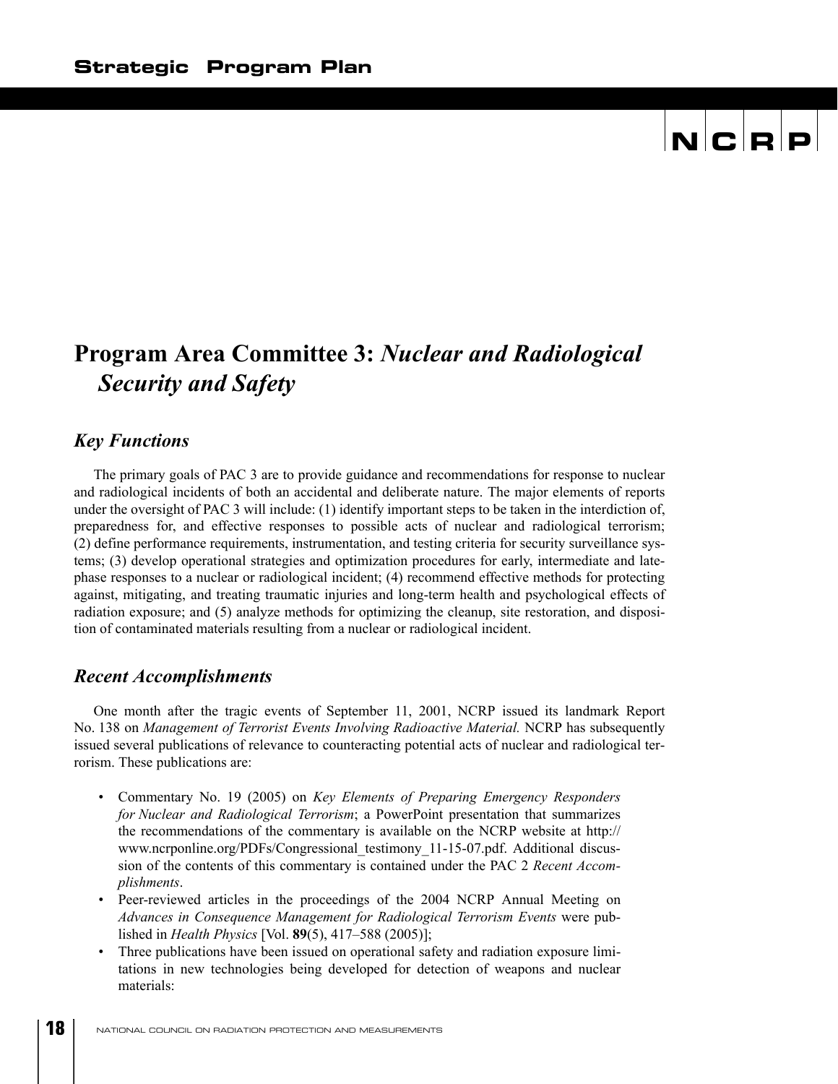### **Program Area Committee 3:** *Nuclear and Radiological Security and Safety*

#### *Key Functions*

The primary goals of PAC 3 are to provide guidance and recommendations for response to nuclear and radiological incidents of both an accidental and deliberate nature. The major elements of reports under the oversight of PAC 3 will include: (1) identify important steps to be taken in the interdiction of, preparedness for, and effective responses to possible acts of nuclear and radiological terrorism; (2) define performance requirements, instrumentation, and testing criteria for security surveillance systems; (3) develop operational strategies and optimization procedures for early, intermediate and latephase responses to a nuclear or radiological incident; (4) recommend effective methods for protecting against, mitigating, and treating traumatic injuries and long-term health and psychological effects of radiation exposure; and (5) analyze methods for optimizing the cleanup, site restoration, and disposition of contaminated materials resulting from a nuclear or radiological incident.

#### *Recent Accomplishments*

One month after the tragic events of September 11, 2001, NCRP issued its landmark Report No. 138 on *Management of Terrorist Events Involving Radioactive Material.* NCRP has subsequently issued several publications of relevance to counteracting potential acts of nuclear and radiological terrorism. These publications are:

- Commentary No. 19 (2005) on *Key Elements of Preparing Emergency Responders for Nuclear and Radiological Terrorism*; a PowerPoint presentation that summarizes the recommendations of the commentary is available on the NCRP website at http:// www.ncrponline.org/PDFs/Congressional\_testimony\_11-15-07.pdf. Additional discussion of the contents of this commentary is contained under the PAC 2 *Recent Accomplishments*.
- Peer-reviewed articles in the proceedings of the 2004 NCRP Annual Meeting on *Advances in Consequence Management for Radiological Terrorism Events* were published in *Health Physics* [Vol. **89**(5), 417–588 (2005)];
- Three publications have been issued on operational safety and radiation exposure limitations in new technologies being developed for detection of weapons and nuclear materials: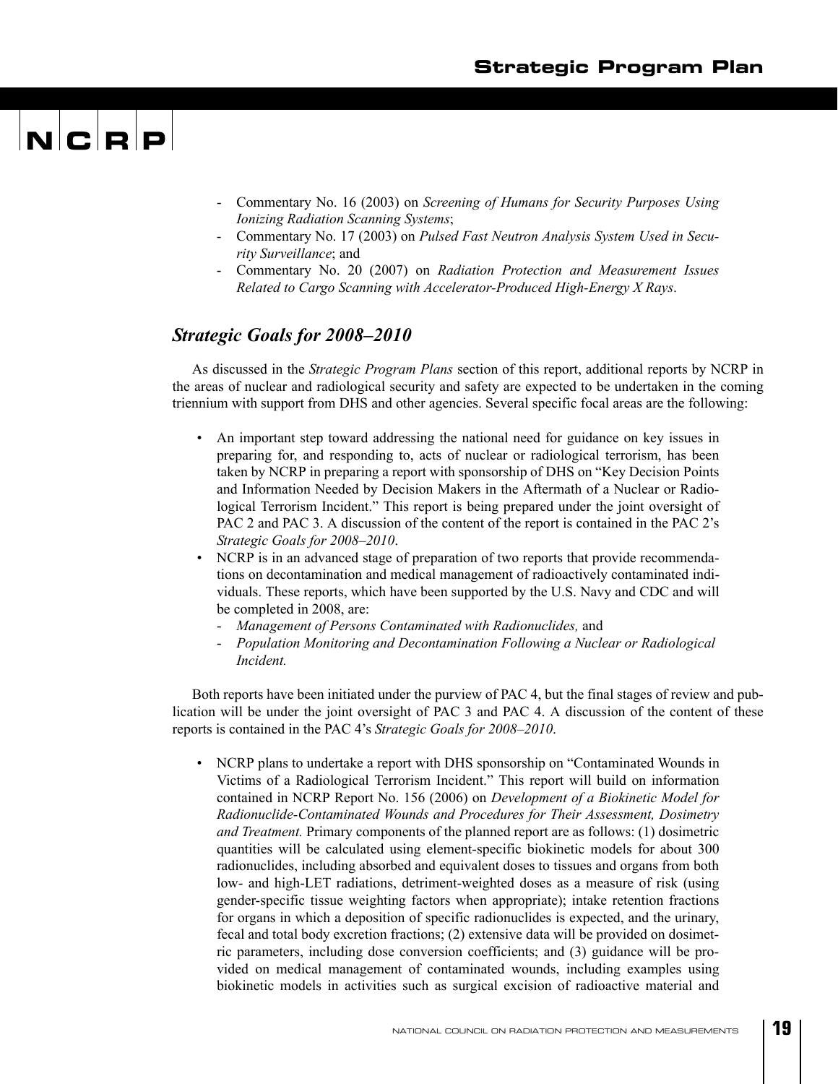## $\mathbf{N}$   $\mathbf{C}$   $\mathbf{R}$   $\mathbf{P}$

- Commentary No. 16 (2003) on *Screening of Humans for Security Purposes Using Ionizing Radiation Scanning Systems*;
- Commentary No. 17 (2003) on *Pulsed Fast Neutron Analysis System Used in Security Surveillance*; and
- Commentary No. 20 (2007) on *Radiation Protection and Measurement Issues Related to Cargo Scanning with Accelerator-Produced High-Energy X Rays*.

#### *Strategic Goals for 2008–2010*

As discussed in the *Strategic Program Plans* section of this report, additional reports by NCRP in the areas of nuclear and radiological security and safety are expected to be undertaken in the coming triennium with support from DHS and other agencies. Several specific focal areas are the following:

- An important step toward addressing the national need for guidance on key issues in preparing for, and responding to, acts of nuclear or radiological terrorism, has been taken by NCRP in preparing a report with sponsorship of DHS on "Key Decision Points and Information Needed by Decision Makers in the Aftermath of a Nuclear or Radiological Terrorism Incident." This report is being prepared under the joint oversight of PAC 2 and PAC 3. A discussion of the content of the report is contained in the PAC 2's *Strategic Goals for 2008–2010*.
- NCRP is in an advanced stage of preparation of two reports that provide recommendations on decontamination and medical management of radioactively contaminated individuals. These reports, which have been supported by the U.S. Navy and CDC and will be completed in 2008, are:
	- *Management of Persons Contaminated with Radionuclides,* and
	- *Population Monitoring and Decontamination Following a Nuclear or Radiological Incident.*

Both reports have been initiated under the purview of PAC 4, but the final stages of review and publication will be under the joint oversight of PAC 3 and PAC 4. A discussion of the content of these reports is contained in the PAC 4's *Strategic Goals for 2008–2010*.

• NCRP plans to undertake a report with DHS sponsorship on "Contaminated Wounds in Victims of a Radiological Terrorism Incident." This report will build on information contained in NCRP Report No. 156 (2006) on *Development of a Biokinetic Model for Radionuclide-Contaminated Wounds and Procedures for Their Assessment, Dosimetry and Treatment.* Primary components of the planned report are as follows: (1) dosimetric quantities will be calculated using element-specific biokinetic models for about 300 radionuclides, including absorbed and equivalent doses to tissues and organs from both low- and high-LET radiations, detriment-weighted doses as a measure of risk (using gender-specific tissue weighting factors when appropriate); intake retention fractions for organs in which a deposition of specific radionuclides is expected, and the urinary, fecal and total body excretion fractions; (2) extensive data will be provided on dosimetric parameters, including dose conversion coefficients; and (3) guidance will be provided on medical management of contaminated wounds, including examples using biokinetic models in activities such as surgical excision of radioactive material and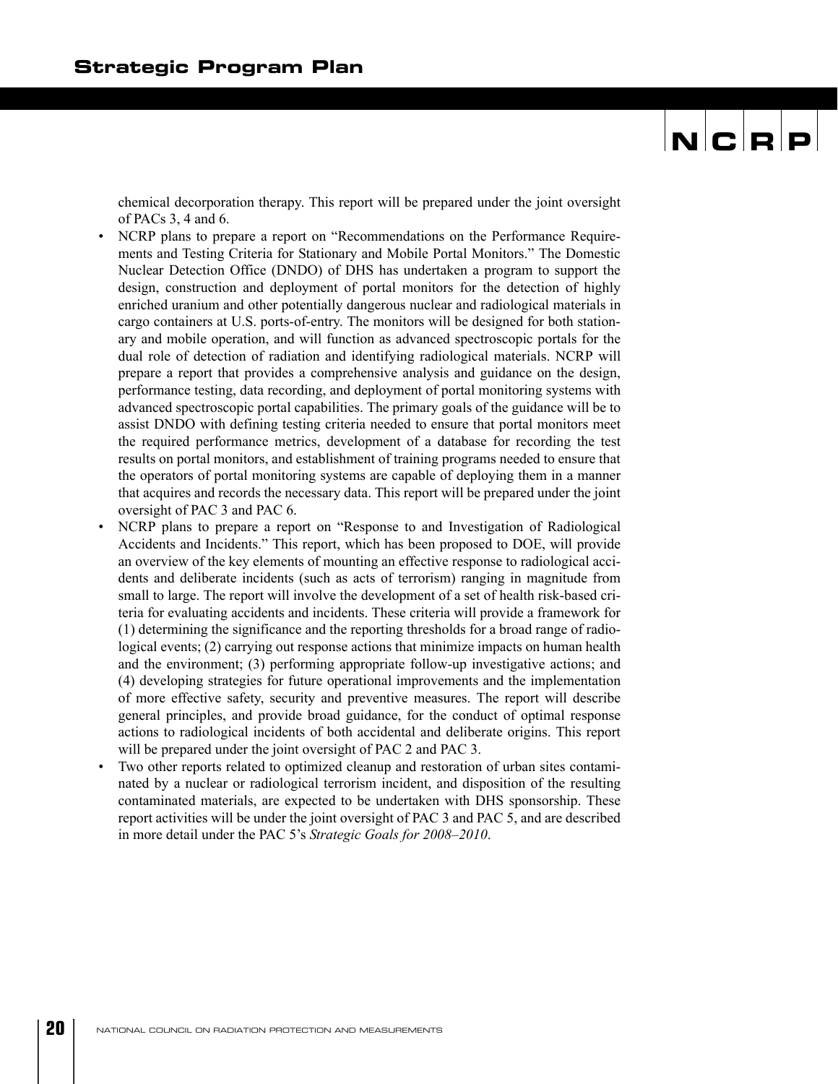chemical decorporation therapy. This report will be prepared under the joint oversight of PACs 3, 4 and 6.

- NCRP plans to prepare a report on "Recommendations on the Performance Requirements and Testing Criteria for Stationary and Mobile Portal Monitors." The Domestic Nuclear Detection Office (DNDO) of DHS has undertaken a program to support the design, construction and deployment of portal monitors for the detection of highly enriched uranium and other potentially dangerous nuclear and radiological materials in cargo containers at U.S. ports-of-entry. The monitors will be designed for both stationary and mobile operation, and will function as advanced spectroscopic portals for the dual role of detection of radiation and identifying radiological materials. NCRP will prepare a report that provides a comprehensive analysis and guidance on the design, performance testing, data recording, and deployment of portal monitoring systems with advanced spectroscopic portal capabilities. The primary goals of the guidance will be to assist DNDO with defining testing criteria needed to ensure that portal monitors meet the required performance metrics, development of a database for recording the test results on portal monitors, and establishment of training programs needed to ensure that the operators of portal monitoring systems are capable of deploying them in a manner that acquires and records the necessary data. This report will be prepared under the joint oversight of PAC 3 and PAC 6.
- NCRP plans to prepare a report on "Response to and Investigation of Radiological Accidents and Incidents." This report, which has been proposed to DOE, will provide an overview of the key elements of mounting an effective response to radiological accidents and deliberate incidents (such as acts of terrorism) ranging in magnitude from small to large. The report will involve the development of a set of health risk-based criteria for evaluating accidents and incidents. These criteria will provide a framework for (1) determining the significance and the reporting thresholds for a broad range of radiological events; (2) carrying out response actions that minimize impacts on human health and the environment; (3) performing appropriate follow-up investigative actions; and (4) developing strategies for future operational improvements and the implementation of more effective safety, security and preventive measures. The report will describe general principles, and provide broad guidance, for the conduct of optimal response actions to radiological incidents of both accidental and deliberate origins. This report will be prepared under the joint oversight of PAC 2 and PAC 3.
- Two other reports related to optimized cleanup and restoration of urban sites contaminated by a nuclear or radiological terrorism incident, and disposition of the resulting contaminated materials, are expected to be undertaken with DHS sponsorship. These report activities will be under the joint oversight of PAC 3 and PAC 5, and are described in more detail under the PAC 5's *Strategic Goals for 2008–2010*.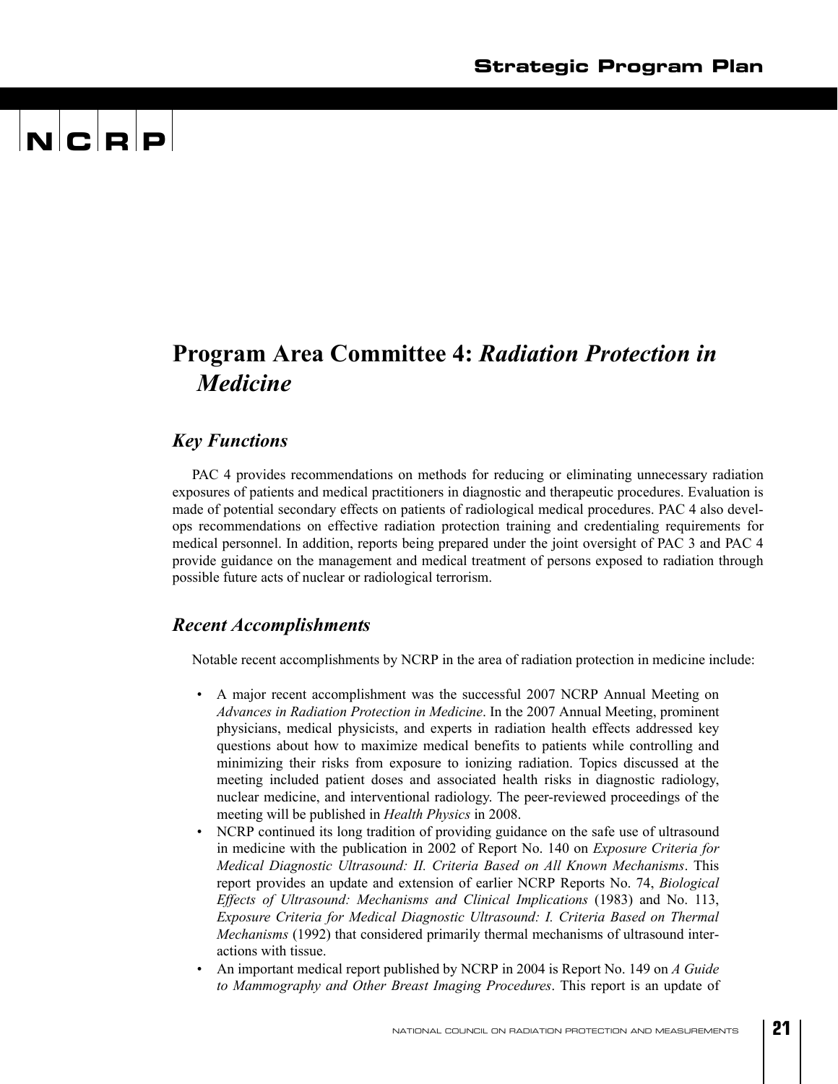## $\mathbf{N}$   $\mathbf{C}$   $\mathbf{R}$   $\mathbf{P}$

### **Program Area Committee 4:** *Radiation Protection in Medicine*

#### *Key Functions*

PAC 4 provides recommendations on methods for reducing or eliminating unnecessary radiation exposures of patients and medical practitioners in diagnostic and therapeutic procedures. Evaluation is made of potential secondary effects on patients of radiological medical procedures. PAC 4 also develops recommendations on effective radiation protection training and credentialing requirements for medical personnel. In addition, reports being prepared under the joint oversight of PAC 3 and PAC 4 provide guidance on the management and medical treatment of persons exposed to radiation through possible future acts of nuclear or radiological terrorism.

#### *Recent Accomplishments*

Notable recent accomplishments by NCRP in the area of radiation protection in medicine include:

- A major recent accomplishment was the successful 2007 NCRP Annual Meeting on *Advances in Radiation Protection in Medicine*. In the 2007 Annual Meeting, prominent physicians, medical physicists, and experts in radiation health effects addressed key questions about how to maximize medical benefits to patients while controlling and minimizing their risks from exposure to ionizing radiation. Topics discussed at the meeting included patient doses and associated health risks in diagnostic radiology, nuclear medicine, and interventional radiology. The peer-reviewed proceedings of the meeting will be published in *Health Physics* in 2008.
- NCRP continued its long tradition of providing guidance on the safe use of ultrasound in medicine with the publication in 2002 of Report No. 140 on *Exposure Criteria for Medical Diagnostic Ultrasound: II. Criteria Based on All Known Mechanisms*. This report provides an update and extension of earlier NCRP Reports No. 74, *Biological Effects of Ultrasound: Mechanisms and Clinical Implications* (1983) and No. 113, *Exposure Criteria for Medical Diagnostic Ultrasound: I. Criteria Based on Thermal Mechanisms* (1992) that considered primarily thermal mechanisms of ultrasound interactions with tissue.
- An important medical report published by NCRP in 2004 is Report No. 149 on *A Guide to Mammography and Other Breast Imaging Procedures*. This report is an update of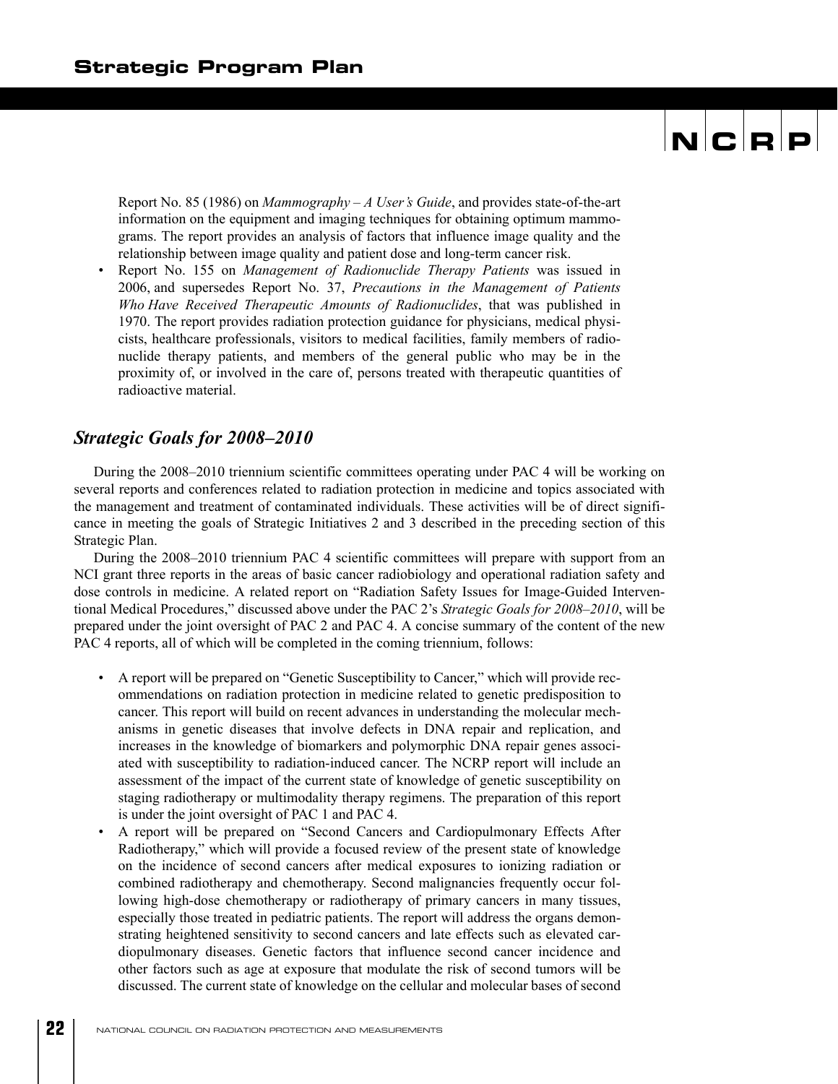Report No. 85 (1986) on *Mammography – A User's Guide*, and provides state-of-the-art information on the equipment and imaging techniques for obtaining optimum mammograms. The report provides an analysis of factors that influence image quality and the relationship between image quality and patient dose and long-term cancer risk.

• Report No. 155 on *Management of Radionuclide Therapy Patients* was issued in 2006, and supersedes Report No. 37, *Precautions in the Management of Patients Who Have Received Therapeutic Amounts of Radionuclides*, that was published in 1970. The report provides radiation protection guidance for physicians, medical physicists, healthcare professionals, visitors to medical facilities, family members of radionuclide therapy patients, and members of the general public who may be in the proximity of, or involved in the care of, persons treated with therapeutic quantities of radioactive material.

#### *Strategic Goals for 2008–2010*

During the 2008–2010 triennium scientific committees operating under PAC 4 will be working on several reports and conferences related to radiation protection in medicine and topics associated with the management and treatment of contaminated individuals. These activities will be of direct significance in meeting the goals of Strategic Initiatives 2 and 3 described in the preceding section of this Strategic Plan.

During the 2008–2010 triennium PAC 4 scientific committees will prepare with support from an NCI grant three reports in the areas of basic cancer radiobiology and operational radiation safety and dose controls in medicine. A related report on "Radiation Safety Issues for Image-Guided Interventional Medical Procedures," discussed above under the PAC 2's *Strategic Goals for 2008–2010*, will be prepared under the joint oversight of PAC 2 and PAC 4. A concise summary of the content of the new PAC 4 reports, all of which will be completed in the coming triennium, follows:

- A report will be prepared on "Genetic Susceptibility to Cancer," which will provide recommendations on radiation protection in medicine related to genetic predisposition to cancer. This report will build on recent advances in understanding the molecular mechanisms in genetic diseases that involve defects in DNA repair and replication, and increases in the knowledge of biomarkers and polymorphic DNA repair genes associated with susceptibility to radiation-induced cancer. The NCRP report will include an assessment of the impact of the current state of knowledge of genetic susceptibility on staging radiotherapy or multimodality therapy regimens. The preparation of this report is under the joint oversight of PAC 1 and PAC 4.
- A report will be prepared on "Second Cancers and Cardiopulmonary Effects After Radiotherapy," which will provide a focused review of the present state of knowledge on the incidence of second cancers after medical exposures to ionizing radiation or combined radiotherapy and chemotherapy. Second malignancies frequently occur following high-dose chemotherapy or radiotherapy of primary cancers in many tissues, especially those treated in pediatric patients. The report will address the organs demonstrating heightened sensitivity to second cancers and late effects such as elevated cardiopulmonary diseases. Genetic factors that influence second cancer incidence and other factors such as age at exposure that modulate the risk of second tumors will be discussed. The current state of knowledge on the cellular and molecular bases of second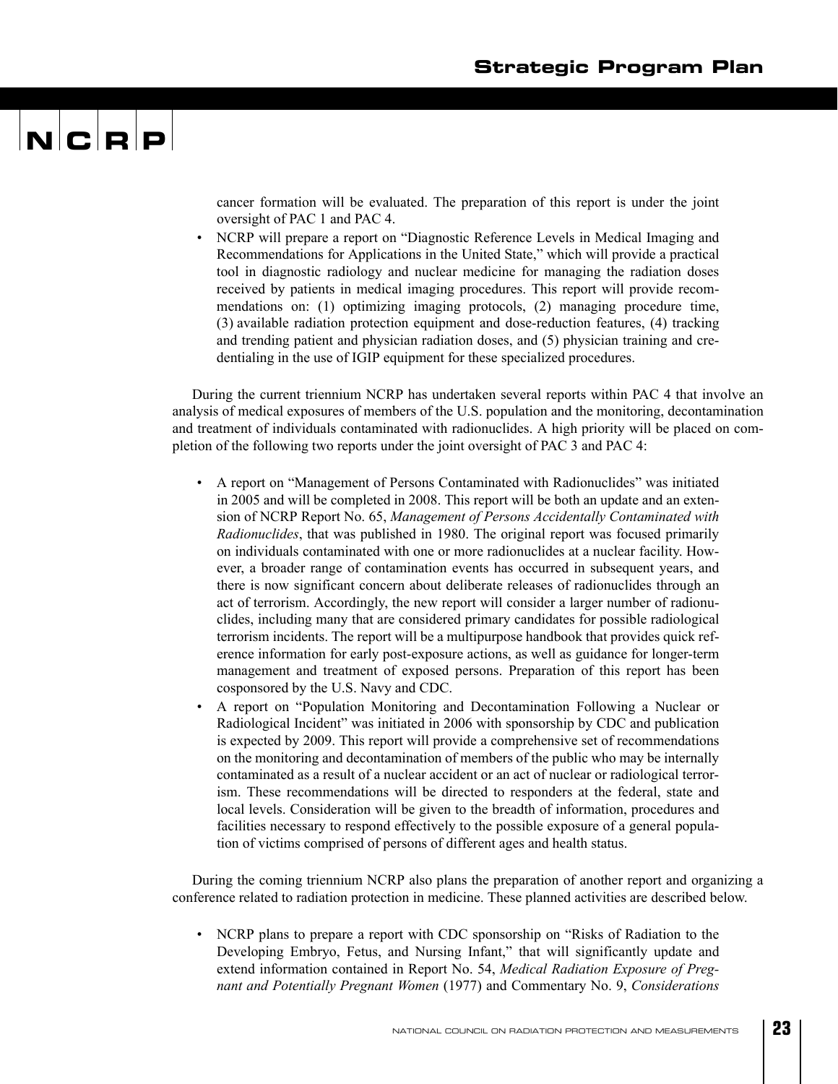## $\mathbf{N}$   $\mathbf{C}$   $\mathbf{R}$   $\mathbf{P}$

cancer formation will be evaluated. The preparation of this report is under the joint oversight of PAC 1 and PAC 4.

• NCRP will prepare a report on "Diagnostic Reference Levels in Medical Imaging and Recommendations for Applications in the United State," which will provide a practical tool in diagnostic radiology and nuclear medicine for managing the radiation doses received by patients in medical imaging procedures. This report will provide recommendations on: (1) optimizing imaging protocols, (2) managing procedure time, (3) available radiation protection equipment and dose-reduction features, (4) tracking and trending patient and physician radiation doses, and (5) physician training and credentialing in the use of IGIP equipment for these specialized procedures.

During the current triennium NCRP has undertaken several reports within PAC 4 that involve an analysis of medical exposures of members of the U.S. population and the monitoring, decontamination and treatment of individuals contaminated with radionuclides. A high priority will be placed on completion of the following two reports under the joint oversight of PAC 3 and PAC 4:

- A report on "Management of Persons Contaminated with Radionuclides" was initiated in 2005 and will be completed in 2008. This report will be both an update and an extension of NCRP Report No. 65, *Management of Persons Accidentally Contaminated with Radionuclides*, that was published in 1980. The original report was focused primarily on individuals contaminated with one or more radionuclides at a nuclear facility. However, a broader range of contamination events has occurred in subsequent years, and there is now significant concern about deliberate releases of radionuclides through an act of terrorism. Accordingly, the new report will consider a larger number of radionuclides, including many that are considered primary candidates for possible radiological terrorism incidents. The report will be a multipurpose handbook that provides quick reference information for early post-exposure actions, as well as guidance for longer-term management and treatment of exposed persons. Preparation of this report has been cosponsored by the U.S. Navy and CDC.
- A report on "Population Monitoring and Decontamination Following a Nuclear or Radiological Incident" was initiated in 2006 with sponsorship by CDC and publication is expected by 2009. This report will provide a comprehensive set of recommendations on the monitoring and decontamination of members of the public who may be internally contaminated as a result of a nuclear accident or an act of nuclear or radiological terrorism. These recommendations will be directed to responders at the federal, state and local levels. Consideration will be given to the breadth of information, procedures and facilities necessary to respond effectively to the possible exposure of a general population of victims comprised of persons of different ages and health status.

During the coming triennium NCRP also plans the preparation of another report and organizing a conference related to radiation protection in medicine. These planned activities are described below.

• NCRP plans to prepare a report with CDC sponsorship on "Risks of Radiation to the Developing Embryo, Fetus, and Nursing Infant," that will significantly update and extend information contained in Report No. 54, *Medical Radiation Exposure of Pregnant and Potentially Pregnant Women* (1977) and Commentary No. 9, *Considerations*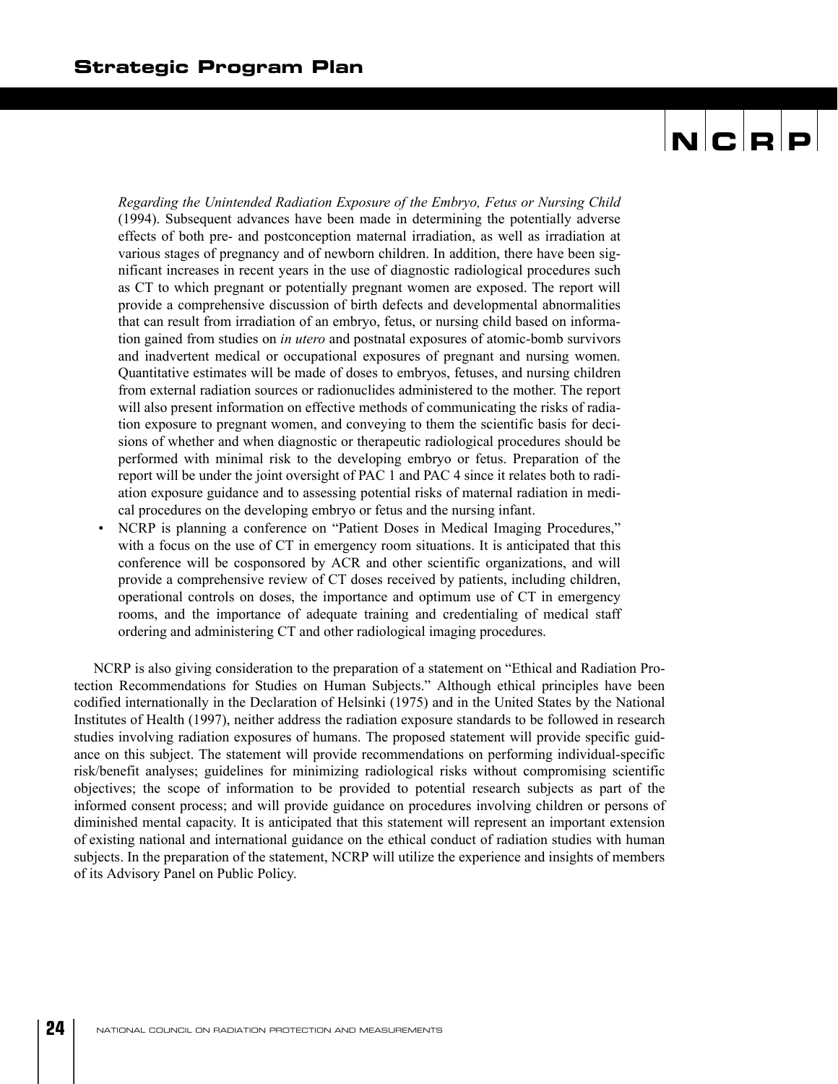*Regarding the Unintended Radiation Exposure of the Embryo, Fetus or Nursing Child* (1994). Subsequent advances have been made in determining the potentially adverse effects of both pre- and postconception maternal irradiation, as well as irradiation at various stages of pregnancy and of newborn children. In addition, there have been significant increases in recent years in the use of diagnostic radiological procedures such as CT to which pregnant or potentially pregnant women are exposed. The report will provide a comprehensive discussion of birth defects and developmental abnormalities that can result from irradiation of an embryo, fetus, or nursing child based on information gained from studies on *in utero* and postnatal exposures of atomic-bomb survivors and inadvertent medical or occupational exposures of pregnant and nursing women. Quantitative estimates will be made of doses to embryos, fetuses, and nursing children from external radiation sources or radionuclides administered to the mother. The report will also present information on effective methods of communicating the risks of radiation exposure to pregnant women, and conveying to them the scientific basis for decisions of whether and when diagnostic or therapeutic radiological procedures should be performed with minimal risk to the developing embryo or fetus. Preparation of the report will be under the joint oversight of PAC 1 and PAC 4 since it relates both to radiation exposure guidance and to assessing potential risks of maternal radiation in medical procedures on the developing embryo or fetus and the nursing infant.

• NCRP is planning a conference on "Patient Doses in Medical Imaging Procedures," with a focus on the use of CT in emergency room situations. It is anticipated that this conference will be cosponsored by ACR and other scientific organizations, and will provide a comprehensive review of CT doses received by patients, including children, operational controls on doses, the importance and optimum use of CT in emergency rooms, and the importance of adequate training and credentialing of medical staff ordering and administering CT and other radiological imaging procedures.

NCRP is also giving consideration to the preparation of a statement on "Ethical and Radiation Protection Recommendations for Studies on Human Subjects." Although ethical principles have been codified internationally in the Declaration of Helsinki (1975) and in the United States by the National Institutes of Health (1997), neither address the radiation exposure standards to be followed in research studies involving radiation exposures of humans. The proposed statement will provide specific guidance on this subject. The statement will provide recommendations on performing individual-specific risk/benefit analyses; guidelines for minimizing radiological risks without compromising scientific objectives; the scope of information to be provided to potential research subjects as part of the informed consent process; and will provide guidance on procedures involving children or persons of diminished mental capacity. It is anticipated that this statement will represent an important extension of existing national and international guidance on the ethical conduct of radiation studies with human subjects. In the preparation of the statement, NCRP will utilize the experience and insights of members of its Advisory Panel on Public Policy.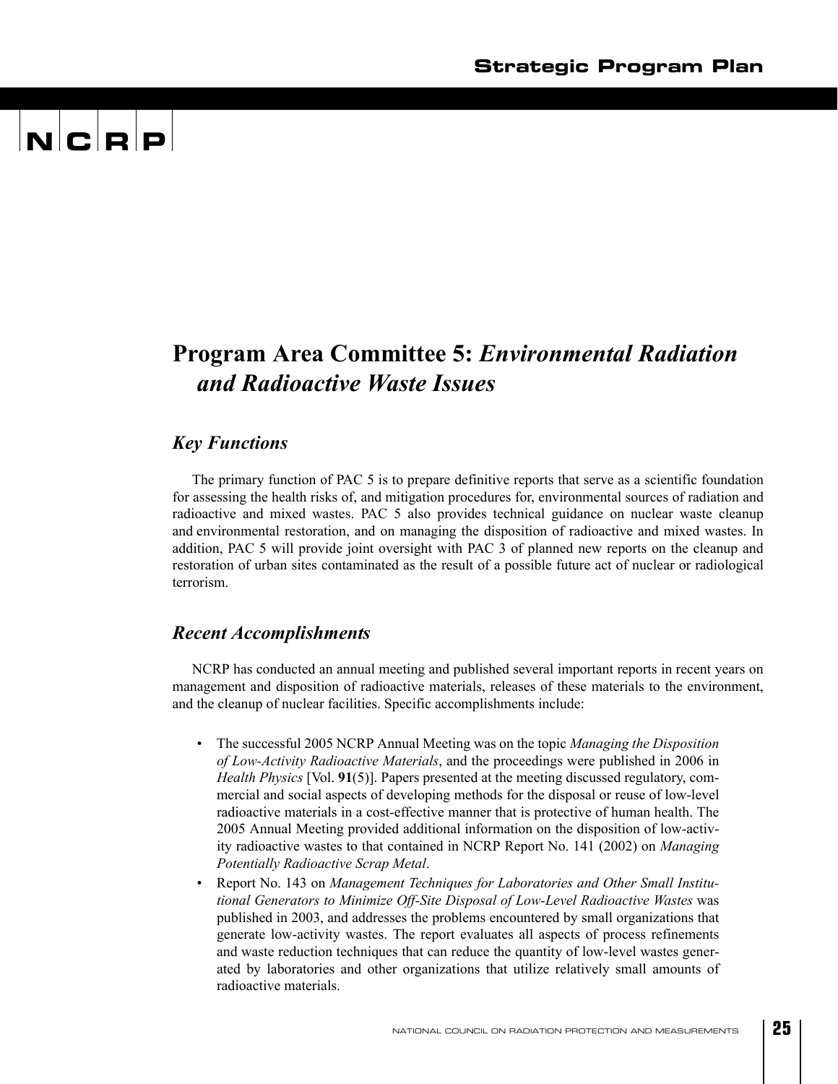## $\mathbf{N}$   $\mathbf{C}$   $\mathbf{R}$   $\mathbf{P}$

### **Program Area Committee 5:** *Environmental Radiation and Radioactive Waste Issues*

#### *Key Functions*

The primary function of PAC 5 is to prepare definitive reports that serve as a scientific foundation for assessing the health risks of, and mitigation procedures for, environmental sources of radiation and radioactive and mixed wastes. PAC 5 also provides technical guidance on nuclear waste cleanup and environmental restoration, and on managing the disposition of radioactive and mixed wastes. In addition, PAC 5 will provide joint oversight with PAC 3 of planned new reports on the cleanup and restoration of urban sites contaminated as the result of a possible future act of nuclear or radiological terrorism.

#### *Recent Accomplishments*

NCRP has conducted an annual meeting and published several important reports in recent years on management and disposition of radioactive materials, releases of these materials to the environment, and the cleanup of nuclear facilities. Specific accomplishments include:

- The successful 2005 NCRP Annual Meeting was on the topic *Managing the Disposition of Low-Activity Radioactive Materials*, and the proceedings were published in 2006 in *Health Physics* [Vol. **91**(5)]. Papers presented at the meeting discussed regulatory, commercial and social aspects of developing methods for the disposal or reuse of low-level radioactive materials in a cost-effective manner that is protective of human health. The 2005 Annual Meeting provided additional information on the disposition of low-activity radioactive wastes to that contained in NCRP Report No. 141 (2002) on *Managing Potentially Radioactive Scrap Metal*.
- Report No. 143 on *Management Techniques for Laboratories and Other Small Institutional Generators to Minimize Off-Site Disposal of Low-Level Radioactive Wastes* was published in 2003, and addresses the problems encountered by small organizations that generate low-activity wastes. The report evaluates all aspects of process refinements and waste reduction techniques that can reduce the quantity of low-level wastes generated by laboratories and other organizations that utilize relatively small amounts of radioactive materials.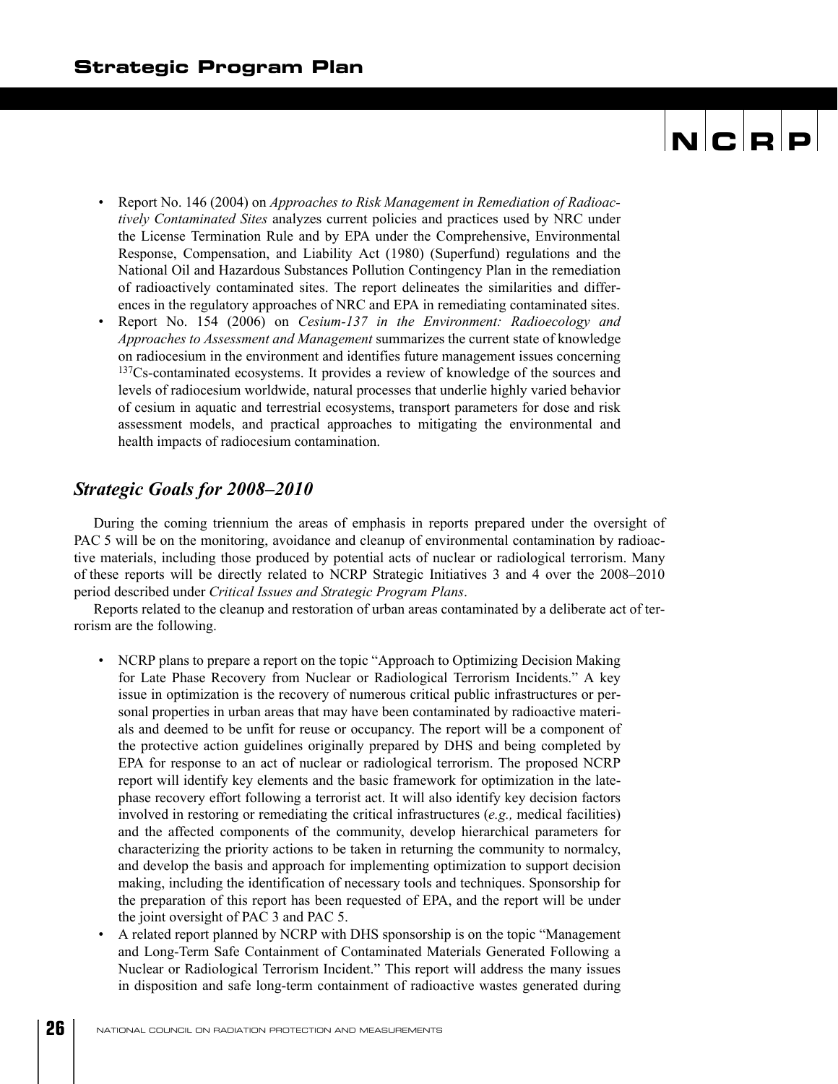- Report No. 146 (2004) on *Approaches to Risk Management in Remediation of Radioactively Contaminated Sites* analyzes current policies and practices used by NRC under the License Termination Rule and by EPA under the Comprehensive, Environmental Response, Compensation, and Liability Act (1980) (Superfund) regulations and the National Oil and Hazardous Substances Pollution Contingency Plan in the remediation of radioactively contaminated sites. The report delineates the similarities and differences in the regulatory approaches of NRC and EPA in remediating contaminated sites.
- Report No. 154 (2006) on *Cesium-137 in the Environment: Radioecology and Approaches to Assessment and Management* summarizes the current state of knowledge on radiocesium in the environment and identifies future management issues concerning 137Cs-contaminated ecosystems. It provides a review of knowledge of the sources and levels of radiocesium worldwide, natural processes that underlie highly varied behavior of cesium in aquatic and terrestrial ecosystems, transport parameters for dose and risk assessment models, and practical approaches to mitigating the environmental and health impacts of radiocesium contamination.

#### *Strategic Goals for 2008–2010*

During the coming triennium the areas of emphasis in reports prepared under the oversight of PAC 5 will be on the monitoring, avoidance and cleanup of environmental contamination by radioactive materials, including those produced by potential acts of nuclear or radiological terrorism. Many of these reports will be directly related to NCRP Strategic Initiatives 3 and 4 over the 2008–2010 period described under *Critical Issues and Strategic Program Plans*.

Reports related to the cleanup and restoration of urban areas contaminated by a deliberate act of terrorism are the following.

- NCRP plans to prepare a report on the topic "Approach to Optimizing Decision Making for Late Phase Recovery from Nuclear or Radiological Terrorism Incidents." A key issue in optimization is the recovery of numerous critical public infrastructures or personal properties in urban areas that may have been contaminated by radioactive materials and deemed to be unfit for reuse or occupancy. The report will be a component of the protective action guidelines originally prepared by DHS and being completed by EPA for response to an act of nuclear or radiological terrorism. The proposed NCRP report will identify key elements and the basic framework for optimization in the latephase recovery effort following a terrorist act. It will also identify key decision factors involved in restoring or remediating the critical infrastructures (*e.g.,* medical facilities) and the affected components of the community, develop hierarchical parameters for characterizing the priority actions to be taken in returning the community to normalcy, and develop the basis and approach for implementing optimization to support decision making, including the identification of necessary tools and techniques. Sponsorship for the preparation of this report has been requested of EPA, and the report will be under the joint oversight of PAC 3 and PAC 5.
- A related report planned by NCRP with DHS sponsorship is on the topic "Management and Long-Term Safe Containment of Contaminated Materials Generated Following a Nuclear or Radiological Terrorism Incident." This report will address the many issues in disposition and safe long-term containment of radioactive wastes generated during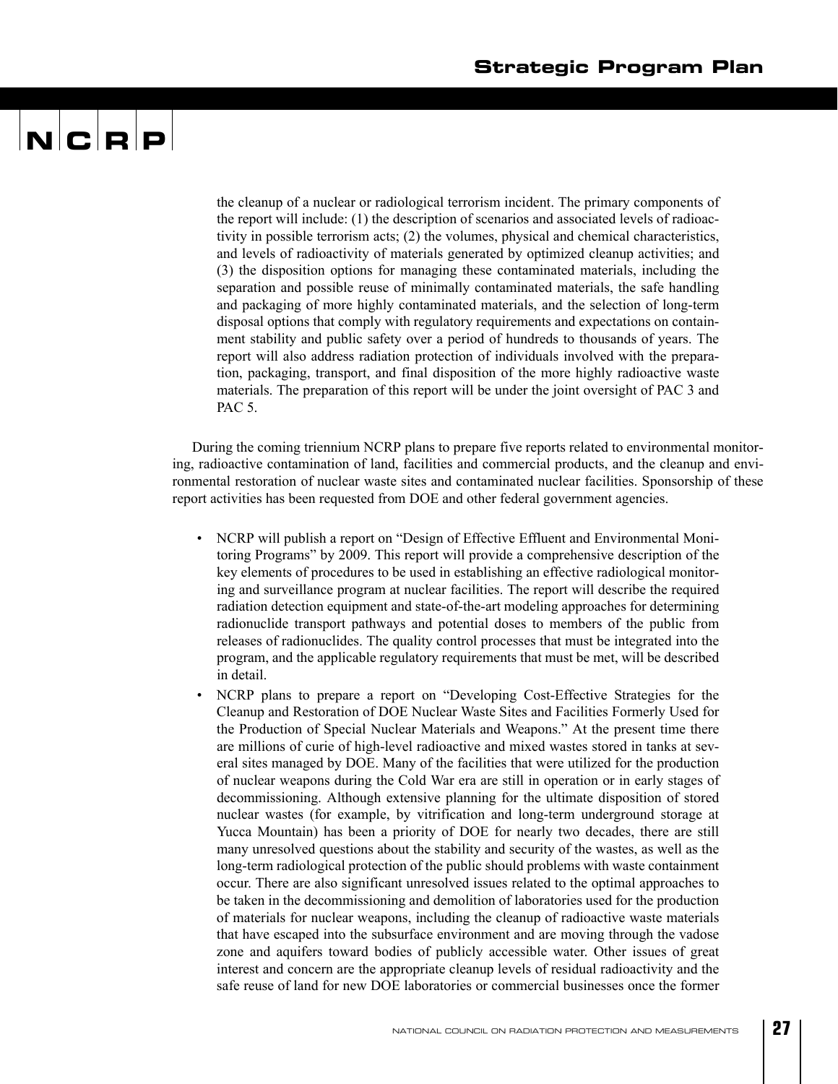## $\mathbf{N}$   $\mathbf{C}$   $\mathbf{R}$   $\mathbf{P}$

the cleanup of a nuclear or radiological terrorism incident. The primary components of the report will include: (1) the description of scenarios and associated levels of radioactivity in possible terrorism acts; (2) the volumes, physical and chemical characteristics, and levels of radioactivity of materials generated by optimized cleanup activities; and (3) the disposition options for managing these contaminated materials, including the separation and possible reuse of minimally contaminated materials, the safe handling and packaging of more highly contaminated materials, and the selection of long-term disposal options that comply with regulatory requirements and expectations on containment stability and public safety over a period of hundreds to thousands of years. The report will also address radiation protection of individuals involved with the preparation, packaging, transport, and final disposition of the more highly radioactive waste materials. The preparation of this report will be under the joint oversight of PAC 3 and PAC 5.

During the coming triennium NCRP plans to prepare five reports related to environmental monitoring, radioactive contamination of land, facilities and commercial products, and the cleanup and environmental restoration of nuclear waste sites and contaminated nuclear facilities. Sponsorship of these report activities has been requested from DOE and other federal government agencies.

- NCRP will publish a report on "Design of Effective Effluent and Environmental Monitoring Programs" by 2009. This report will provide a comprehensive description of the key elements of procedures to be used in establishing an effective radiological monitoring and surveillance program at nuclear facilities. The report will describe the required radiation detection equipment and state-of-the-art modeling approaches for determining radionuclide transport pathways and potential doses to members of the public from releases of radionuclides. The quality control processes that must be integrated into the program, and the applicable regulatory requirements that must be met, will be described in detail.
- NCRP plans to prepare a report on "Developing Cost-Effective Strategies for the Cleanup and Restoration of DOE Nuclear Waste Sites and Facilities Formerly Used for the Production of Special Nuclear Materials and Weapons." At the present time there are millions of curie of high-level radioactive and mixed wastes stored in tanks at several sites managed by DOE. Many of the facilities that were utilized for the production of nuclear weapons during the Cold War era are still in operation or in early stages of decommissioning. Although extensive planning for the ultimate disposition of stored nuclear wastes (for example, by vitrification and long-term underground storage at Yucca Mountain) has been a priority of DOE for nearly two decades, there are still many unresolved questions about the stability and security of the wastes, as well as the long-term radiological protection of the public should problems with waste containment occur. There are also significant unresolved issues related to the optimal approaches to be taken in the decommissioning and demolition of laboratories used for the production of materials for nuclear weapons, including the cleanup of radioactive waste materials that have escaped into the subsurface environment and are moving through the vadose zone and aquifers toward bodies of publicly accessible water. Other issues of great interest and concern are the appropriate cleanup levels of residual radioactivity and the safe reuse of land for new DOE laboratories or commercial businesses once the former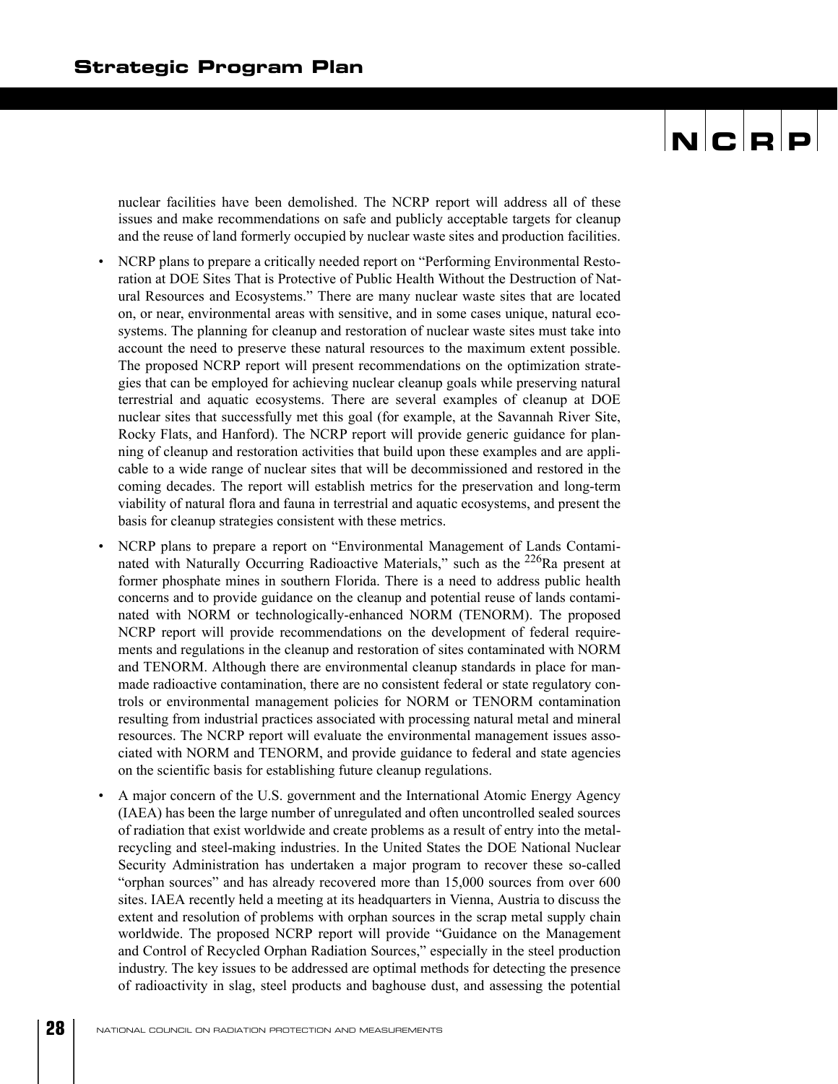nuclear facilities have been demolished. The NCRP report will address all of these issues and make recommendations on safe and publicly acceptable targets for cleanup and the reuse of land formerly occupied by nuclear waste sites and production facilities.

- NCRP plans to prepare a critically needed report on "Performing Environmental Restoration at DOE Sites That is Protective of Public Health Without the Destruction of Natural Resources and Ecosystems." There are many nuclear waste sites that are located on, or near, environmental areas with sensitive, and in some cases unique, natural ecosystems. The planning for cleanup and restoration of nuclear waste sites must take into account the need to preserve these natural resources to the maximum extent possible. The proposed NCRP report will present recommendations on the optimization strategies that can be employed for achieving nuclear cleanup goals while preserving natural terrestrial and aquatic ecosystems. There are several examples of cleanup at DOE nuclear sites that successfully met this goal (for example, at the Savannah River Site, Rocky Flats, and Hanford). The NCRP report will provide generic guidance for planning of cleanup and restoration activities that build upon these examples and are applicable to a wide range of nuclear sites that will be decommissioned and restored in the coming decades. The report will establish metrics for the preservation and long-term viability of natural flora and fauna in terrestrial and aquatic ecosystems, and present the basis for cleanup strategies consistent with these metrics.
- NCRP plans to prepare a report on "Environmental Management of Lands Contaminated with Naturally Occurring Radioactive Materials," such as the 226Ra present at former phosphate mines in southern Florida. There is a need to address public health concerns and to provide guidance on the cleanup and potential reuse of lands contaminated with NORM or technologically-enhanced NORM (TENORM). The proposed NCRP report will provide recommendations on the development of federal requirements and regulations in the cleanup and restoration of sites contaminated with NORM and TENORM. Although there are environmental cleanup standards in place for manmade radioactive contamination, there are no consistent federal or state regulatory controls or environmental management policies for NORM or TENORM contamination resulting from industrial practices associated with processing natural metal and mineral resources. The NCRP report will evaluate the environmental management issues associated with NORM and TENORM, and provide guidance to federal and state agencies on the scientific basis for establishing future cleanup regulations.
- A major concern of the U.S. government and the International Atomic Energy Agency (IAEA) has been the large number of unregulated and often uncontrolled sealed sources of radiation that exist worldwide and create problems as a result of entry into the metalrecycling and steel-making industries. In the United States the DOE National Nuclear Security Administration has undertaken a major program to recover these so-called "orphan sources" and has already recovered more than 15,000 sources from over 600 sites. IAEA recently held a meeting at its headquarters in Vienna, Austria to discuss the extent and resolution of problems with orphan sources in the scrap metal supply chain worldwide. The proposed NCRP report will provide "Guidance on the Management and Control of Recycled Orphan Radiation Sources," especially in the steel production industry. The key issues to be addressed are optimal methods for detecting the presence of radioactivity in slag, steel products and baghouse dust, and assessing the potential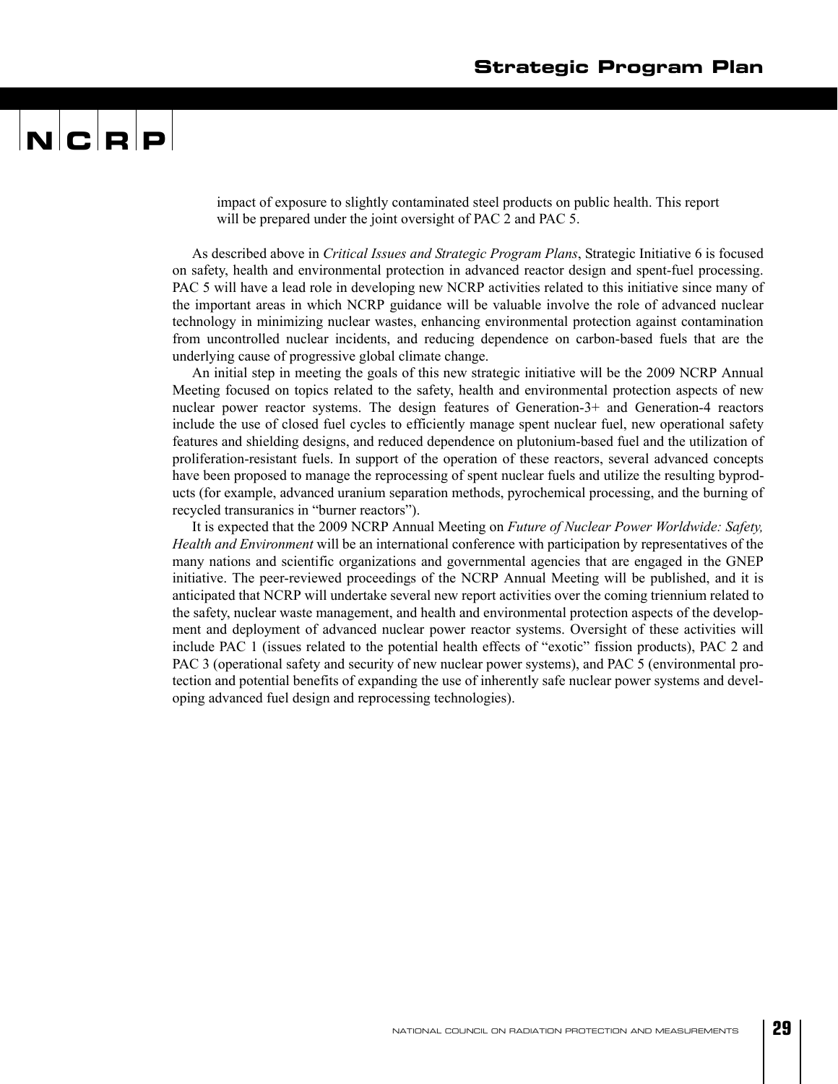impact of exposure to slightly contaminated steel products on public health. This report will be prepared under the joint oversight of PAC 2 and PAC 5.

As described above in *Critical Issues and Strategic Program Plans*, Strategic Initiative 6 is focused on safety, health and environmental protection in advanced reactor design and spent-fuel processing. PAC 5 will have a lead role in developing new NCRP activities related to this initiative since many of the important areas in which NCRP guidance will be valuable involve the role of advanced nuclear technology in minimizing nuclear wastes, enhancing environmental protection against contamination from uncontrolled nuclear incidents, and reducing dependence on carbon-based fuels that are the underlying cause of progressive global climate change.

An initial step in meeting the goals of this new strategic initiative will be the 2009 NCRP Annual Meeting focused on topics related to the safety, health and environmental protection aspects of new nuclear power reactor systems. The design features of Generation-3+ and Generation-4 reactors include the use of closed fuel cycles to efficiently manage spent nuclear fuel, new operational safety features and shielding designs, and reduced dependence on plutonium-based fuel and the utilization of proliferation-resistant fuels. In support of the operation of these reactors, several advanced concepts have been proposed to manage the reprocessing of spent nuclear fuels and utilize the resulting byproducts (for example, advanced uranium separation methods, pyrochemical processing, and the burning of recycled transuranics in "burner reactors").

It is expected that the 2009 NCRP Annual Meeting on *Future of Nuclear Power Worldwide: Safety, Health and Environment* will be an international conference with participation by representatives of the many nations and scientific organizations and governmental agencies that are engaged in the GNEP initiative. The peer-reviewed proceedings of the NCRP Annual Meeting will be published, and it is anticipated that NCRP will undertake several new report activities over the coming triennium related to the safety, nuclear waste management, and health and environmental protection aspects of the development and deployment of advanced nuclear power reactor systems. Oversight of these activities will include PAC 1 (issues related to the potential health effects of "exotic" fission products), PAC 2 and PAC 3 (operational safety and security of new nuclear power systems), and PAC 5 (environmental protection and potential benefits of expanding the use of inherently safe nuclear power systems and developing advanced fuel design and reprocessing technologies).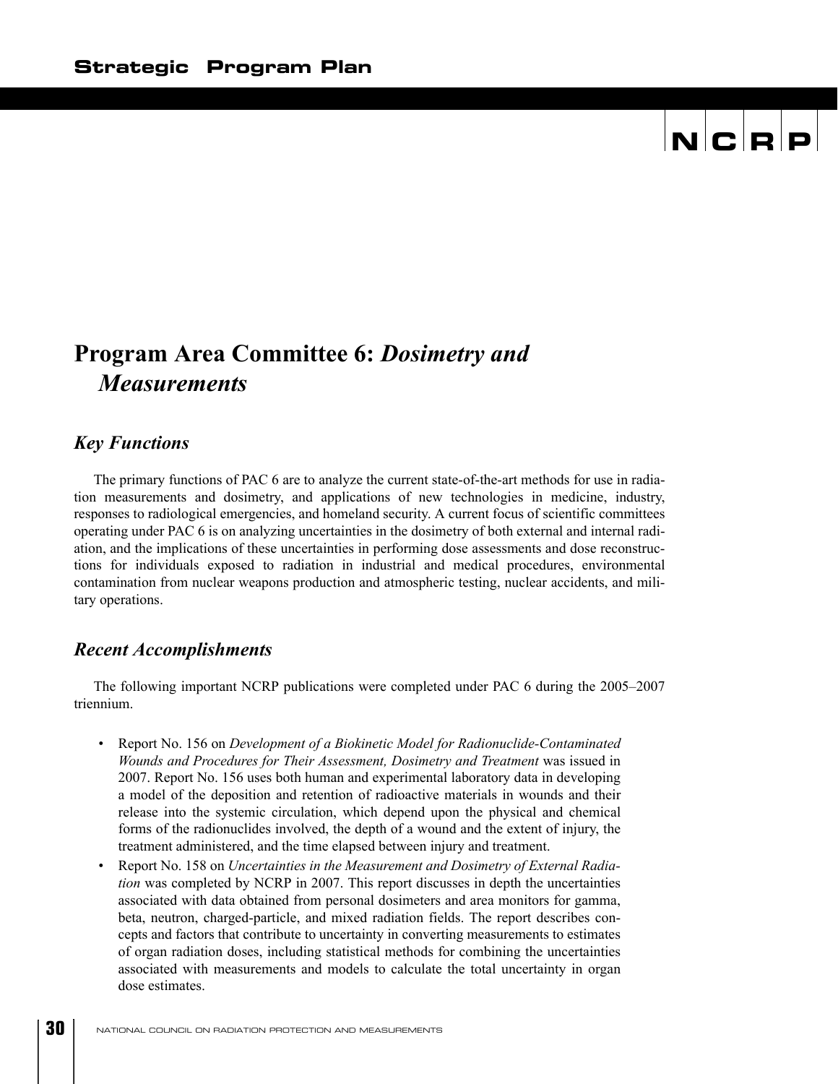### **Program Area Committee 6:** *Dosimetry and Measurements*

#### *Key Functions*

The primary functions of PAC 6 are to analyze the current state-of-the-art methods for use in radiation measurements and dosimetry, and applications of new technologies in medicine, industry, responses to radiological emergencies, and homeland security. A current focus of scientific committees operating under PAC 6 is on analyzing uncertainties in the dosimetry of both external and internal radiation, and the implications of these uncertainties in performing dose assessments and dose reconstructions for individuals exposed to radiation in industrial and medical procedures, environmental contamination from nuclear weapons production and atmospheric testing, nuclear accidents, and military operations.

#### *Recent Accomplishments*

The following important NCRP publications were completed under PAC 6 during the 2005–2007 triennium.

- Report No. 156 on *Development of a Biokinetic Model for Radionuclide-Contaminated Wounds and Procedures for Their Assessment, Dosimetry and Treatment* was issued in 2007. Report No. 156 uses both human and experimental laboratory data in developing a model of the deposition and retention of radioactive materials in wounds and their release into the systemic circulation, which depend upon the physical and chemical forms of the radionuclides involved, the depth of a wound and the extent of injury, the treatment administered, and the time elapsed between injury and treatment.
- Report No. 158 on *Uncertainties in the Measurement and Dosimetry of External Radiation* was completed by NCRP in 2007. This report discusses in depth the uncertainties associated with data obtained from personal dosimeters and area monitors for gamma, beta, neutron, charged-particle, and mixed radiation fields. The report describes concepts and factors that contribute to uncertainty in converting measurements to estimates of organ radiation doses, including statistical methods for combining the uncertainties associated with measurements and models to calculate the total uncertainty in organ dose estimates.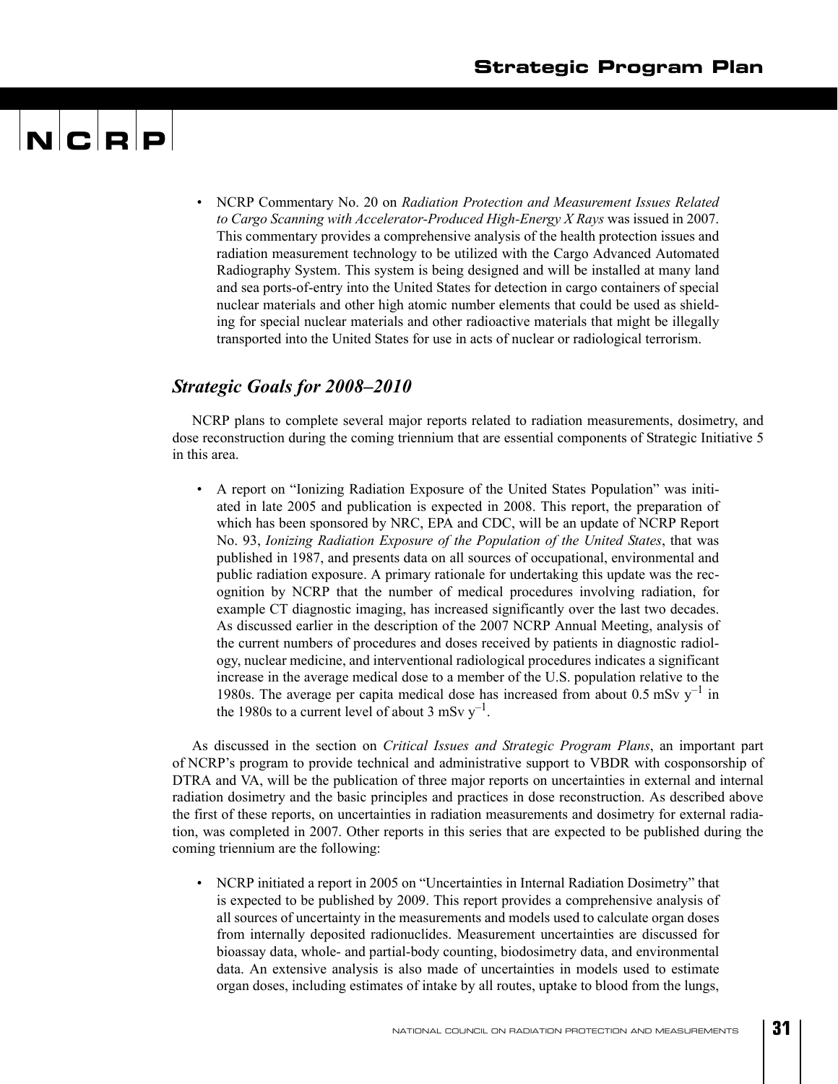## $\mathbf{N}$   $\mathbf{C}$   $\mathbf{R}$   $\mathbf{P}$

• NCRP Commentary No. 20 on *Radiation Protection and Measurement Issues Related to Cargo Scanning with Accelerator-Produced High-Energy X Rays* was issued in 2007. This commentary provides a comprehensive analysis of the health protection issues and radiation measurement technology to be utilized with the Cargo Advanced Automated Radiography System. This system is being designed and will be installed at many land and sea ports-of-entry into the United States for detection in cargo containers of special nuclear materials and other high atomic number elements that could be used as shielding for special nuclear materials and other radioactive materials that might be illegally transported into the United States for use in acts of nuclear or radiological terrorism.

#### *Strategic Goals for 2008–2010*

NCRP plans to complete several major reports related to radiation measurements, dosimetry, and dose reconstruction during the coming triennium that are essential components of Strategic Initiative 5 in this area.

• A report on "Ionizing Radiation Exposure of the United States Population" was initiated in late 2005 and publication is expected in 2008. This report, the preparation of which has been sponsored by NRC, EPA and CDC, will be an update of NCRP Report No. 93, *Ionizing Radiation Exposure of the Population of the United States*, that was published in 1987, and presents data on all sources of occupational, environmental and public radiation exposure. A primary rationale for undertaking this update was the recognition by NCRP that the number of medical procedures involving radiation, for example CT diagnostic imaging, has increased significantly over the last two decades. As discussed earlier in the description of the 2007 NCRP Annual Meeting, analysis of the current numbers of procedures and doses received by patients in diagnostic radiology, nuclear medicine, and interventional radiological procedures indicates a significant increase in the average medical dose to a member of the U.S. population relative to the 1980s. The average per capita medical dose has increased from about 0.5 mSv  $y^{-1}$  in the 1980s to a current level of about 3 mSv  $y^{-1}$ .

As discussed in the section on *Critical Issues and Strategic Program Plans*, an important part of NCRP's program to provide technical and administrative support to VBDR with cosponsorship of DTRA and VA, will be the publication of three major reports on uncertainties in external and internal radiation dosimetry and the basic principles and practices in dose reconstruction. As described above the first of these reports, on uncertainties in radiation measurements and dosimetry for external radiation, was completed in 2007. Other reports in this series that are expected to be published during the coming triennium are the following:

• NCRP initiated a report in 2005 on "Uncertainties in Internal Radiation Dosimetry" that is expected to be published by 2009. This report provides a comprehensive analysis of all sources of uncertainty in the measurements and models used to calculate organ doses from internally deposited radionuclides. Measurement uncertainties are discussed for bioassay data, whole- and partial-body counting, biodosimetry data, and environmental data. An extensive analysis is also made of uncertainties in models used to estimate organ doses, including estimates of intake by all routes, uptake to blood from the lungs,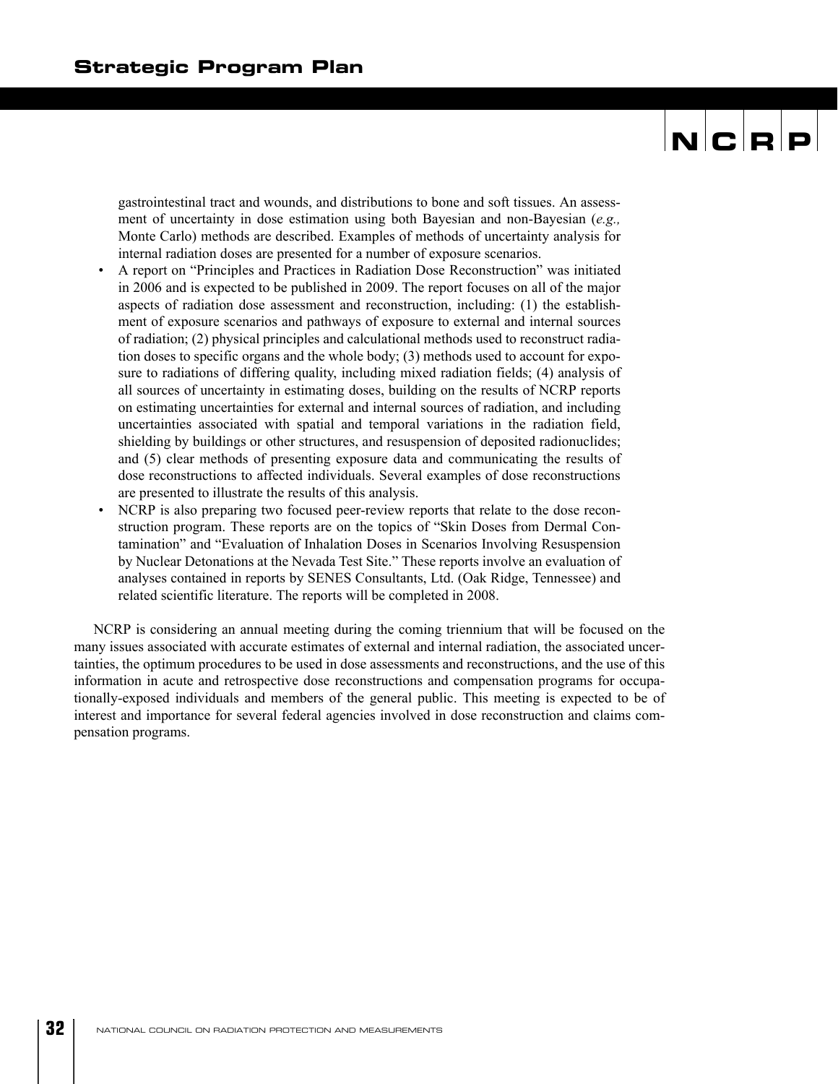## $|{\mathbf{N}}|{\mathbf{C}}|{\mathbf{R}}|{\mathbf{P}}|$

gastrointestinal tract and wounds, and distributions to bone and soft tissues. An assessment of uncertainty in dose estimation using both Bayesian and non-Bayesian (*e.g.,* Monte Carlo) methods are described. Examples of methods of uncertainty analysis for internal radiation doses are presented for a number of exposure scenarios.

- A report on "Principles and Practices in Radiation Dose Reconstruction" was initiated in 2006 and is expected to be published in 2009. The report focuses on all of the major aspects of radiation dose assessment and reconstruction, including: (1) the establishment of exposure scenarios and pathways of exposure to external and internal sources of radiation; (2) physical principles and calculational methods used to reconstruct radiation doses to specific organs and the whole body; (3) methods used to account for exposure to radiations of differing quality, including mixed radiation fields; (4) analysis of all sources of uncertainty in estimating doses, building on the results of NCRP reports on estimating uncertainties for external and internal sources of radiation, and including uncertainties associated with spatial and temporal variations in the radiation field, shielding by buildings or other structures, and resuspension of deposited radionuclides; and (5) clear methods of presenting exposure data and communicating the results of dose reconstructions to affected individuals. Several examples of dose reconstructions are presented to illustrate the results of this analysis.
- NCRP is also preparing two focused peer-review reports that relate to the dose reconstruction program. These reports are on the topics of "Skin Doses from Dermal Contamination" and "Evaluation of Inhalation Doses in Scenarios Involving Resuspension by Nuclear Detonations at the Nevada Test Site." These reports involve an evaluation of analyses contained in reports by SENES Consultants, Ltd. (Oak Ridge, Tennessee) and related scientific literature. The reports will be completed in 2008.

NCRP is considering an annual meeting during the coming triennium that will be focused on the many issues associated with accurate estimates of external and internal radiation, the associated uncertainties, the optimum procedures to be used in dose assessments and reconstructions, and the use of this information in acute and retrospective dose reconstructions and compensation programs for occupationally-exposed individuals and members of the general public. This meeting is expected to be of interest and importance for several federal agencies involved in dose reconstruction and claims compensation programs.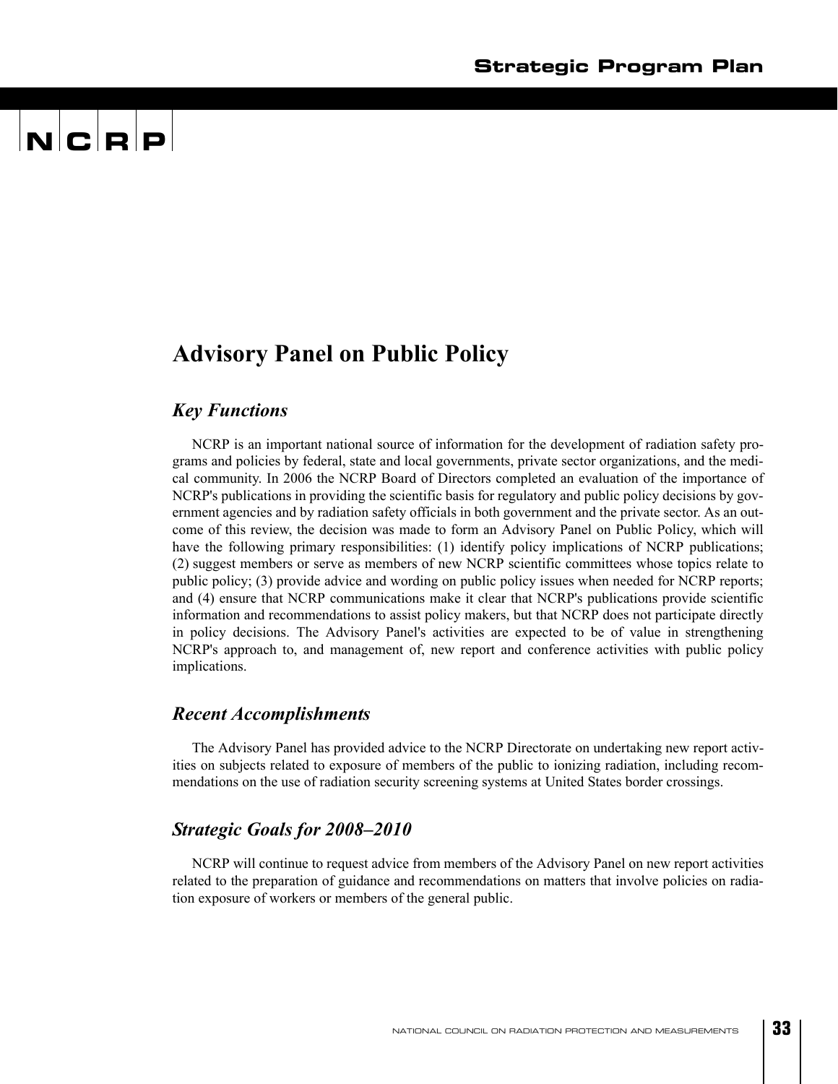### $\mathbf{N}$   $\mathbf{C}$   $\mathbf{R}$   $\mathbf{P}$

### **Advisory Panel on Public Policy**

#### *Key Functions*

NCRP is an important national source of information for the development of radiation safety programs and policies by federal, state and local governments, private sector organizations, and the medical community. In 2006 the NCRP Board of Directors completed an evaluation of the importance of NCRP's publications in providing the scientific basis for regulatory and public policy decisions by government agencies and by radiation safety officials in both government and the private sector. As an outcome of this review, the decision was made to form an Advisory Panel on Public Policy, which will have the following primary responsibilities: (1) identify policy implications of NCRP publications; (2) suggest members or serve as members of new NCRP scientific committees whose topics relate to public policy; (3) provide advice and wording on public policy issues when needed for NCRP reports; and (4) ensure that NCRP communications make it clear that NCRP's publications provide scientific information and recommendations to assist policy makers, but that NCRP does not participate directly in policy decisions. The Advisory Panel's activities are expected to be of value in strengthening NCRP's approach to, and management of, new report and conference activities with public policy implications.

#### *Recent Accomplishments*

The Advisory Panel has provided advice to the NCRP Directorate on undertaking new report activities on subjects related to exposure of members of the public to ionizing radiation, including recommendations on the use of radiation security screening systems at United States border crossings.

#### *Strategic Goals for 2008–2010*

NCRP will continue to request advice from members of the Advisory Panel on new report activities related to the preparation of guidance and recommendations on matters that involve policies on radiation exposure of workers or members of the general public.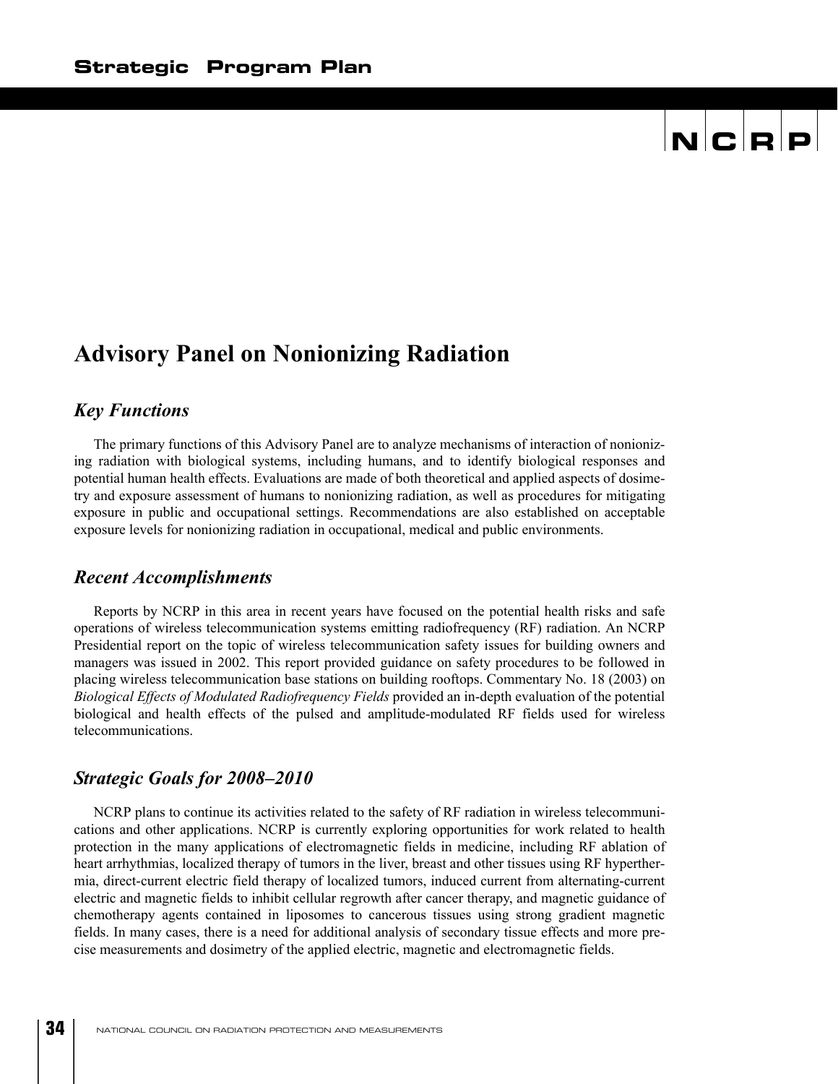### **Advisory Panel on Nonionizing Radiation**

#### *Key Functions*

The primary functions of this Advisory Panel are to analyze mechanisms of interaction of nonionizing radiation with biological systems, including humans, and to identify biological responses and potential human health effects. Evaluations are made of both theoretical and applied aspects of dosimetry and exposure assessment of humans to nonionizing radiation, as well as procedures for mitigating exposure in public and occupational settings. Recommendations are also established on acceptable exposure levels for nonionizing radiation in occupational, medical and public environments.

#### *Recent Accomplishments*

Reports by NCRP in this area in recent years have focused on the potential health risks and safe operations of wireless telecommunication systems emitting radiofrequency (RF) radiation. An NCRP Presidential report on the topic of wireless telecommunication safety issues for building owners and managers was issued in 2002. This report provided guidance on safety procedures to be followed in placing wireless telecommunication base stations on building rooftops. Commentary No. 18 (2003) on *Biological Effects of Modulated Radiofrequency Fields* provided an in-depth evaluation of the potential biological and health effects of the pulsed and amplitude-modulated RF fields used for wireless telecommunications.

#### *Strategic Goals for 2008–2010*

NCRP plans to continue its activities related to the safety of RF radiation in wireless telecommunications and other applications. NCRP is currently exploring opportunities for work related to health protection in the many applications of electromagnetic fields in medicine, including RF ablation of heart arrhythmias, localized therapy of tumors in the liver, breast and other tissues using RF hyperthermia, direct-current electric field therapy of localized tumors, induced current from alternating-current electric and magnetic fields to inhibit cellular regrowth after cancer therapy, and magnetic guidance of chemotherapy agents contained in liposomes to cancerous tissues using strong gradient magnetic fields. In many cases, there is a need for additional analysis of secondary tissue effects and more precise measurements and dosimetry of the applied electric, magnetic and electromagnetic fields.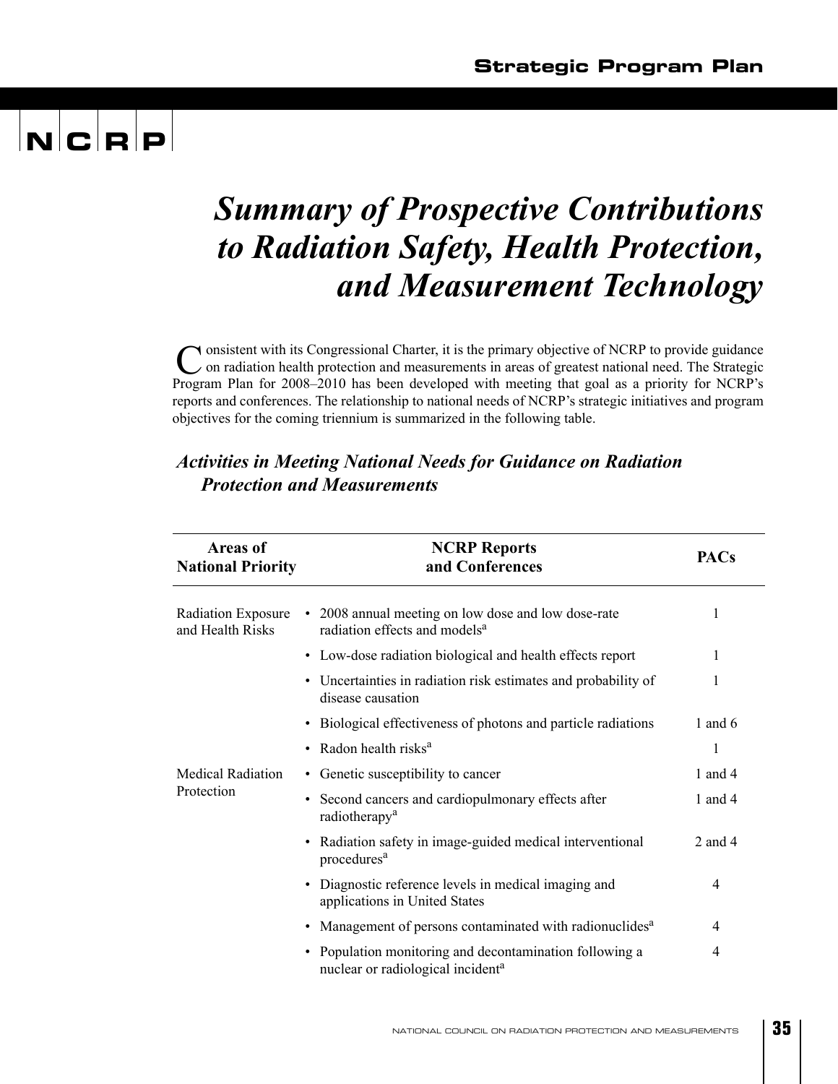### *Summary of Prospective Contributions to Radiation Safety, Health Protection, and Measurement Technology*

onsistent with its Congressional Charter, it is the primary objective of NCRP to provide guidance Consistent with its Congressional Charter, it is the primary objective of NCRP to provide guidance<br>
Con radiation health protection and measurements in areas of greatest national need. The Strategic Program Plan for 2008–2010 has been developed with meeting that goal as a priority for NCRP's reports and conferences. The relationship to national needs of NCRP's strategic initiatives and program objectives for the coming triennium is summarized in the following table.

#### **Areas of National Priority NCRP Reports and Conferences PACs** Radiation Exposure and Health Risks • 2008 annual meeting on low dose and low dose-rate radiation effects and models<sup>a</sup> 1 • Low-dose radiation biological and health effects report 1 • Uncertainties in radiation risk estimates and probability of disease causation 1 • Biological effectiveness of photons and particle radiations 1 and 6 • Radon health risks $^{a}$  1 Medical Radiation Protection • Genetic susceptibility to cancer 1 and 4 • Second cancers and cardiopulmonary effects after radiotherapy<sup>a</sup> 1 and 4 • Radiation safety in image-guided medical interventional procedures<sup>a</sup> 2 and 4 • Diagnostic reference levels in medical imaging and applications in United States 4 • Management of persons contaminated with radionuclides<sup>a</sup> 4 • Population monitoring and decontamination following a nuclear or radiological incident<sup>a</sup> 4

#### *Activities in Meeting National Needs for Guidance on Radiation Protection and Measurements*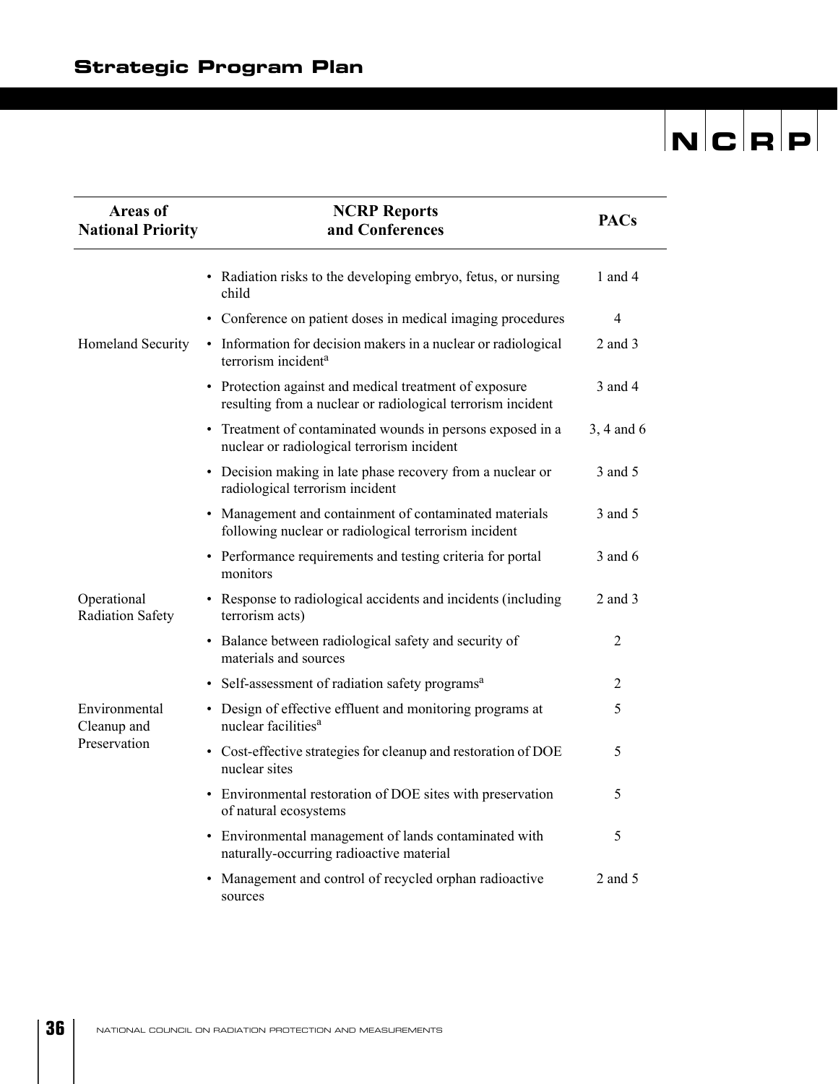$\overline{\phantom{0}}$ 

 $\overline{\phantom{a}}$ 

| <b>Areas of</b>                        | <b>NCRP Reports</b>                                                                                                   | <b>PACs</b>    |
|----------------------------------------|-----------------------------------------------------------------------------------------------------------------------|----------------|
| <b>National Priority</b>               | and Conferences                                                                                                       |                |
|                                        | • Radiation risks to the developing embryo, fetus, or nursing<br>child                                                | 1 and 4        |
|                                        | Conference on patient doses in medical imaging procedures<br>$\bullet$                                                | $\overline{4}$ |
| Homeland Security                      | • Information for decision makers in a nuclear or radiological<br>terrorism incident <sup>a</sup>                     | 2 and 3        |
|                                        | • Protection against and medical treatment of exposure<br>resulting from a nuclear or radiological terrorism incident | 3 and 4        |
|                                        | • Treatment of contaminated wounds in persons exposed in a<br>nuclear or radiological terrorism incident              | 3, 4 and 6     |
|                                        | • Decision making in late phase recovery from a nuclear or<br>radiological terrorism incident                         | 3 and 5        |
|                                        | Management and containment of contaminated materials<br>following nuclear or radiological terrorism incident          | 3 and 5        |
|                                        | • Performance requirements and testing criteria for portal<br>monitors                                                | 3 and 6        |
| Operational<br><b>Radiation Safety</b> | • Response to radiological accidents and incidents (including<br>terrorism acts)                                      | 2 and 3        |
|                                        | • Balance between radiological safety and security of<br>materials and sources                                        | 2              |
|                                        | Self-assessment of radiation safety programs <sup>a</sup>                                                             | 2              |
| Environmental<br>Cleanup and           | • Design of effective effluent and monitoring programs at<br>nuclear facilities <sup>a</sup>                          | 5              |
| Preservation                           | • Cost-effective strategies for cleanup and restoration of DOE<br>nuclear sites                                       | 5              |
|                                        | • Environmental restoration of DOE sites with preservation<br>of natural ecosystems                                   | 5              |
|                                        | • Environmental management of lands contaminated with<br>naturally-occurring radioactive material                     | 5              |
|                                        | Management and control of recycled orphan radioactive<br>$\bullet$<br>sources                                         | 2 and 5        |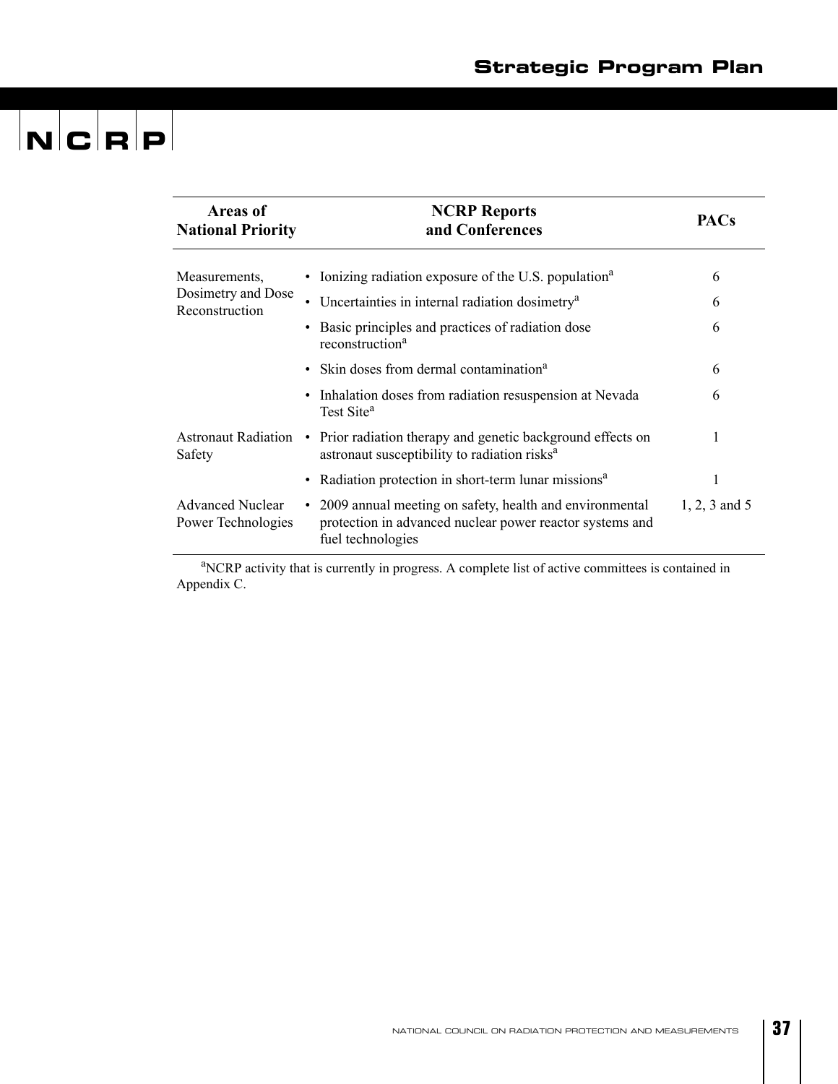| <b>Areas of</b><br><b>National Priority</b>   | <b>NCRP Reports</b><br>and Conferences                                                                                                      | <b>PACs</b>     |
|-----------------------------------------------|---------------------------------------------------------------------------------------------------------------------------------------------|-----------------|
| Measurements,<br>Dosimetry and Dose           | • Ionizing radiation exposure of the U.S. population <sup>a</sup>                                                                           | 6               |
| Reconstruction                                | Uncertainties in internal radiation dosimetry <sup>a</sup>                                                                                  | 6               |
|                                               | Basic principles and practices of radiation dose<br>reconstruction <sup>a</sup>                                                             | 6               |
|                                               | • Skin doses from dermal contamination <sup>a</sup>                                                                                         | 6               |
|                                               | • Inhalation doses from radiation resuspension at Nevada<br>Test Site <sup>a</sup>                                                          | 6               |
| Safety                                        | Astronaut Radiation • Prior radiation therapy and genetic background effects on<br>astronaut susceptibility to radiation risks <sup>a</sup> |                 |
|                                               | • Radiation protection in short-term lunar missions <sup>a</sup>                                                                            |                 |
| <b>Advanced Nuclear</b><br>Power Technologies | • 2009 annual meeting on safety, health and environmental<br>protection in advanced nuclear power reactor systems and<br>fuel technologies  | $1, 2, 3$ and 5 |

<sup>a</sup>NCRP activity that is currently in progress. A complete list of active committees is contained in Appendix C.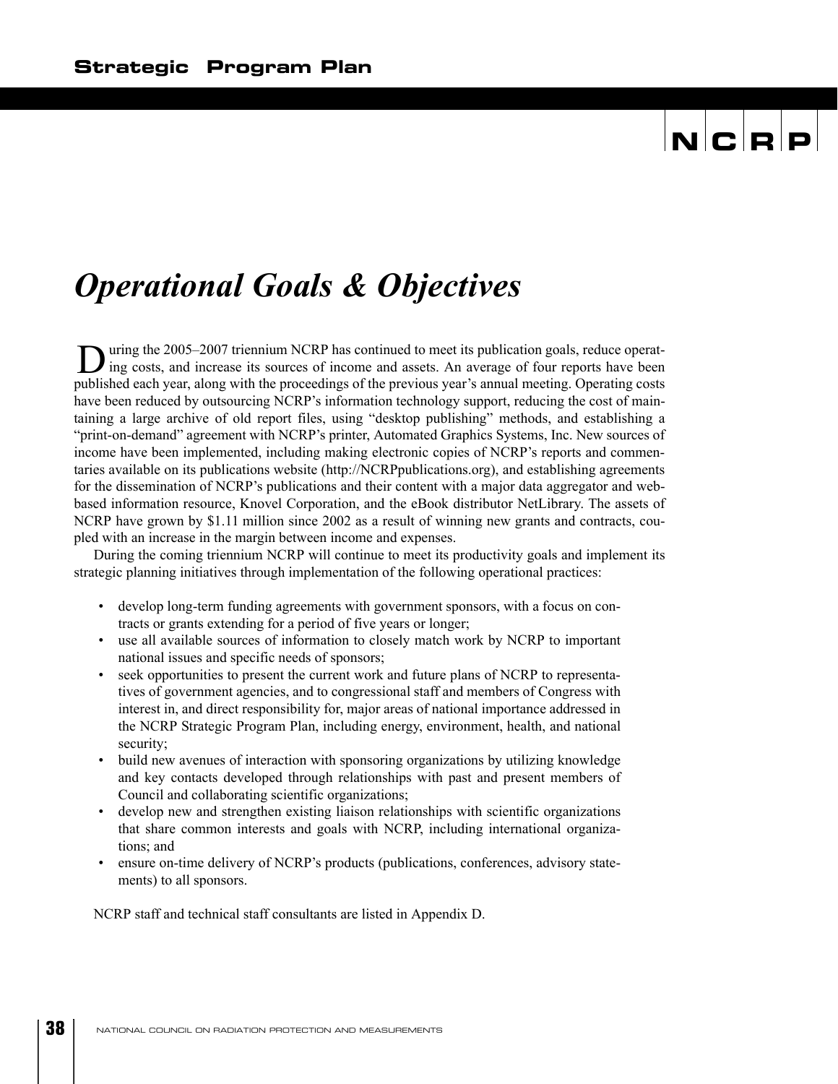### *Operational Goals & Objectives*

uring the 2005–2007 triennium NCRP has continued to meet its publication goals, reduce operat-During the 2005–2007 triennium NCRP has continued to meet its publication goals, reduce operating costs, and increase its sources of income and assets. An average of four reports have been published each year, along with the proceedings of the previous year's annual meeting. Operating costs have been reduced by outsourcing NCRP's information technology support, reducing the cost of maintaining a large archive of old report files, using "desktop publishing" methods, and establishing a "print-on-demand" agreement with NCRP's printer, Automated Graphics Systems, Inc. New sources of income have been implemented, including making electronic copies of NCRP's reports and commentaries available on its publications website (http://NCRPpublications.org), and establishing agreements for the dissemination of NCRP's publications and their content with a major data aggregator and webbased information resource, Knovel Corporation, and the eBook distributor NetLibrary. The assets of NCRP have grown by \$1.11 million since 2002 as a result of winning new grants and contracts, coupled with an increase in the margin between income and expenses.

During the coming triennium NCRP will continue to meet its productivity goals and implement its strategic planning initiatives through implementation of the following operational practices:

- develop long-term funding agreements with government sponsors, with a focus on contracts or grants extending for a period of five years or longer;
- use all available sources of information to closely match work by NCRP to important national issues and specific needs of sponsors;
- seek opportunities to present the current work and future plans of NCRP to representatives of government agencies, and to congressional staff and members of Congress with interest in, and direct responsibility for, major areas of national importance addressed in the NCRP Strategic Program Plan, including energy, environment, health, and national security;
- build new avenues of interaction with sponsoring organizations by utilizing knowledge and key contacts developed through relationships with past and present members of Council and collaborating scientific organizations;
- develop new and strengthen existing liaison relationships with scientific organizations that share common interests and goals with NCRP, including international organizations; and
- ensure on-time delivery of NCRP's products (publications, conferences, advisory statements) to all sponsors.

NCRP staff and technical staff consultants are listed in Appendix D.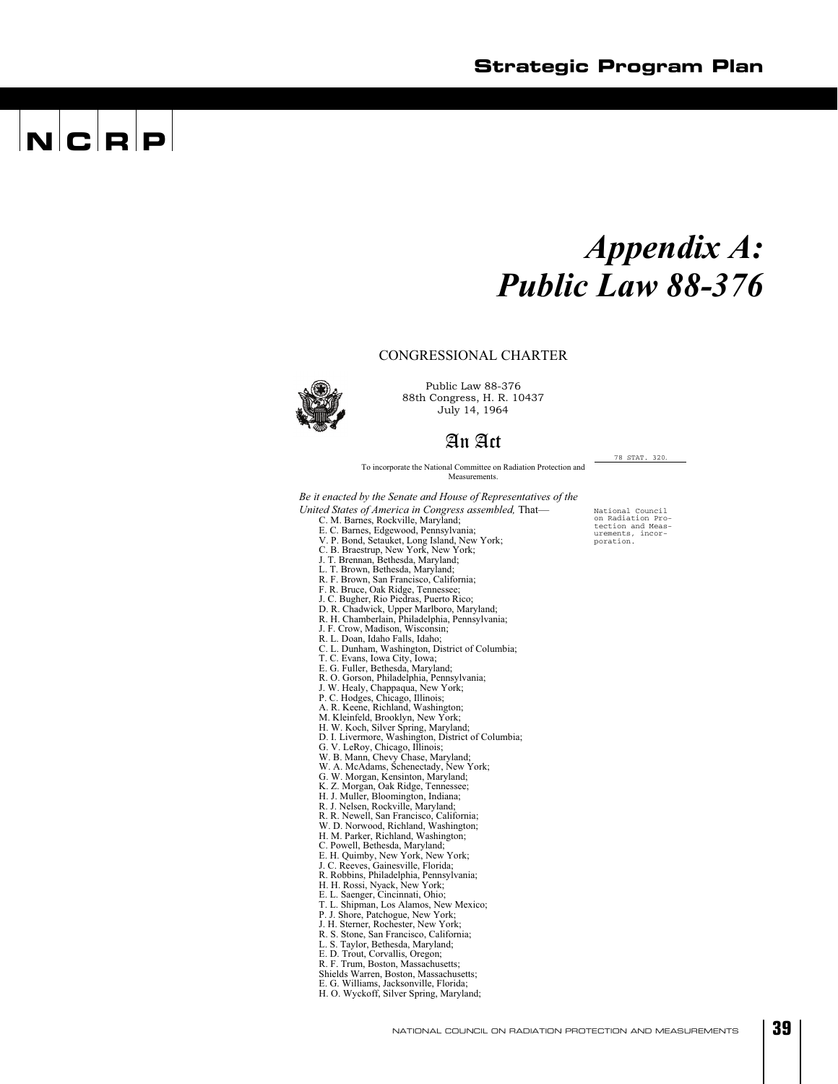### *Appendix A: Public Law 88-376*

#### CONGRESSIONAL CHARTER

88th Congress, H. R. 10437

July 14, 1964

Public Law 88-376

#### An Act

To incorporate the National Committee on Radiation Protection and Measurement

*Be it enacted by the Senate and House of Representatives of the* 

- *United States of America in Congress assembled,* That—
	- C. M. Barnes, Rockville, Maryland;
	-
	- E. C. Barnes, Edgewood, Pennsylvania; V. P. Bond, Setauket, Long Island, New York; C. B. Braestrup, New York, New York;
	- J. T. Brennan, Bethesda, Maryland;
	- L. T. Brown, Bethesda, Maryland;
	-
	- R. F. Brown, San Francisco, California; F. R. Bruce, Oak Ridge, Tennessee;
	- J. C. Bugher, Rio Piedras, Puerto Rico;
	-
	- D. R. Chadwick, Upper Marlboro, Maryland; R. H. Chamberlain, Philadelphia, Pennsylvania;
	- J. F. Crow, Madison, Wisconsin;
	- R. L. Doan, Idaho Falls, Idaho;
	- C. L. Dunham, Washington, District of Columbia;
	- T. C. Evans, Iowa City, Iowa; E. G. Fuller, Bethesda, Maryland;
	-
	-
	-
	-
	-
	-
	- R. O. Gorson, Philadelphia, Pennsylvania;<br>J. W. Healy, Chappaqua, New York;<br>P. C. Hodges, Chicago, Illinois;<br>A. R. Keene, Richland, Washington;<br>M. Kleinfeld, Brooklyn, New York;<br>H. W. Koch, Silver Spring, Maryland;<br>D. I. L
	-
	-
	- G. V. LeRoy, Chicago, Illinois; W. B. Mann, Chevy Chase, Maryland; W. A. McAdams, Schenectady, New York;
	-
	- G. W. Morgan, Kensinton, Maryland; K. Z. Morgan, Oak Ridge, Tennessee; H. J. Muller, Bloomington, Indiana; R. J. Nelsen, Rockville, Maryland;
	-
	-
	- R. R. Newell, San Francisco, California;
	- W. D. Norwood, Richland, Washington; H. M. Parker, Richland, Washington;
	- C. Powell, Bethesda, Maryland;
	-
	- E. H. Quimby, New York, New York; J. C. Reeves, Gainesville, Florida;
	- R. Robbins, Philadelphia, Pennsylvania; H. H. Rossi, Nyack, New York;
	-
	- E. L. Saenger, Cincinnati, Ohio;
	- T. L. Shipman, Los Alamos, New Mexico; P. J. Shore, Patchogue, New York;
	-
	- J. H. Sterner, Rochester, New York; R. S. Stone, San Francisco, California;
	- L. S. Taylor, Bethesda, Maryland;
	-
	- E. D. Trout, Corvallis, Oregon; R. F. Trum, Boston, Massachusetts;
	-
	- Shields Warren, Boston, Massachusetts; E. G. Williams, Jacksonville, Florida;
	- H. O. Wyckoff, Silver Spring, Maryland;

National Council on Radiation Pro-tection and Meas-urements, incor-poration.

78 STAT. 320.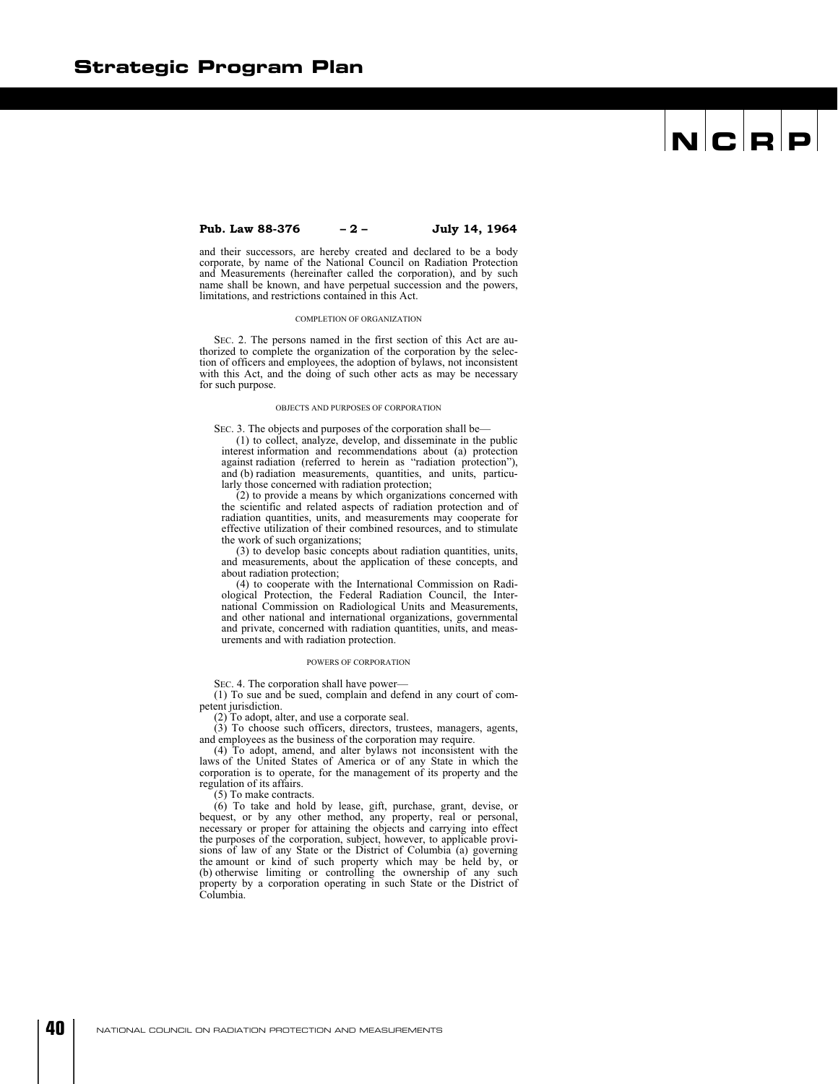#### **Pub. Law 88-376 – 2 – July 14, 1964**

and their successors, are hereby created and declared to be a body corporate, by name of the National Council on Radiation Protection and Measurements (hereinafter called the corporation), and by such name shall be known, and have perpetual succession and the powers, limitations, and restrictions contained in this Act.

#### COMPLETION OF ORGANIZATION

SEC. 2. The persons named in the first section of this Act are authorized to complete the organization of the corporation by the selection of officers and employees, the adoption of bylaws, not inconsistent with this Act, and the doing of such other acts as may be necessary for such purpose.

#### OBJECTS AND PURPOSES OF CORPORATION

SEC. 3. The objects and purposes of the corporation shall be—

(1) to collect, analyze, develop, and disseminate in the public interest information and recommendations about (a) protection against radiation (referred to herein as "radiation protection"), and (b) radiation measurements, quantities, and units, particularly those concerned with radiation protection;

(2) to provide a means by which organizations concerned with the scientific and related aspects of radiation protection and of radiation quantities, units, and measurements may cooperate for effective utilization of their combined resources, and to stimulate the work of such organizations;

(3) to develop basic concepts about radiation quantities, units, and measurements, about the application of these concepts, and about radiation protection;

(4) to cooperate with the International Commission on Radiological Protection, the Federal Radiation Council, the International Commission on Radiological Units and Measurements, and other national and international organizations, governmental and private, concerned with radiation quantities, units, and measurements and with radiation protection.

#### POWERS OF CORPORATION

SEC. 4. The corporation shall have power—

(1) To sue and be sued, complain and defend in any court of competent jurisdiction.

(2) To adopt, alter, and use a corporate seal.

(3) To choose such officers, directors, trustees, managers, agents, and employees as the business of the corporation may require.

(4) To adopt, amend, and alter bylaws not inconsistent with the laws of the United States of America or of any State in which the corporation is to operate, for the management of its property and the regulation of its affairs.

(5) To make contracts.

(6) To take and hold by lease, gift, purchase, grant, devise, or bequest, or by any other method, any property, real or personal, necessary or proper for attaining the objects and carrying into effect the purposes of the corporation, subject, however, to applicable provisions of law of any State or the District of Columbia (a) governing the amount or kind of such property which may be held by, or (b) otherwise limiting or controlling the ownership of any such property by a corporation operating in such State or the District of Columbia.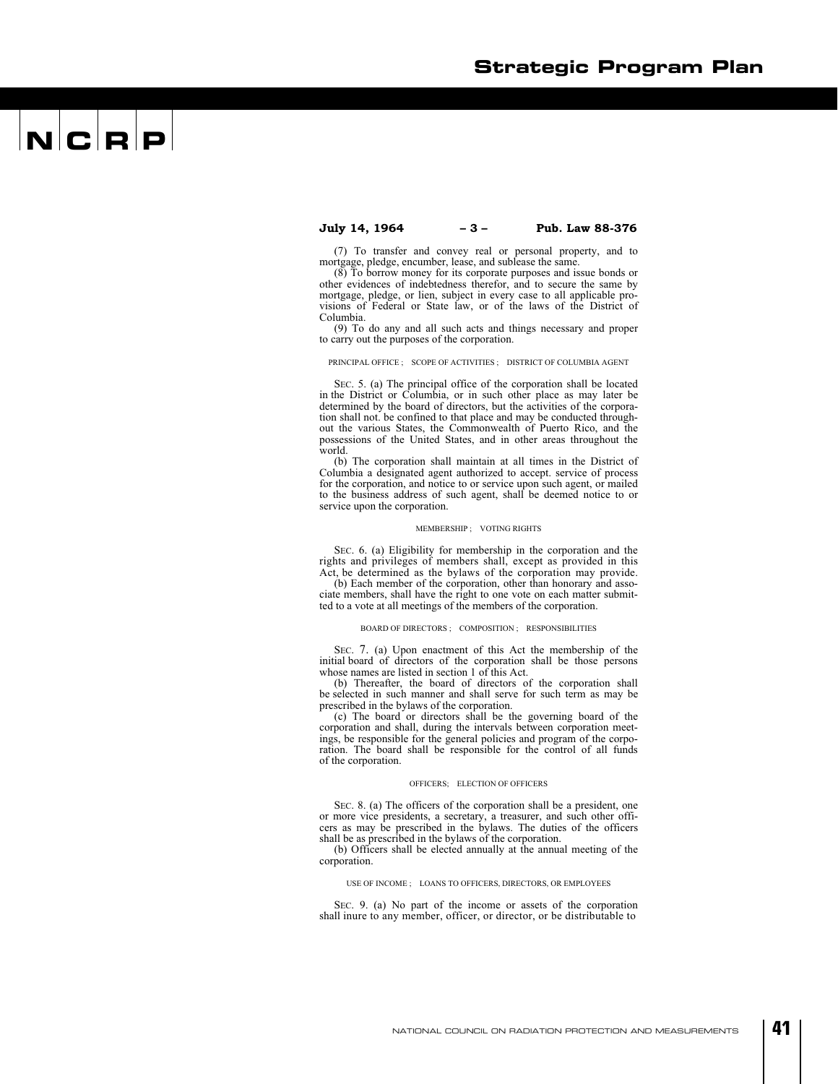### $\mathbf{N}$   $\mathbf{C}$   $\mathbf{R}$   $\mathbf{P}$

**July 14, 1964 – 3 – Pub. Law 88-376** 

(7) To transfer and convey real or personal property, and to mortgage, pledge, encumber, lease, and sublease the same.

(8) To borrow money for its corporate purposes and issue bonds or other evidences of indebtedness therefor, and to secure the same by mortgage, pledge, or lien, subject in every case to all applicable provisions of Federal or State law, or of the laws of the District of Columbia.

(9) To do any and all such acts and things necessary and proper to carry out the purposes of the corporation.

#### PRINCIPAL OFFICE ; SCOPE OF ACTIVITIES ; DISTRICT OF COLUMBIA AGENT

SEC. 5. (a) The principal office of the corporation shall be located in the District or Columbia, or in such other place as may later be determined by the board of directors, but the activities of the corporation shall not. be confined to that place and may be conducted throughout the various States, the Commonwealth of Puerto Rico, and the possessions of the United States, and in other areas throughout the world.

(b) The corporation shall maintain at all times in the District of Columbia a designated agent authorized to accept. service of process for the corporation, and notice to or service upon such agent, or mailed to the business address of such agent, shall be deemed notice to or service upon the corporation.

#### MEMBERSHIP ; VOTING RIGHTS

SEC. 6. (a) Eligibility for membership in the corporation and the rights and privileges of members shall, except as provided in this Act, be determined as the bylaws of the corporation may provide.

(b) Each member of the corporation, other than honorary and associate members, shall have the right to one vote on each matter submitted to a vote at all meetings of the members of the corporation.

#### BOARD OF DIRECTORS ; COMPOSITION ; RESPONSIBILITIES

SEC. 7. (a) Upon enactment of this Act the membership of the initial board of directors of the corporation shall be those persons whose names are listed in section 1 of this Act.

(b) Thereafter, the board of directors of the corporation shall be selected in such manner and shall serve for such term as may be prescribed in the bylaws of the corporation.

(c) The board or directors shall be the governing board of the corporation and shall, during the intervals between corporation meetings, be responsible for the general policies and program of the corporation. The board shall be responsible for the control of all funds of the corporation.

#### OFFICERS; ELECTION OF OFFICERS

SEC. 8. (a) The officers of the corporation shall be a president, one or more vice presidents, a secretary, a treasurer, and such other officers as may be prescribed in the bylaws. The duties of the officers shall be as prescribed in the bylaws of the corporation.

(b) Officers shall be elected annually at the annual meeting of the corporation.

#### USE OF INCOME ; LOANS TO OFFICERS, DIRECTORS, OR EMPLOYEES

SEC. 9. (a) No part of the income or assets of the corporation shall inure to any member, officer, or director, or be distributable to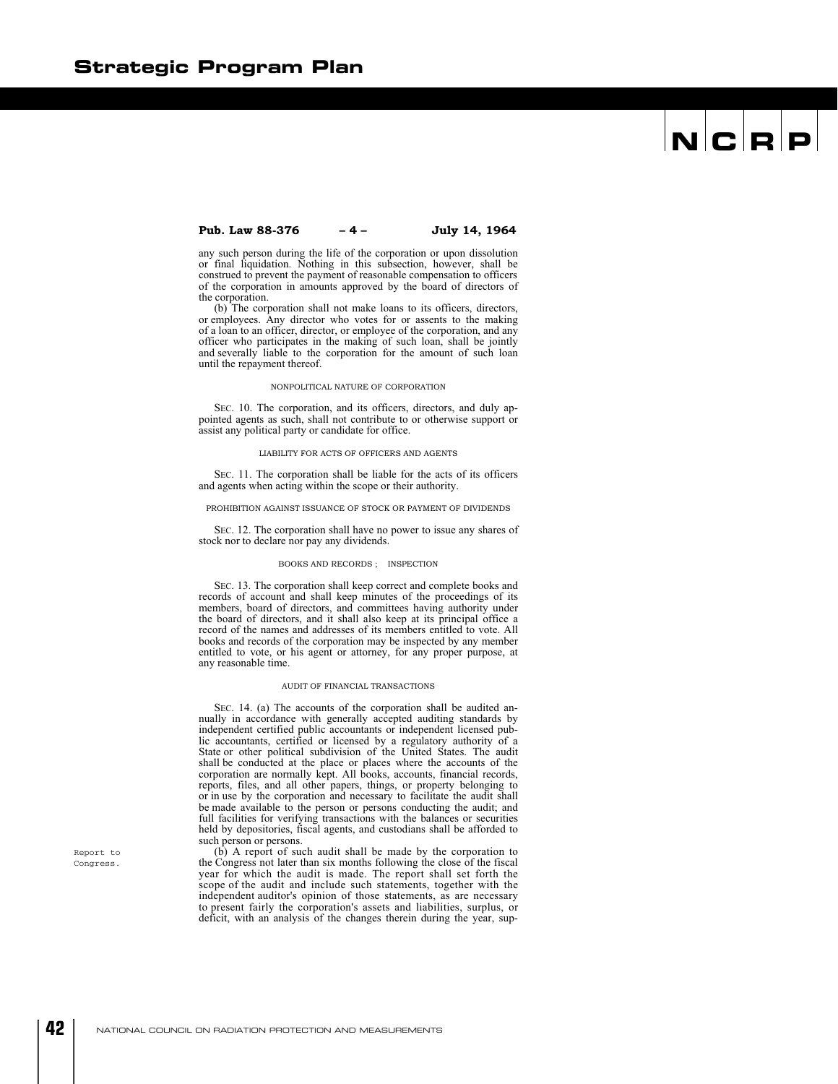#### **Pub. Law 88-376 – 4 – July 14, 1964**

any such person during the life of the corporation or upon dissolution or final liquidation. Nothing in this subsection, however, shall be construed to prevent the payment of reasonable compensation to officers of the corporation in amounts approved by the board of directors of the corporation.

(b) The corporation shall not make loans to its officers, directors, or employees. Any director who votes for or assents to the making of a loan to an officer, director, or employee of the corporation, and any officer who participates in the making of such loan, shall be jointly and severally liable to the corporation for the amount of such loan until the repayment thereof.

#### NONPOLITICAL NATURE OF CORPORATION

SEC. 10. The corporation, and its officers, directors, and duly appointed agents as such, shall not contribute to or otherwise support or assist any political party or candidate for office.

#### LIABILITY FOR ACTS OF OFFICERS AND AGENTS

SEC. 11. The corporation shall be liable for the acts of its officers and agents when acting within the scope or their authority.

#### PROHIBITION AGAINST ISSUANCE OF STOCK OR PAYMENT OF DIVIDENDS

SEC. 12. The corporation shall have no power to issue any shares of stock nor to declare nor pay any dividends.

#### BOOKS AND RECORDS ; INSPECTION

SEC. 13. The corporation shall keep correct and complete books and records of account and shall keep minutes of the proceedings of its members, board of directors, and committees having authority under the board of directors, and it shall also keep at its principal office a record of the names and addresses of its members entitled to vote. All books and records of the corporation may be inspected by any member entitled to vote, or his agent or attorney, for any proper purpose, at any reasonable time.

#### AUDIT OF FINANCIAL TRANSACTIONS

SEC. 14. (a) The accounts of the corporation shall be audited annually in accordance with generally accepted auditing standards by independent certified public accountants or independent licensed public accountants, certified or licensed by a regulatory authority of a State or other political subdivision of the United States. The audit shall be conducted at the place or places where the accounts of the corporation are normally kept. All books, accounts, financial records, reports, files, and all other papers, things, or property belonging to or in use by the corporation and necessary to facilitate the audit shall be made available to the person or persons conducting the audit; and full facilities for verifying transactions with the balances or securities held by depositories, fiscal agents, and custodians shall be afforded to such person or persons.

(b) A report of such audit shall be made by the corporation to the Congress not later than six months following the close of the fiscal year for which the audit is made. The report shall set forth the scope of the audit and include such statements, together with the independent auditor's opinion of those statements, as are necessary to present fairly the corporation's assets and liabilities, surplus, or deficit, with an analysis of the changes therein during the year, sup-

Report to Congress.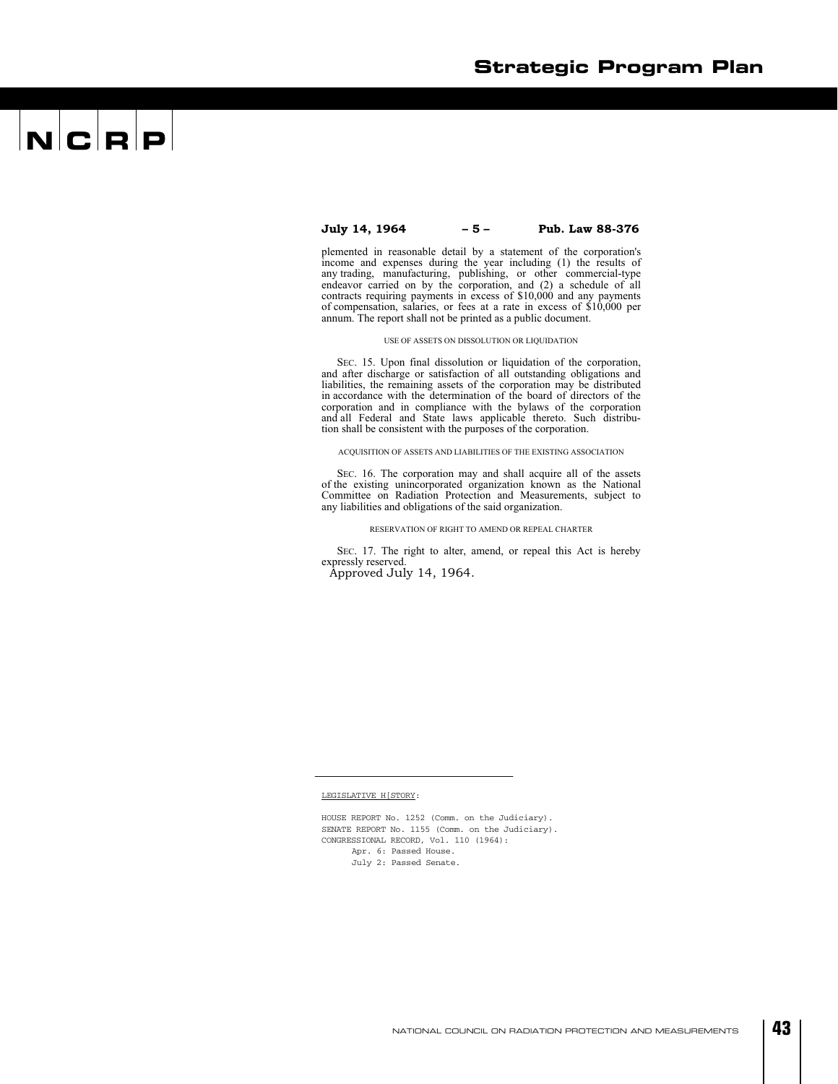#### **July 14, 1964 – 5 – Pub. Law 88-376**

plemented in reasonable detail by a statement of the corporation's income and expenses during the year including (1) the results of any trading, manufacturing, publishing, or other commercial-type endeavor carried on by the corporation, and (2) a schedule of all contracts requiring payments in excess of \$10,000 and any payments of compensation, salaries, or fees at a rate in excess of \$10,000 per annum. The report shall not be printed as a public document.

#### USE OF ASSETS ON DISSOLUTION OR LIQUIDATION

SEC. 15. Upon final dissolution or liquidation of the corporation, and after discharge or satisfaction of all outstanding obligations and liabilities, the remaining assets of the corporation may be distributed in accordance with the determination of the board of directors of the corporation and in compliance with the bylaws of the corporation and all Federal and State laws applicable thereto. Such distribution shall be consistent with the purposes of the corporation.

ACQUISITION OF ASSETS AND LIABILITIES OF THE EXISTING ASSOCIATION

SEC. 16. The corporation may and shall acquire all of the assets of the existing unincorporated organization known as the National Committee on Radiation Protection and Measurements, subject to any liabilities and obligations of the said organization.

#### RESERVATION OF RIGHT TO AMEND OR REPEAL CHARTER

SEC. 17. The right to alter, amend, or repeal this Act is hereby expressly reserved.

Approved July 14, 1964.

#### LEGISLATIVE H[STORY:

HOUSE REPORT No. 1252 (Comm. on the Judiciary). SENATE REPORT No. 1155 (Comm. on the Judiciary). CONGRESSIONAL RECORD, Vol. 110 (1964): Apr. 6: Passed House. July 2: Passed Senate.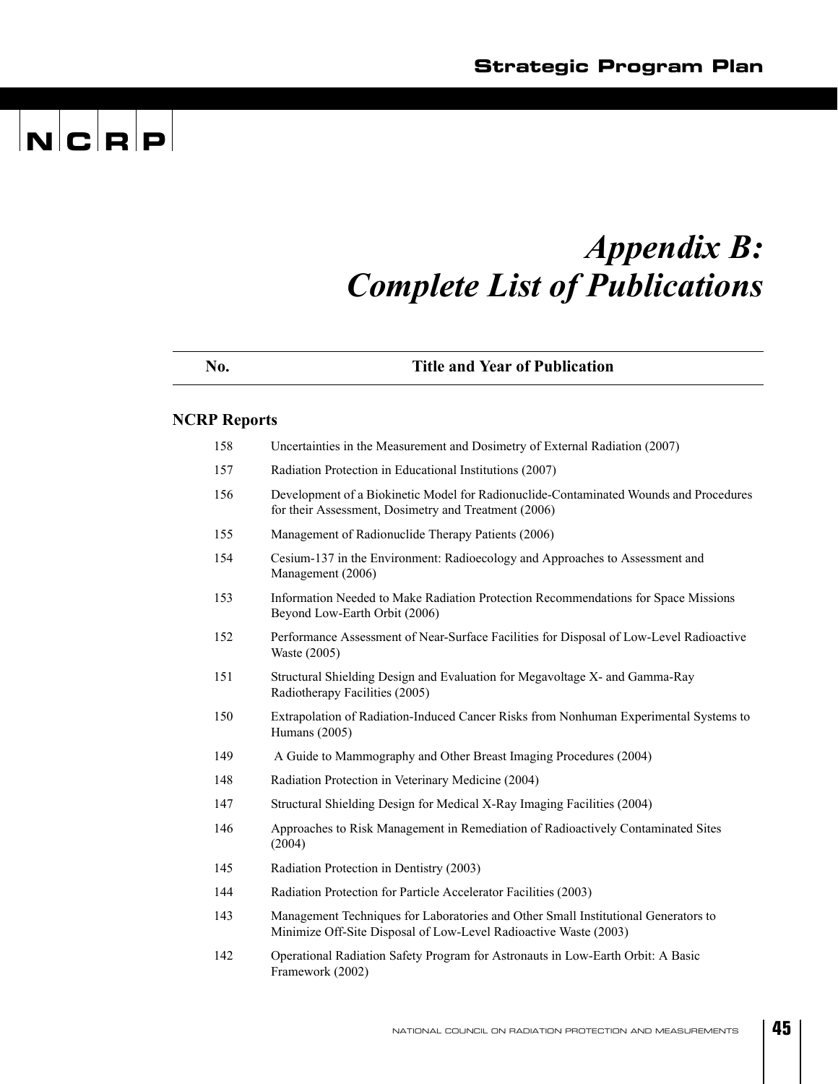### *Appendix B: Complete List of Publications*

 $|\mathbf{N}|$ C $|\mathbf{R}|\mathbf{P}|$ 

| No.                 | <b>Title and Year of Publication</b>                                                                                                                   |
|---------------------|--------------------------------------------------------------------------------------------------------------------------------------------------------|
| <b>NCRP Reports</b> |                                                                                                                                                        |
| 158                 | Uncertainties in the Measurement and Dosimetry of External Radiation (2007)                                                                            |
| 157                 | Radiation Protection in Educational Institutions (2007)                                                                                                |
| 156                 | Development of a Biokinetic Model for Radionuclide-Contaminated Wounds and Procedures<br>for their Assessment, Dosimetry and Treatment (2006)          |
| 155                 | Management of Radionuclide Therapy Patients (2006)                                                                                                     |
| 154                 | Cesium-137 in the Environment: Radioecology and Approaches to Assessment and<br>Management (2006)                                                      |
| 153                 | Information Needed to Make Radiation Protection Recommendations for Space Missions<br>Beyond Low-Earth Orbit (2006)                                    |
| 152                 | Performance Assessment of Near-Surface Facilities for Disposal of Low-Level Radioactive<br>Waste (2005)                                                |
| 151                 | Structural Shielding Design and Evaluation for Megavoltage X- and Gamma-Ray<br>Radiotherapy Facilities (2005)                                          |
| 150                 | Extrapolation of Radiation-Induced Cancer Risks from Nonhuman Experimental Systems to<br>Humans (2005)                                                 |
| 149                 | A Guide to Mammography and Other Breast Imaging Procedures (2004)                                                                                      |
| 148                 | Radiation Protection in Veterinary Medicine (2004)                                                                                                     |
| 147                 | Structural Shielding Design for Medical X-Ray Imaging Facilities (2004)                                                                                |
| 146                 | Approaches to Risk Management in Remediation of Radioactively Contaminated Sites<br>(2004)                                                             |
| 145                 | Radiation Protection in Dentistry (2003)                                                                                                               |
| 144                 | Radiation Protection for Particle Accelerator Facilities (2003)                                                                                        |
| 143                 | Management Techniques for Laboratories and Other Small Institutional Generators to<br>Minimize Off-Site Disposal of Low-Level Radioactive Waste (2003) |
| 142                 | Operational Radiation Safety Program for Astronauts in Low-Earth Orbit: A Basic<br>Framework (2002)                                                    |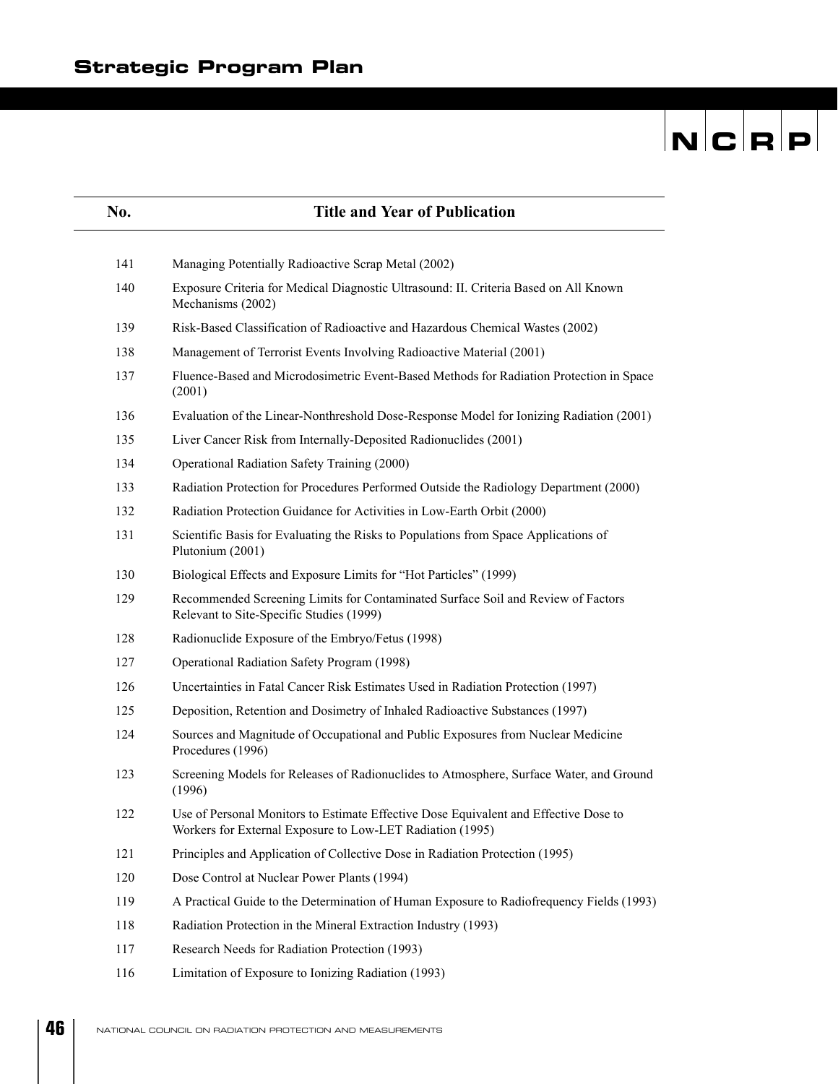| No. | <b>Title and Year of Publication</b>                                                                                                              |
|-----|---------------------------------------------------------------------------------------------------------------------------------------------------|
| 141 | Managing Potentially Radioactive Scrap Metal (2002)                                                                                               |
| 140 | Exposure Criteria for Medical Diagnostic Ultrasound: II. Criteria Based on All Known<br>Mechanisms (2002)                                         |
| 139 | Risk-Based Classification of Radioactive and Hazardous Chemical Wastes (2002)                                                                     |
| 138 | Management of Terrorist Events Involving Radioactive Material (2001)                                                                              |
| 137 | Fluence-Based and Microdosimetric Event-Based Methods for Radiation Protection in Space<br>(2001)                                                 |
| 136 | Evaluation of the Linear-Nonthreshold Dose-Response Model for Ionizing Radiation (2001)                                                           |
| 135 | Liver Cancer Risk from Internally-Deposited Radionuclides (2001)                                                                                  |
| 134 | Operational Radiation Safety Training (2000)                                                                                                      |
| 133 | Radiation Protection for Procedures Performed Outside the Radiology Department (2000)                                                             |
| 132 | Radiation Protection Guidance for Activities in Low-Earth Orbit (2000)                                                                            |
| 131 | Scientific Basis for Evaluating the Risks to Populations from Space Applications of<br>Plutonium (2001)                                           |
| 130 | Biological Effects and Exposure Limits for "Hot Particles" (1999)                                                                                 |
| 129 | Recommended Screening Limits for Contaminated Surface Soil and Review of Factors<br>Relevant to Site-Specific Studies (1999)                      |
| 128 | Radionuclide Exposure of the Embryo/Fetus (1998)                                                                                                  |
| 127 | Operational Radiation Safety Program (1998)                                                                                                       |
| 126 | Uncertainties in Fatal Cancer Risk Estimates Used in Radiation Protection (1997)                                                                  |
| 125 | Deposition, Retention and Dosimetry of Inhaled Radioactive Substances (1997)                                                                      |
| 124 | Sources and Magnitude of Occupational and Public Exposures from Nuclear Medicine<br>Procedures (1996)                                             |
| 123 | Screening Models for Releases of Radionuclides to Atmosphere, Surface Water, and Ground<br>(1996)                                                 |
| 122 | Use of Personal Monitors to Estimate Effective Dose Equivalent and Effective Dose to<br>Workers for External Exposure to Low-LET Radiation (1995) |
| 121 | Principles and Application of Collective Dose in Radiation Protection (1995)                                                                      |
| 120 | Dose Control at Nuclear Power Plants (1994)                                                                                                       |
| 119 | A Practical Guide to the Determination of Human Exposure to Radiofrequency Fields (1993)                                                          |
| 118 | Radiation Protection in the Mineral Extraction Industry (1993)                                                                                    |
| 117 | Research Needs for Radiation Protection (1993)                                                                                                    |
| 116 | Limitation of Exposure to Ionizing Radiation (1993)                                                                                               |

**46**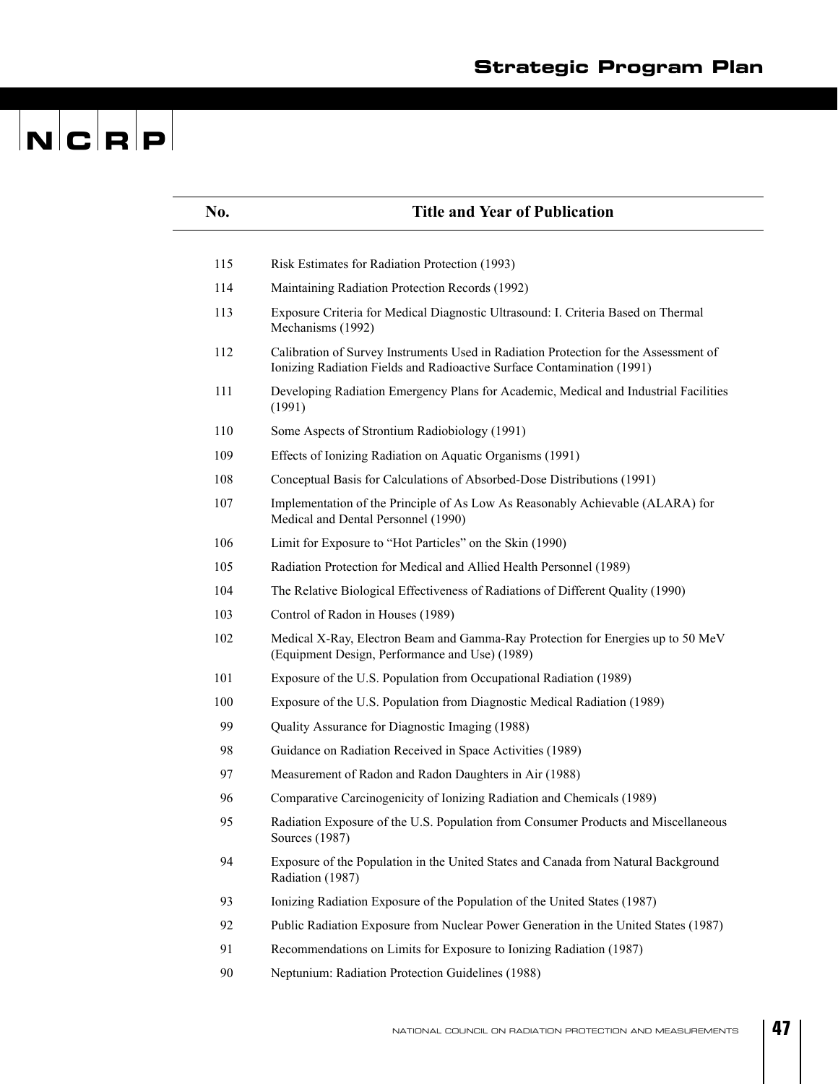| No. | <b>Title and Year of Publication</b>                                                                                                                           |
|-----|----------------------------------------------------------------------------------------------------------------------------------------------------------------|
|     |                                                                                                                                                                |
| 115 | Risk Estimates for Radiation Protection (1993)                                                                                                                 |
| 114 | Maintaining Radiation Protection Records (1992)                                                                                                                |
| 113 | Exposure Criteria for Medical Diagnostic Ultrasound: I. Criteria Based on Thermal<br>Mechanisms (1992)                                                         |
| 112 | Calibration of Survey Instruments Used in Radiation Protection for the Assessment of<br>Ionizing Radiation Fields and Radioactive Surface Contamination (1991) |
| 111 | Developing Radiation Emergency Plans for Academic, Medical and Industrial Facilities<br>(1991)                                                                 |
| 110 | Some Aspects of Strontium Radiobiology (1991)                                                                                                                  |
| 109 | Effects of Ionizing Radiation on Aquatic Organisms (1991)                                                                                                      |
| 108 | Conceptual Basis for Calculations of Absorbed-Dose Distributions (1991)                                                                                        |
| 107 | Implementation of the Principle of As Low As Reasonably Achievable (ALARA) for<br>Medical and Dental Personnel (1990)                                          |
| 106 | Limit for Exposure to "Hot Particles" on the Skin (1990)                                                                                                       |
| 105 | Radiation Protection for Medical and Allied Health Personnel (1989)                                                                                            |
| 104 | The Relative Biological Effectiveness of Radiations of Different Quality (1990)                                                                                |
| 103 | Control of Radon in Houses (1989)                                                                                                                              |
| 102 | Medical X-Ray, Electron Beam and Gamma-Ray Protection for Energies up to 50 MeV<br>(Equipment Design, Performance and Use) (1989)                              |
| 101 | Exposure of the U.S. Population from Occupational Radiation (1989)                                                                                             |
| 100 | Exposure of the U.S. Population from Diagnostic Medical Radiation (1989)                                                                                       |
| 99  | Quality Assurance for Diagnostic Imaging (1988)                                                                                                                |
| 98  | Guidance on Radiation Received in Space Activities (1989)                                                                                                      |
| 97  | Measurement of Radon and Radon Daughters in Air (1988)                                                                                                         |
| 96  | Comparative Carcinogenicity of Ionizing Radiation and Chemicals (1989)                                                                                         |
| 95  | Radiation Exposure of the U.S. Population from Consumer Products and Miscellaneous<br>Sources (1987)                                                           |
| 94  | Exposure of the Population in the United States and Canada from Natural Background<br>Radiation (1987)                                                         |
| 93  | Ionizing Radiation Exposure of the Population of the United States (1987)                                                                                      |
| 92  | Public Radiation Exposure from Nuclear Power Generation in the United States (1987)                                                                            |
| 91  | Recommendations on Limits for Exposure to Ionizing Radiation (1987)                                                                                            |
| 90  | Neptunium: Radiation Protection Guidelines (1988)                                                                                                              |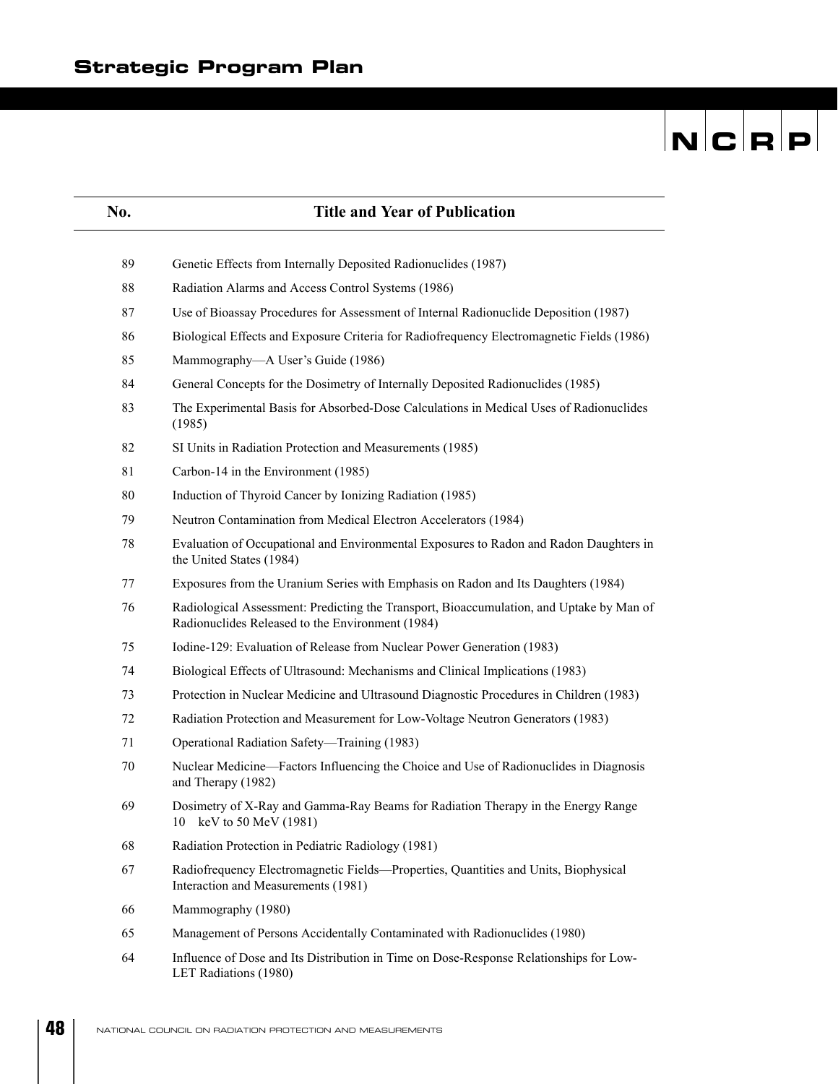| No. | <b>Title and Year of Publication</b>                                                                                                         |
|-----|----------------------------------------------------------------------------------------------------------------------------------------------|
| 89  | Genetic Effects from Internally Deposited Radionuclides (1987)                                                                               |
| 88  | Radiation Alarms and Access Control Systems (1986)                                                                                           |
| 87  | Use of Bioassay Procedures for Assessment of Internal Radionuclide Deposition (1987)                                                         |
| 86  | Biological Effects and Exposure Criteria for Radiofrequency Electromagnetic Fields (1986)                                                    |
| 85  | Mammography-A User's Guide (1986)                                                                                                            |
| 84  | General Concepts for the Dosimetry of Internally Deposited Radionuclides (1985)                                                              |
| 83  | The Experimental Basis for Absorbed-Dose Calculations in Medical Uses of Radionuclides<br>(1985)                                             |
| 82  | SI Units in Radiation Protection and Measurements (1985)                                                                                     |
| 81  | Carbon-14 in the Environment (1985)                                                                                                          |
| 80  | Induction of Thyroid Cancer by Ionizing Radiation (1985)                                                                                     |
| 79  | Neutron Contamination from Medical Electron Accelerators (1984)                                                                              |
| 78  | Evaluation of Occupational and Environmental Exposures to Radon and Radon Daughters in<br>the United States (1984)                           |
| 77  | Exposures from the Uranium Series with Emphasis on Radon and Its Daughters (1984)                                                            |
| 76  | Radiological Assessment: Predicting the Transport, Bioaccumulation, and Uptake by Man of<br>Radionuclides Released to the Environment (1984) |
| 75  | Iodine-129: Evaluation of Release from Nuclear Power Generation (1983)                                                                       |
| 74  | Biological Effects of Ultrasound: Mechanisms and Clinical Implications (1983)                                                                |
| 73  | Protection in Nuclear Medicine and Ultrasound Diagnostic Procedures in Children (1983)                                                       |
| 72  | Radiation Protection and Measurement for Low-Voltage Neutron Generators (1983)                                                               |
| 71  | Operational Radiation Safety-Training (1983)                                                                                                 |
| 70  | Nuclear Medicine—Factors Influencing the Choice and Use of Radionuclides in Diagnosis<br>and Therapy (1982)                                  |
| 69  | Dosimetry of X-Ray and Gamma-Ray Beams for Radiation Therapy in the Energy Range<br>keV to 50 MeV (1981)<br>10                               |
| 68  | Radiation Protection in Pediatric Radiology (1981)                                                                                           |
| 67  | Radiofrequency Electromagnetic Fields-Properties, Quantities and Units, Biophysical<br>Interaction and Measurements (1981)                   |
| 66  | Mammography (1980)                                                                                                                           |
| 65  | Management of Persons Accidentally Contaminated with Radionuclides (1980)                                                                    |
| 64  | Influence of Dose and Its Distribution in Time on Dose-Response Relationships for Low-<br>LET Radiations (1980)                              |

**48**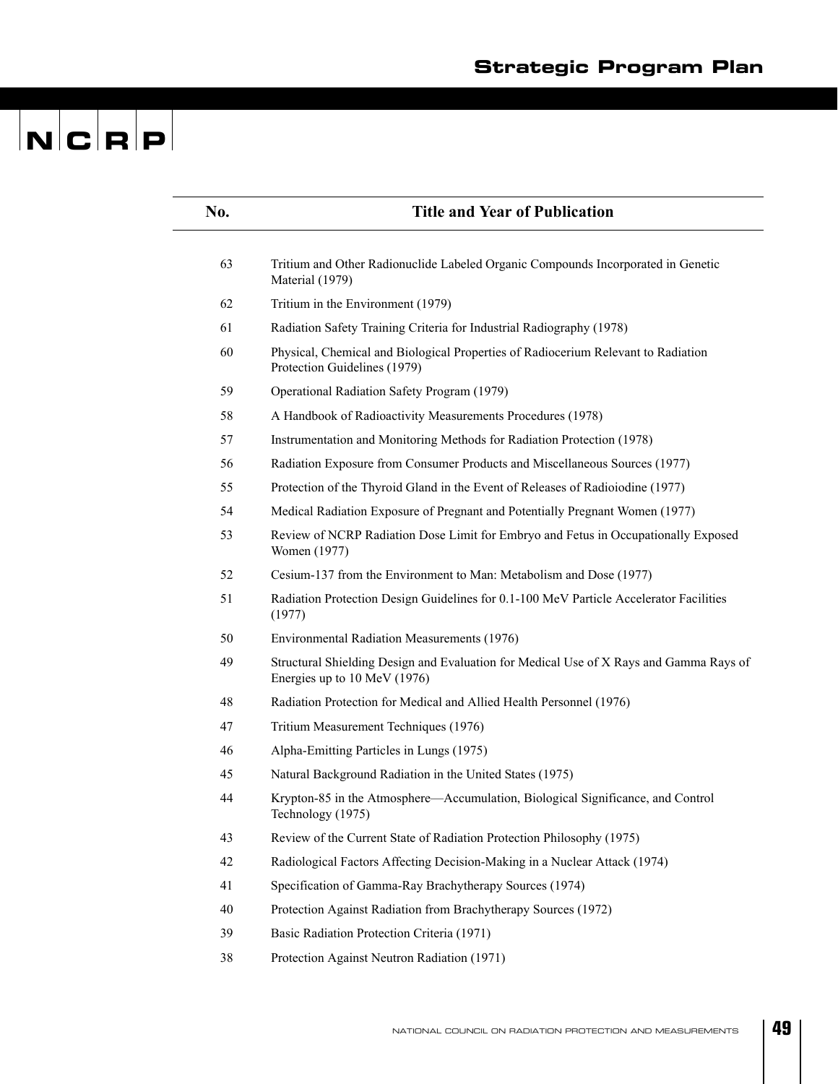| No. | <b>Title and Year of Publication</b>                                                                                   |
|-----|------------------------------------------------------------------------------------------------------------------------|
|     |                                                                                                                        |
| 63  | Tritium and Other Radionuclide Labeled Organic Compounds Incorporated in Genetic<br>Material (1979)                    |
| 62  | Tritium in the Environment (1979)                                                                                      |
| 61  | Radiation Safety Training Criteria for Industrial Radiography (1978)                                                   |
| 60  | Physical, Chemical and Biological Properties of Radiocerium Relevant to Radiation<br>Protection Guidelines (1979)      |
| 59  | Operational Radiation Safety Program (1979)                                                                            |
| 58  | A Handbook of Radioactivity Measurements Procedures (1978)                                                             |
| 57  | Instrumentation and Monitoring Methods for Radiation Protection (1978)                                                 |
| 56  | Radiation Exposure from Consumer Products and Miscellaneous Sources (1977)                                             |
| 55  | Protection of the Thyroid Gland in the Event of Releases of Radioiodine (1977)                                         |
| 54  | Medical Radiation Exposure of Pregnant and Potentially Pregnant Women (1977)                                           |
| 53  | Review of NCRP Radiation Dose Limit for Embryo and Fetus in Occupationally Exposed<br>Women (1977)                     |
| 52  | Cesium-137 from the Environment to Man: Metabolism and Dose (1977)                                                     |
| 51  | Radiation Protection Design Guidelines for 0.1-100 MeV Particle Accelerator Facilities<br>(1977)                       |
| 50  | Environmental Radiation Measurements (1976)                                                                            |
| 49  | Structural Shielding Design and Evaluation for Medical Use of X Rays and Gamma Rays of<br>Energies up to 10 MeV (1976) |
| 48  | Radiation Protection for Medical and Allied Health Personnel (1976)                                                    |
| 47  | Tritium Measurement Techniques (1976)                                                                                  |
| 46  | Alpha-Emitting Particles in Lungs (1975)                                                                               |
| 45  | Natural Background Radiation in the United States (1975)                                                               |
| 44  | Krypton-85 in the Atmosphere-Accumulation, Biological Significance, and Control<br>Technology (1975)                   |
| 43  | Review of the Current State of Radiation Protection Philosophy (1975)                                                  |
| 42  | Radiological Factors Affecting Decision-Making in a Nuclear Attack (1974)                                              |
| 41  | Specification of Gamma-Ray Brachytherapy Sources (1974)                                                                |
| 40  | Protection Against Radiation from Brachytherapy Sources (1972)                                                         |
| 39  | Basic Radiation Protection Criteria (1971)                                                                             |
| 38  | Protection Against Neutron Radiation (1971)                                                                            |
|     |                                                                                                                        |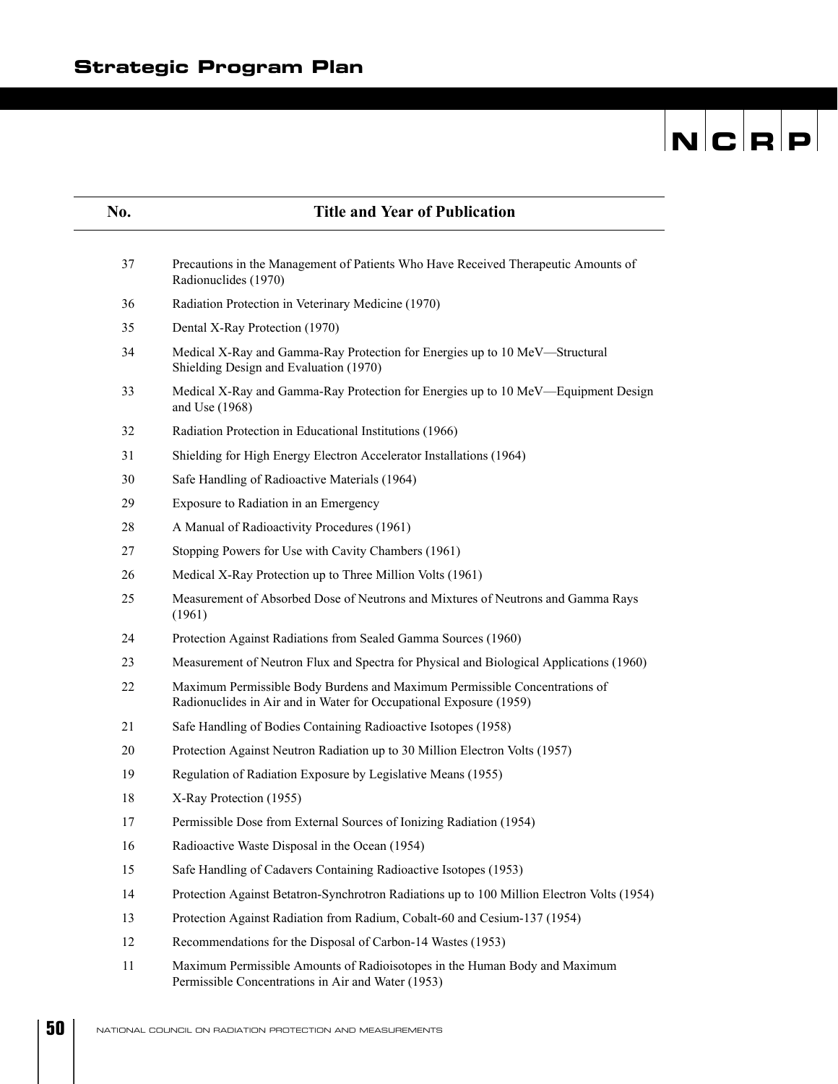# $\overline{\mathbf{N}}$   $\overline{\mathbf{C}}$   $\overline{\mathbf{R}}$   $\overline{\mathbf{P}}$

| No. | <b>Title and Year of Publication</b>                                                                                                             |
|-----|--------------------------------------------------------------------------------------------------------------------------------------------------|
|     |                                                                                                                                                  |
| 37  | Precautions in the Management of Patients Who Have Received Therapeutic Amounts of<br>Radionuclides (1970)                                       |
| 36  | Radiation Protection in Veterinary Medicine (1970)                                                                                               |
| 35  | Dental X-Ray Protection (1970)                                                                                                                   |
| 34  | Medical X-Ray and Gamma-Ray Protection for Energies up to 10 MeV—Structural<br>Shielding Design and Evaluation (1970)                            |
| 33  | Medical X-Ray and Gamma-Ray Protection for Energies up to 10 MeV—Equipment Design<br>and Use (1968)                                              |
| 32  | Radiation Protection in Educational Institutions (1966)                                                                                          |
| 31  | Shielding for High Energy Electron Accelerator Installations (1964)                                                                              |
| 30  | Safe Handling of Radioactive Materials (1964)                                                                                                    |
| 29  | Exposure to Radiation in an Emergency                                                                                                            |
| 28  | A Manual of Radioactivity Procedures (1961)                                                                                                      |
| 27  | Stopping Powers for Use with Cavity Chambers (1961)                                                                                              |
| 26  | Medical X-Ray Protection up to Three Million Volts (1961)                                                                                        |
| 25  | Measurement of Absorbed Dose of Neutrons and Mixtures of Neutrons and Gamma Rays<br>(1961)                                                       |
| 24  | Protection Against Radiations from Sealed Gamma Sources (1960)                                                                                   |
| 23  | Measurement of Neutron Flux and Spectra for Physical and Biological Applications (1960)                                                          |
| 22  | Maximum Permissible Body Burdens and Maximum Permissible Concentrations of<br>Radionuclides in Air and in Water for Occupational Exposure (1959) |
| 21  | Safe Handling of Bodies Containing Radioactive Isotopes (1958)                                                                                   |
| 20  | Protection Against Neutron Radiation up to 30 Million Electron Volts (1957)                                                                      |
| 19  | Regulation of Radiation Exposure by Legislative Means (1955)                                                                                     |
| 18  | X-Ray Protection (1955)                                                                                                                          |
| 17  | Permissible Dose from External Sources of Ionizing Radiation (1954)                                                                              |
| 16  | Radioactive Waste Disposal in the Ocean (1954)                                                                                                   |
| 15  | Safe Handling of Cadavers Containing Radioactive Isotopes (1953)                                                                                 |
| 14  | Protection Against Betatron-Synchrotron Radiations up to 100 Million Electron Volts (1954)                                                       |
| 13  | Protection Against Radiation from Radium, Cobalt-60 and Cesium-137 (1954)                                                                        |
| 12  | Recommendations for the Disposal of Carbon-14 Wastes (1953)                                                                                      |
| 11  | Maximum Permissible Amounts of Radioisotopes in the Human Body and Maximum<br>Permissible Concentrations in Air and Water (1953)                 |

**50**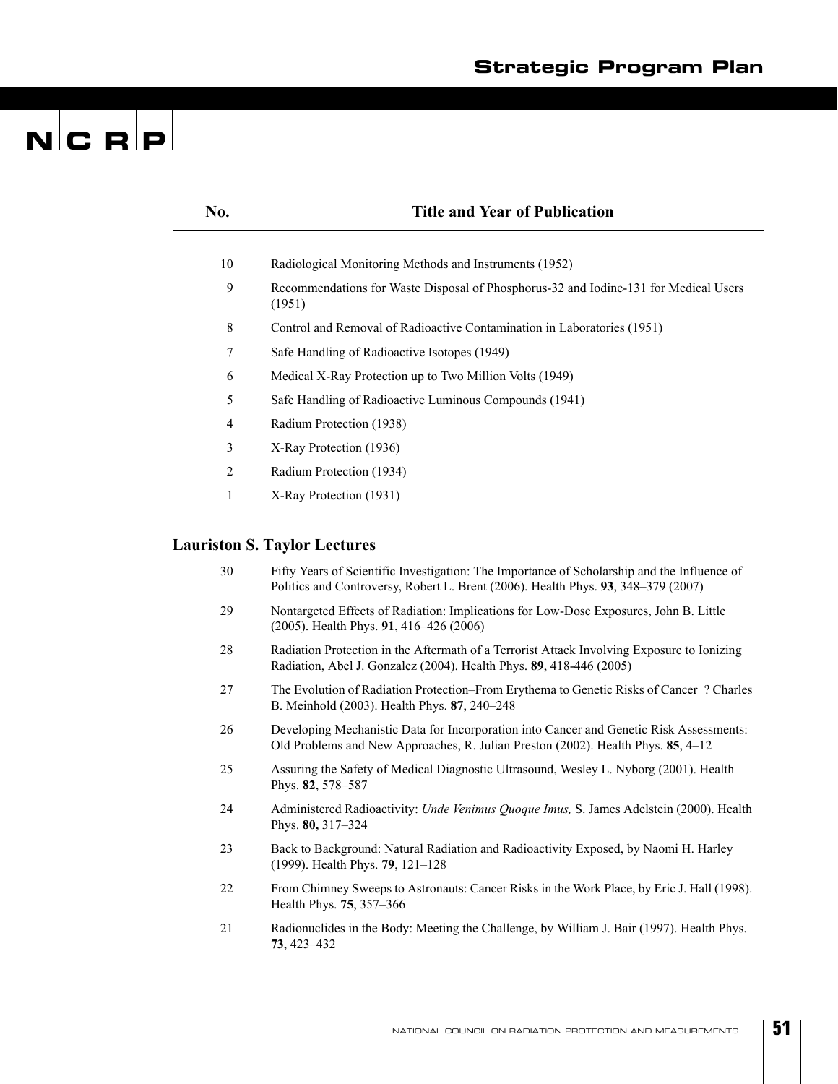| No.            | <b>Title and Year of Publication</b>                                                                                                                                             |
|----------------|----------------------------------------------------------------------------------------------------------------------------------------------------------------------------------|
| 10             | Radiological Monitoring Methods and Instruments (1952)                                                                                                                           |
| 9              | Recommendations for Waste Disposal of Phosphorus-32 and Iodine-131 for Medical Users<br>(1951)                                                                                   |
| 8              | Control and Removal of Radioactive Contamination in Laboratories (1951)                                                                                                          |
| 7              | Safe Handling of Radioactive Isotopes (1949)                                                                                                                                     |
| 6              | Medical X-Ray Protection up to Two Million Volts (1949)                                                                                                                          |
| 5              | Safe Handling of Radioactive Luminous Compounds (1941)                                                                                                                           |
| 4              | Radium Protection (1938)                                                                                                                                                         |
| 3              | X-Ray Protection (1936)                                                                                                                                                          |
| $\overline{2}$ | Radium Protection (1934)                                                                                                                                                         |
| 1              | X-Ray Protection (1931)                                                                                                                                                          |
|                | <b>Lauriston S. Taylor Lectures</b>                                                                                                                                              |
| 30             | Fifty Years of Scientific Investigation: The Importance of Scholarship and the Influence of<br>Politics and Controversy, Robert L. Brent (2006). Health Phys. 93, 348-379 (2007) |
| 29             | Nontargeted Effects of Radiation: Implications for Low-Dose Exposures, John B. Little<br>$(2005)$ . Health Phys. 91, 416–426 (2006)                                              |
| 28             | Radiation Protection in the Aftermath of a Terrorist Attack Involving Exposure to Ionizing<br>Radiation, Abel J. Gonzalez (2004). Health Phys. 89, 418-446 (2005)                |
| 27             | The Evolution of Radiation Protection–From Erythema to Genetic Risks of Cancer? Charles<br>B. Meinhold (2003). Health Phys. 87, 240-248                                          |
| 26             | Developing Mechanistic Data for Incorporation into Cancer and Genetic Risk Assessments:<br>Old Problems and New Approaches, R. Julian Preston (2002). Health Phys. 85, 4-12      |
| 25             | Assuring the Safety of Medical Diagnostic Ultrasound, Wesley L. Nyborg (2001). Health<br>Phys. 82, 578-587                                                                       |
| 24             | Administered Radioactivity: Unde Venimus Quoque Imus, S. James Adelstein (2000). Health<br>Phys. 80, 317-324                                                                     |
| 23             | Back to Background: Natural Radiation and Radioactivity Exposed, by Naomi H. Harley<br>(1999). Health Phys. 79, 121-128                                                          |
| 22             | From Chimney Sweeps to Astronauts: Cancer Risks in the Work Place, by Eric J. Hall (1998).<br>Health Phys. 75, 357-366                                                           |
| 21             | Radionuclides in the Body: Meeting the Challenge, by William J. Bair (1997). Health Phys.<br>73, 423-432                                                                         |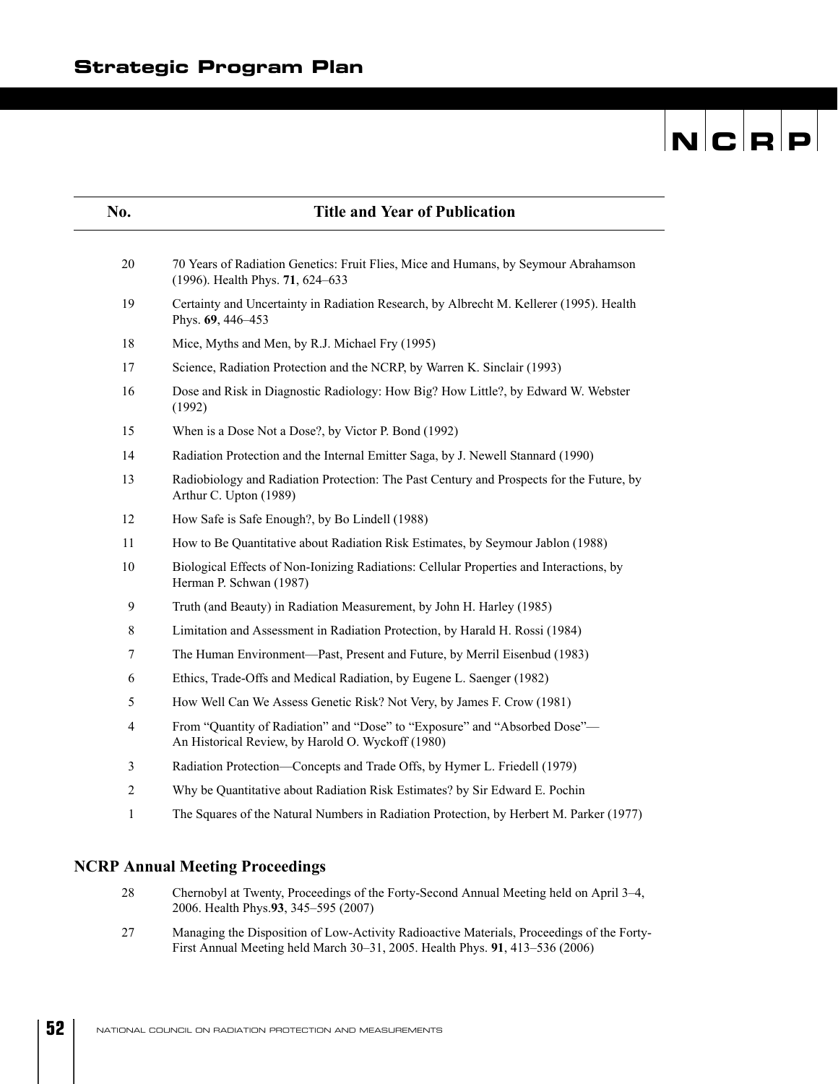| No.          | <b>Title and Year of Publication</b>                                                                                            |
|--------------|---------------------------------------------------------------------------------------------------------------------------------|
|              |                                                                                                                                 |
| 20           | 70 Years of Radiation Genetics: Fruit Flies, Mice and Humans, by Seymour Abrahamson<br>(1996). Health Phys. 71, 624-633         |
| 19           | Certainty and Uncertainty in Radiation Research, by Albrecht M. Kellerer (1995). Health<br>Phys. 69, 446-453                    |
| 18           | Mice, Myths and Men, by R.J. Michael Fry (1995)                                                                                 |
| 17           | Science, Radiation Protection and the NCRP, by Warren K. Sinclair (1993)                                                        |
| 16           | Dose and Risk in Diagnostic Radiology: How Big? How Little?, by Edward W. Webster<br>(1992)                                     |
| 15           | When is a Dose Not a Dose?, by Victor P. Bond (1992)                                                                            |
| 14           | Radiation Protection and the Internal Emitter Saga, by J. Newell Stannard (1990)                                                |
| 13           | Radiobiology and Radiation Protection: The Past Century and Prospects for the Future, by<br>Arthur C. Upton (1989)              |
| 12           | How Safe is Safe Enough?, by Bo Lindell (1988)                                                                                  |
| 11           | How to Be Quantitative about Radiation Risk Estimates, by Seymour Jablon (1988)                                                 |
| 10           | Biological Effects of Non-Ionizing Radiations: Cellular Properties and Interactions, by<br>Herman P. Schwan (1987)              |
| 9            | Truth (and Beauty) in Radiation Measurement, by John H. Harley (1985)                                                           |
| 8            | Limitation and Assessment in Radiation Protection, by Harald H. Rossi (1984)                                                    |
| 7            | The Human Environment—Past, Present and Future, by Merril Eisenbud (1983)                                                       |
| 6            | Ethics, Trade-Offs and Medical Radiation, by Eugene L. Saenger (1982)                                                           |
| 5            | How Well Can We Assess Genetic Risk? Not Very, by James F. Crow (1981)                                                          |
| 4            | From "Quantity of Radiation" and "Dose" to "Exposure" and "Absorbed Dose"-<br>An Historical Review, by Harold O. Wyckoff (1980) |
| 3            | Radiation Protection—Concepts and Trade Offs, by Hymer L. Friedell (1979)                                                       |
| 2            | Why be Quantitative about Radiation Risk Estimates? by Sir Edward E. Pochin                                                     |
| $\mathbf{1}$ | The Squares of the Natural Numbers in Radiation Protection, by Herbert M. Parker (1977)                                         |
|              |                                                                                                                                 |

#### **NCRP Annual Meeting Proceedings**

- 28 Chernobyl at Twenty, Proceedings of the Forty-Second Annual Meeting held on April 3–4, 2006. Health Phys.**93**, 345–595 (2007)
- 27 Managing the Disposition of Low-Activity Radioactive Materials, Proceedings of the Forty-First Annual Meeting held March 30–31, 2005. Health Phys. **91**, 413–536 (2006)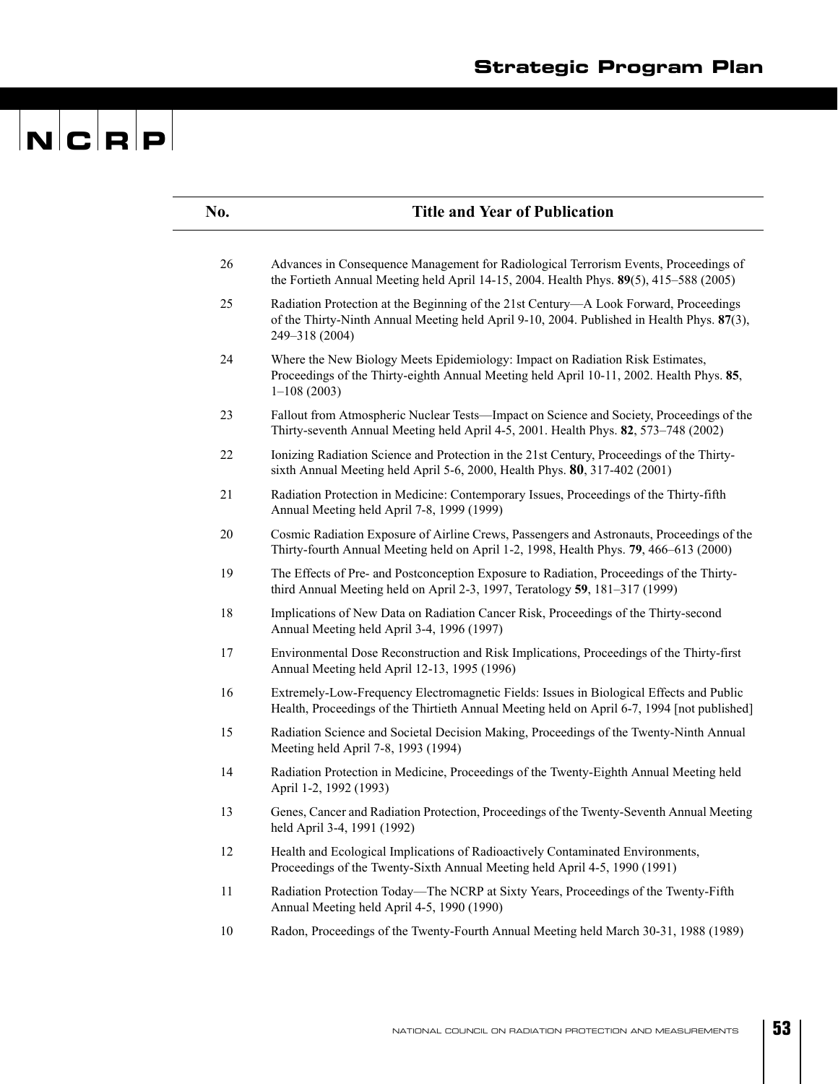| No. | <b>Title and Year of Publication</b>                                                                                                                                                                  |
|-----|-------------------------------------------------------------------------------------------------------------------------------------------------------------------------------------------------------|
|     |                                                                                                                                                                                                       |
| 26  | Advances in Consequence Management for Radiological Terrorism Events, Proceedings of<br>the Fortieth Annual Meeting held April 14-15, 2004. Health Phys. 89(5), 415-588 (2005)                        |
| 25  | Radiation Protection at the Beginning of the 21st Century-A Look Forward, Proceedings<br>of the Thirty-Ninth Annual Meeting held April 9-10, 2004. Published in Health Phys. 87(3),<br>249-318 (2004) |
| 24  | Where the New Biology Meets Epidemiology: Impact on Radiation Risk Estimates,<br>Proceedings of the Thirty-eighth Annual Meeting held April 10-11, 2002. Health Phys. 85,<br>$1-108(2003)$            |
| 23  | Fallout from Atmospheric Nuclear Tests—Impact on Science and Society, Proceedings of the<br>Thirty-seventh Annual Meeting held April 4-5, 2001. Health Phys. 82, 573-748 (2002)                       |
| 22  | Ionizing Radiation Science and Protection in the 21st Century, Proceedings of the Thirty-<br>sixth Annual Meeting held April 5-6, 2000, Health Phys. 80, 317-402 (2001)                               |
| 21  | Radiation Protection in Medicine: Contemporary Issues, Proceedings of the Thirty-fifth<br>Annual Meeting held April 7-8, 1999 (1999)                                                                  |
| 20  | Cosmic Radiation Exposure of Airline Crews, Passengers and Astronauts, Proceedings of the<br>Thirty-fourth Annual Meeting held on April 1-2, 1998, Health Phys. 79, 466-613 (2000)                    |
| 19  | The Effects of Pre- and Postconception Exposure to Radiation, Proceedings of the Thirty-<br>third Annual Meeting held on April 2-3, 1997, Teratology 59, 181-317 (1999)                               |
| 18  | Implications of New Data on Radiation Cancer Risk, Proceedings of the Thirty-second<br>Annual Meeting held April 3-4, 1996 (1997)                                                                     |
| 17  | Environmental Dose Reconstruction and Risk Implications, Proceedings of the Thirty-first<br>Annual Meeting held April 12-13, 1995 (1996)                                                              |
| 16  | Extremely-Low-Frequency Electromagnetic Fields: Issues in Biological Effects and Public<br>Health, Proceedings of the Thirtieth Annual Meeting held on April 6-7, 1994 [not published]                |
| 15  | Radiation Science and Societal Decision Making, Proceedings of the Twenty-Ninth Annual<br>Meeting held April 7-8, 1993 (1994)                                                                         |
| 14  | Radiation Protection in Medicine, Proceedings of the Twenty-Eighth Annual Meeting held<br>April 1-2, 1992 (1993)                                                                                      |
| 13  | Genes, Cancer and Radiation Protection, Proceedings of the Twenty-Seventh Annual Meeting<br>held April 3-4, 1991 (1992)                                                                               |
| 12  | Health and Ecological Implications of Radioactively Contaminated Environments,<br>Proceedings of the Twenty-Sixth Annual Meeting held April 4-5, 1990 (1991)                                          |
| 11  | Radiation Protection Today—The NCRP at Sixty Years, Proceedings of the Twenty-Fifth<br>Annual Meeting held April 4-5, 1990 (1990)                                                                     |
| 10  | Radon, Proceedings of the Twenty-Fourth Annual Meeting held March 30-31, 1988 (1989)                                                                                                                  |
|     |                                                                                                                                                                                                       |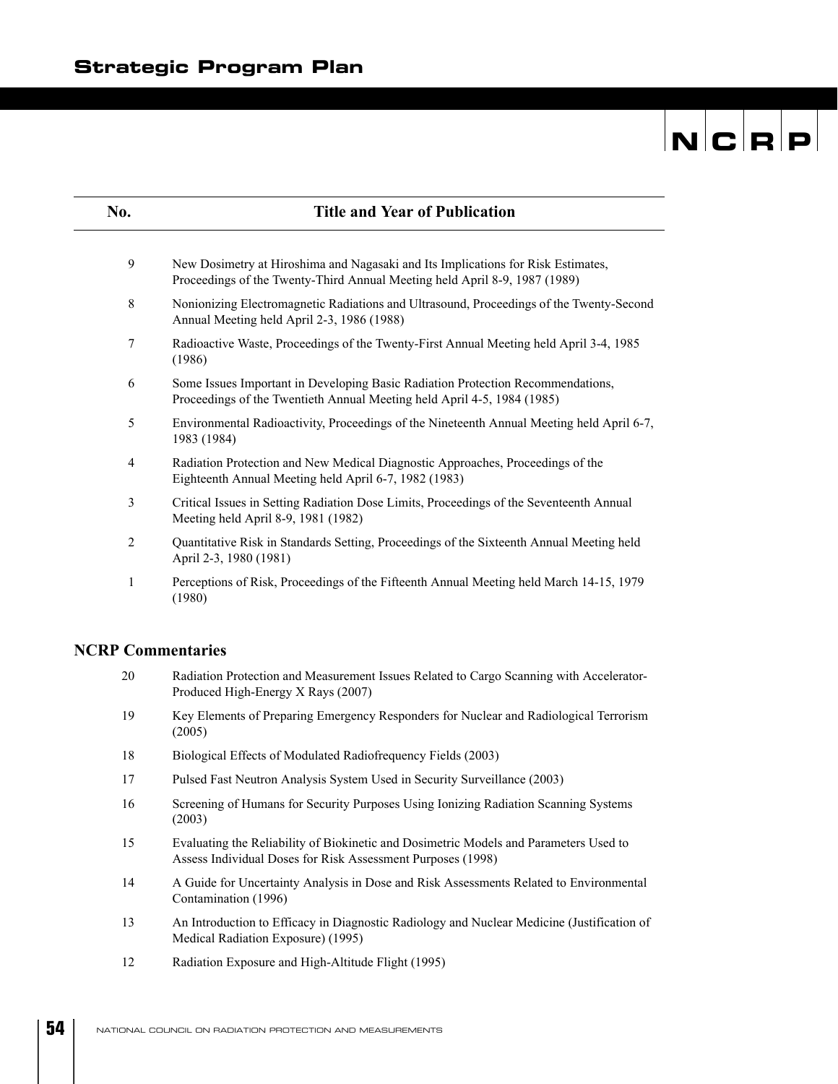| No.            | <b>Title and Year of Publication</b>                                                                                                                           |
|----------------|----------------------------------------------------------------------------------------------------------------------------------------------------------------|
| 9              | New Dosimetry at Hiroshima and Nagasaki and Its Implications for Risk Estimates,<br>Proceedings of the Twenty-Third Annual Meeting held April 8-9, 1987 (1989) |
| 8              | Nonionizing Electromagnetic Radiations and Ultrasound, Proceedings of the Twenty-Second<br>Annual Meeting held April 2-3, 1986 (1988)                          |
| 7              | Radioactive Waste, Proceedings of the Twenty-First Annual Meeting held April 3-4, 1985<br>(1986)                                                               |
| 6              | Some Issues Important in Developing Basic Radiation Protection Recommendations,<br>Proceedings of the Twentieth Annual Meeting held April 4-5, 1984 (1985)     |
| 5              | Environmental Radioactivity, Proceedings of the Nineteenth Annual Meeting held April 6-7,<br>1983 (1984)                                                       |
| $\overline{4}$ | Radiation Protection and New Medical Diagnostic Approaches, Proceedings of the<br>Eighteenth Annual Meeting held April 6-7, 1982 (1983)                        |
| 3              | Critical Issues in Setting Radiation Dose Limits, Proceedings of the Seventeenth Annual<br>Meeting held April 8-9, 1981 (1982)                                 |
| $\overline{2}$ | Quantitative Risk in Standards Setting, Proceedings of the Sixteenth Annual Meeting held<br>April 2-3, 1980 (1981)                                             |
| 1              | Perceptions of Risk, Proceedings of the Fifteenth Annual Meeting held March 14-15, 1979<br>(1980)                                                              |

#### **NCRP Commentaries**

- 20 Radiation Protection and Measurement Issues Related to Cargo Scanning with Accelerator-Produced High-Energy X Rays (2007)
- 19 Key Elements of Preparing Emergency Responders for Nuclear and Radiological Terrorism (2005)
- 18 Biological Effects of Modulated Radiofrequency Fields (2003)
- 17 Pulsed Fast Neutron Analysis System Used in Security Surveillance (2003)
- 16 Screening of Humans for Security Purposes Using Ionizing Radiation Scanning Systems (2003)
- 15 Evaluating the Reliability of Biokinetic and Dosimetric Models and Parameters Used to Assess Individual Doses for Risk Assessment Purposes (1998)
- 14 A Guide for Uncertainty Analysis in Dose and Risk Assessments Related to Environmental Contamination (1996)
- 13 An Introduction to Efficacy in Diagnostic Radiology and Nuclear Medicine (Justification of Medical Radiation Exposure) (1995)
- 12 Radiation Exposure and High-Altitude Flight (1995)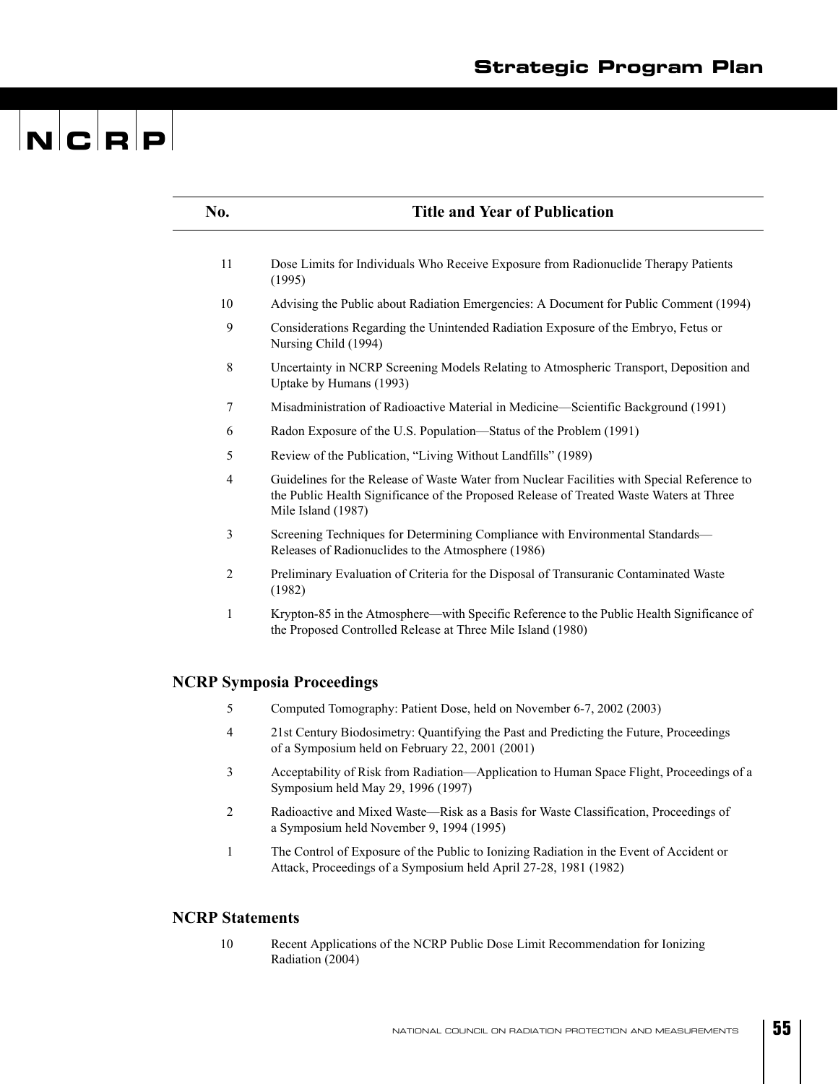| No.                    | <b>Title and Year of Publication</b>                                                                                                                                                                         |
|------------------------|--------------------------------------------------------------------------------------------------------------------------------------------------------------------------------------------------------------|
| 11                     | Dose Limits for Individuals Who Receive Exposure from Radionuclide Therapy Patients<br>(1995)                                                                                                                |
| 10                     | Advising the Public about Radiation Emergencies: A Document for Public Comment (1994)                                                                                                                        |
| 9                      | Considerations Regarding the Unintended Radiation Exposure of the Embryo, Fetus or<br>Nursing Child (1994)                                                                                                   |
| 8                      | Uncertainty in NCRP Screening Models Relating to Atmospheric Transport, Deposition and<br>Uptake by Humans (1993)                                                                                            |
| 7                      | Misadministration of Radioactive Material in Medicine-Scientific Background (1991)                                                                                                                           |
| 6                      | Radon Exposure of the U.S. Population—Status of the Problem (1991)                                                                                                                                           |
| 5                      | Review of the Publication, "Living Without Landfills" (1989)                                                                                                                                                 |
| $\overline{4}$         | Guidelines for the Release of Waste Water from Nuclear Facilities with Special Reference to<br>the Public Health Significance of the Proposed Release of Treated Waste Waters at Three<br>Mile Island (1987) |
| 3                      | Screening Techniques for Determining Compliance with Environmental Standards-<br>Releases of Radionuclides to the Atmosphere (1986)                                                                          |
| 2                      | Preliminary Evaluation of Criteria for the Disposal of Transuranic Contaminated Waste<br>(1982)                                                                                                              |
| 1                      | Krypton-85 in the Atmosphere—with Specific Reference to the Public Health Significance of<br>the Proposed Controlled Release at Three Mile Island (1980)                                                     |
|                        | <b>NCRP Symposia Proceedings</b>                                                                                                                                                                             |
| 5                      | Computed Tomography: Patient Dose, held on November 6-7, 2002 (2003)                                                                                                                                         |
| 4                      | 21st Century Biodosimetry: Quantifying the Past and Predicting the Future, Proceedings<br>of a Symposium held on February 22, 2001 (2001)                                                                    |
| 3                      | Acceptability of Risk from Radiation—Application to Human Space Flight, Proceedings of a<br>Symposium held May 29, 1996 (1997)                                                                               |
| $\overline{c}$         | Radioactive and Mixed Waste-Risk as a Basis for Waste Classification, Proceedings of<br>a Symposium held November 9, 1994 (1995)                                                                             |
| $\mathbf{1}$           | The Control of Exposure of the Public to Ionizing Radiation in the Event of Accident or<br>Attack, Proceedings of a Symposium held April 27-28, 1981 (1982)                                                  |
| <b>NCRP</b> Statements |                                                                                                                                                                                                              |
| 10                     | Recent Applications of the NCRP Public Dose Limit Recommendation for Ionizing<br>Radiation (2004)                                                                                                            |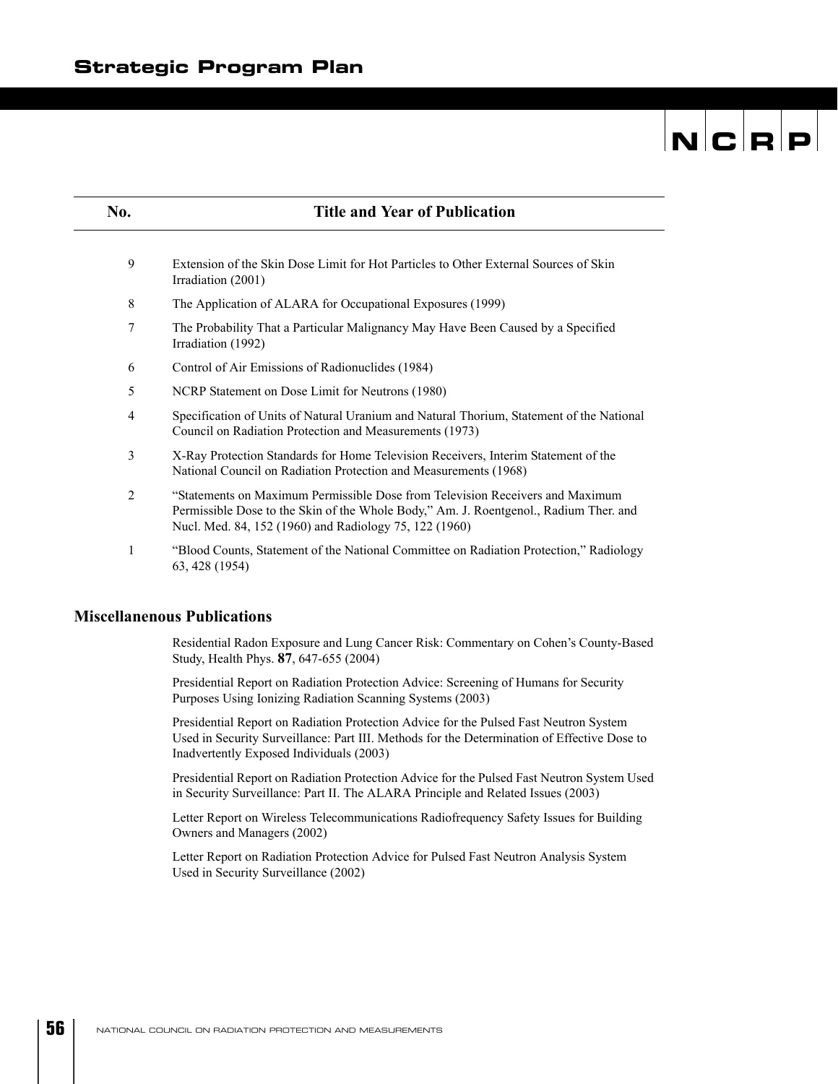| No.            | <b>Title and Year of Publication</b>                                                                                                                                                                                             |  |
|----------------|----------------------------------------------------------------------------------------------------------------------------------------------------------------------------------------------------------------------------------|--|
|                |                                                                                                                                                                                                                                  |  |
| 9              | Extension of the Skin Dose Limit for Hot Particles to Other External Sources of Skin<br>Irradiation (2001)                                                                                                                       |  |
| 8              | The Application of ALARA for Occupational Exposures (1999)                                                                                                                                                                       |  |
| 7              | The Probability That a Particular Malignancy May Have Been Caused by a Specified<br>Irradiation (1992)                                                                                                                           |  |
| 6              | Control of Air Emissions of Radionuclides (1984)                                                                                                                                                                                 |  |
| 5              | NCRP Statement on Dose Limit for Neutrons (1980)                                                                                                                                                                                 |  |
| 4              | Specification of Units of Natural Uranium and Natural Thorium, Statement of the National<br>Council on Radiation Protection and Measurements (1973)                                                                              |  |
| 3              | X-Ray Protection Standards for Home Television Receivers, Interim Statement of the<br>National Council on Radiation Protection and Measurements (1968)                                                                           |  |
| $\overline{2}$ | "Statements on Maximum Permissible Dose from Television Receivers and Maximum<br>Permissible Dose to the Skin of the Whole Body," Am. J. Roentgenol., Radium Ther. and<br>Nucl. Med. 84, 152 (1960) and Radiology 75, 122 (1960) |  |
| 1              | "Blood Counts, Statement of the National Committee on Radiation Protection," Radiology<br>63, 428 (1954)                                                                                                                         |  |

#### **Miscellanenous Publications**

Residential Radon Exposure and Lung Cancer Risk: Commentary on Cohen's County-Based Study, Health Phys. **87**, 647-655 (2004)

Presidential Report on Radiation Protection Advice: Screening of Humans for Security Purposes Using Ionizing Radiation Scanning Systems (2003)

Presidential Report on Radiation Protection Advice for the Pulsed Fast Neutron System Used in Security Surveillance: Part III. Methods for the Determination of Effective Dose to Inadvertently Exposed Individuals (2003)

Presidential Report on Radiation Protection Advice for the Pulsed Fast Neutron System Used in Security Surveillance: Part II. The ALARA Principle and Related Issues (2003)

Letter Report on Wireless Telecommunications Radiofrequency Safety Issues for Building Owners and Managers (2002)

Letter Report on Radiation Protection Advice for Pulsed Fast Neutron Analysis System Used in Security Surveillance (2002)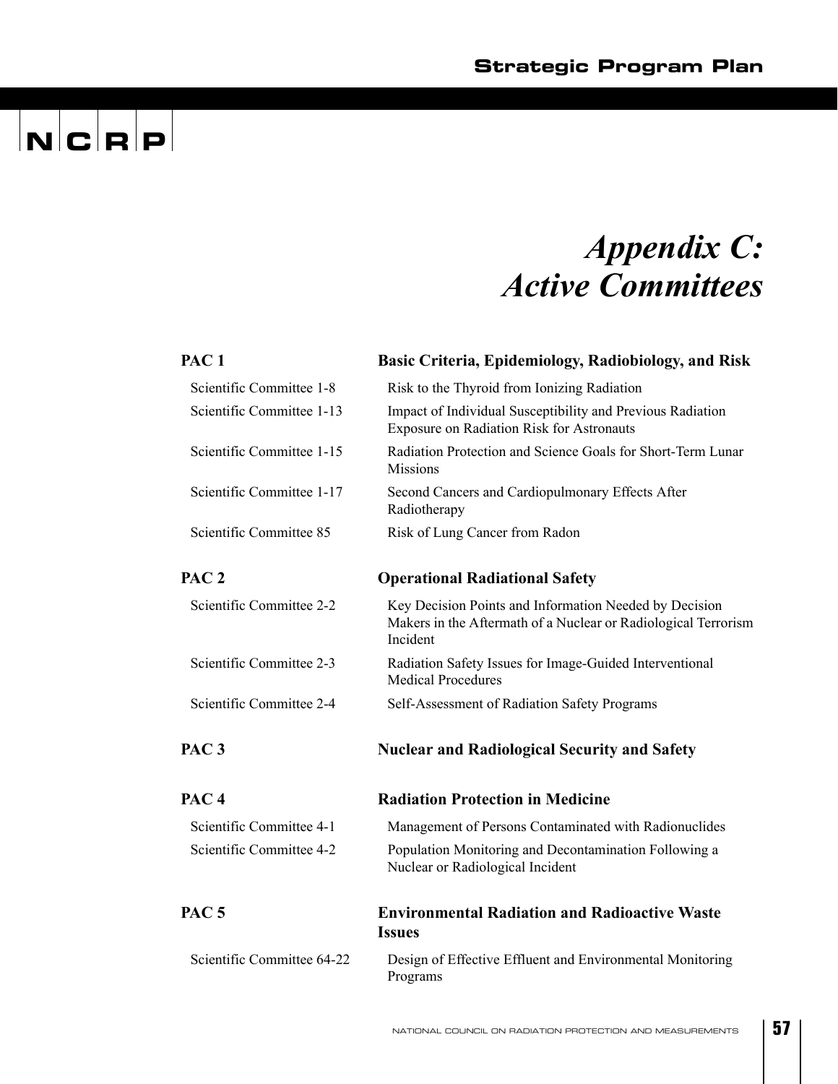### *Appendix C: Active Committees*

| PAC <sub>1</sub>           | Basic Criteria, Epidemiology, Radiobiology, and Risk                                                                                 |  |
|----------------------------|--------------------------------------------------------------------------------------------------------------------------------------|--|
| Scientific Committee 1-8   | Risk to the Thyroid from Ionizing Radiation                                                                                          |  |
| Scientific Committee 1-13  | Impact of Individual Susceptibility and Previous Radiation<br><b>Exposure on Radiation Risk for Astronauts</b>                       |  |
| Scientific Committee 1-15  | Radiation Protection and Science Goals for Short-Term Lunar<br><b>Missions</b>                                                       |  |
| Scientific Committee 1-17  | Second Cancers and Cardiopulmonary Effects After<br>Radiotherapy                                                                     |  |
| Scientific Committee 85    | Risk of Lung Cancer from Radon                                                                                                       |  |
| PAC <sub>2</sub>           | <b>Operational Radiational Safety</b>                                                                                                |  |
| Scientific Committee 2-2   | Key Decision Points and Information Needed by Decision<br>Makers in the Aftermath of a Nuclear or Radiological Terrorism<br>Incident |  |
| Scientific Committee 2-3   | Radiation Safety Issues for Image-Guided Interventional<br><b>Medical Procedures</b>                                                 |  |
| Scientific Committee 2-4   | Self-Assessment of Radiation Safety Programs                                                                                         |  |
| PAC <sub>3</sub>           | <b>Nuclear and Radiological Security and Safety</b>                                                                                  |  |
| PAC <sub>4</sub>           | <b>Radiation Protection in Medicine</b>                                                                                              |  |
| Scientific Committee 4-1   | Management of Persons Contaminated with Radionuclides                                                                                |  |
| Scientific Committee 4-2   | Population Monitoring and Decontamination Following a<br>Nuclear or Radiological Incident                                            |  |
| PAC <sub>5</sub>           | <b>Environmental Radiation and Radioactive Waste</b><br><b>Issues</b>                                                                |  |
| Scientific Committee 64-22 | Design of Effective Effluent and Environmental Monitoring<br>Programs                                                                |  |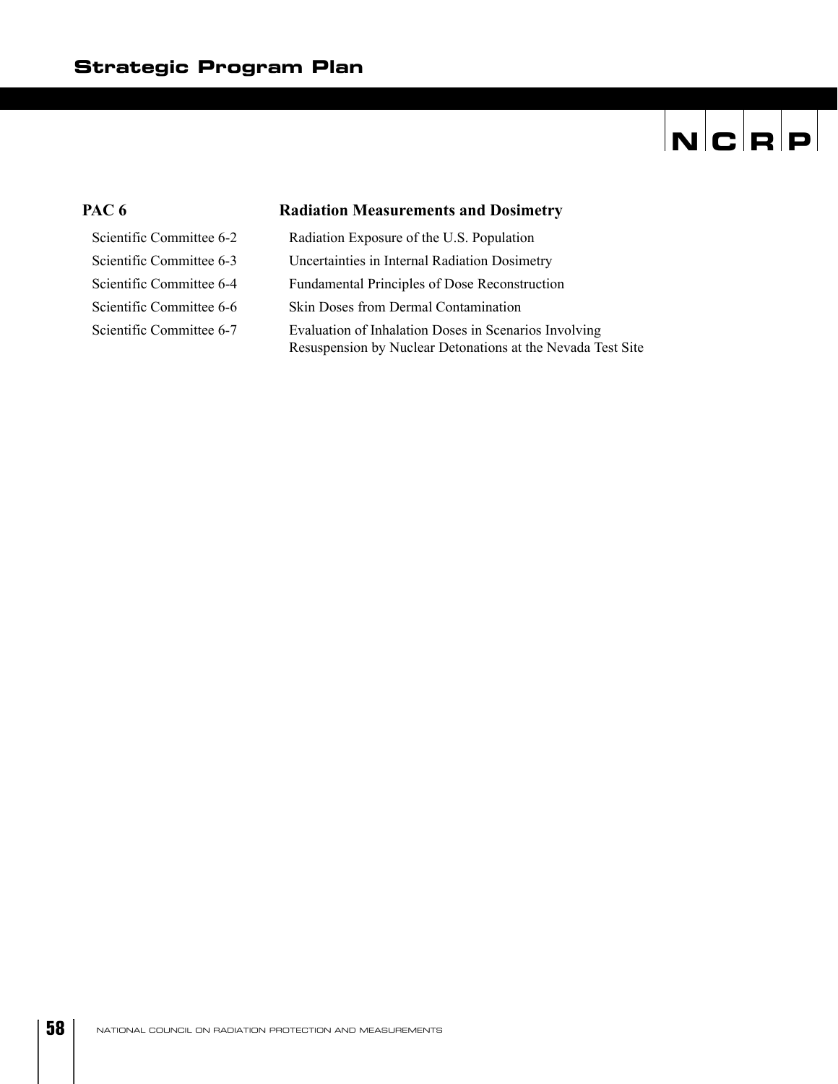# $\overline{|\mathbf{N}| \mathbf{C} |\mathbf{R} | \mathbf{P}|}$

#### PAC 6 Radiation Measurements and Dosimetry

| Scientific Committee 6-2 | Radiation Exposure of the U.S. Population                                                                            |
|--------------------------|----------------------------------------------------------------------------------------------------------------------|
| Scientific Committee 6-3 | Uncertainties in Internal Radiation Dosimetry                                                                        |
| Scientific Committee 6-4 | Fundamental Principles of Dose Reconstruction                                                                        |
| Scientific Committee 6-6 | Skin Doses from Dermal Contamination                                                                                 |
| Scientific Committee 6-7 | Evaluation of Inhalation Doses in Scenarios Involving<br>Resuspension by Nuclear Detonations at the Nevada Test Site |